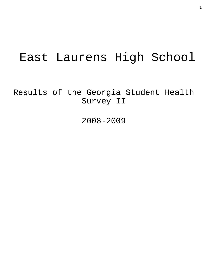# East Laurens High School

Results of the Georgia Student Health Survey II

2008-2009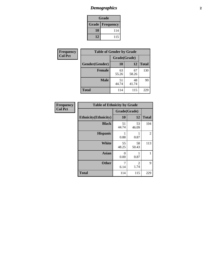# *Demographics* **2**

| Grade                  |     |  |  |  |
|------------------------|-----|--|--|--|
| <b>Grade Frequency</b> |     |  |  |  |
| 10                     | 114 |  |  |  |
| 12                     | 115 |  |  |  |

| Frequency      | <b>Table of Gender by Grade</b> |              |             |              |  |
|----------------|---------------------------------|--------------|-------------|--------------|--|
| <b>Col Pct</b> |                                 | Grade(Grade) |             |              |  |
|                | Gender(Gender)                  | 10           | 12          | <b>Total</b> |  |
|                | <b>Female</b>                   | 63<br>55.26  | 67<br>58.26 | 130          |  |
|                | <b>Male</b>                     | 51<br>44.74  | 48<br>41.74 | 99           |  |
|                | <b>Total</b>                    | 114          | 115         | 229          |  |

| <b>Frequency</b><br>Col Pct |
|-----------------------------|

| <b>Table of Ethnicity by Grade</b> |              |             |              |  |  |  |
|------------------------------------|--------------|-------------|--------------|--|--|--|
|                                    | Grade(Grade) |             |              |  |  |  |
| <b>Ethnicity</b> (Ethnicity)       | 10           | 12          | <b>Total</b> |  |  |  |
| <b>Black</b>                       | 51<br>44.74  | 53<br>46.09 | 104          |  |  |  |
| <b>Hispanic</b>                    | 1<br>0.88    | 1<br>0.87   | 2            |  |  |  |
| <b>White</b>                       | 55<br>48.25  | 58<br>50.43 | 113          |  |  |  |
| <b>Asian</b>                       | 0<br>0.00    | 1<br>0.87   | 1            |  |  |  |
| <b>Other</b>                       | 7<br>6.14    | 2<br>1.74   | 9            |  |  |  |
| <b>Total</b>                       | 114          | 115         | 229          |  |  |  |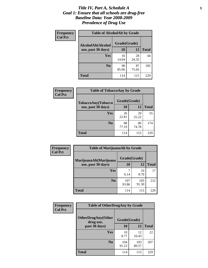#### *Title IV, Part A, Schedule A* **3** *Goal 1: Ensure that all schools are drug-free Baseline Data: Year 2008-2009 Prevalence of Drug Use*

| Frequency<br><b>Col Pct</b> | <b>Table of AlcoholAlt by Grade</b> |              |             |              |  |
|-----------------------------|-------------------------------------|--------------|-------------|--------------|--|
|                             | AlcoholAlt(Alcohol                  | Grade(Grade) |             |              |  |
|                             | use, past 30 days)                  | <b>10</b>    | 12          | <b>Total</b> |  |
|                             | Yes                                 | 16<br>14.04  | 28<br>24.35 | 44           |  |
|                             | N <sub>0</sub>                      | 98<br>85.96  | 87<br>75.65 | 185          |  |
|                             | Total                               | 114          | 115         | 229          |  |

| Frequency      | <b>Table of TobaccoAny by Grade</b> |              |             |              |  |
|----------------|-------------------------------------|--------------|-------------|--------------|--|
| <b>Col Pct</b> | TobaccoAny(Tobacco                  | Grade(Grade) |             |              |  |
|                | use, past 30 days)                  | 10           | 12          | <b>Total</b> |  |
|                | Yes                                 | 26<br>22.81  | 29<br>25.22 | 55           |  |
|                | N <sub>0</sub>                      | 88<br>77.19  | 86<br>74.78 | 174          |  |
|                | Total                               | 114          | 115         | 229          |  |

| Frequency<br><b>Col Pct</b> | <b>Table of MarijuanaAlt by Grade</b> |              |              |              |  |
|-----------------------------|---------------------------------------|--------------|--------------|--------------|--|
|                             | MarijuanaAlt(Marijuana                | Grade(Grade) |              |              |  |
|                             | use, past 30 days)                    | <b>10</b>    | 12           | <b>Total</b> |  |
|                             | <b>Yes</b>                            | 6.14         | 10<br>8.70   | 17           |  |
|                             | N <sub>0</sub>                        | 107<br>93.86 | 105<br>91.30 | 212          |  |
|                             | <b>Total</b>                          | 114          | 115          | 229          |  |

| Frequency<br><b>Col Pct</b> | <b>Table of OtherDrugAny by Grade</b>  |              |              |              |  |
|-----------------------------|----------------------------------------|--------------|--------------|--------------|--|
|                             | <b>OtherDrugAny(Other</b><br>drug use, | Grade(Grade) |              |              |  |
|                             | past 30 days)                          | 10           | 12           | <b>Total</b> |  |
|                             | Yes                                    | 10<br>8.77   | 12<br>10.43  | 22           |  |
|                             | N <sub>0</sub>                         | 104<br>91.23 | 103<br>89.57 | 207          |  |
|                             | <b>Total</b>                           | 114          | 115          | 229          |  |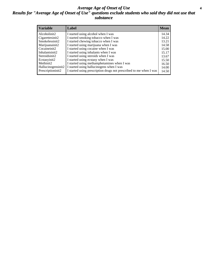#### *Average Age of Onset of Use* **4** *Results for "Average Age of Onset of Use" questions exclude students who said they did not use that substance*

| <b>Variable</b>       | Label                                                              | <b>Mean</b> |
|-----------------------|--------------------------------------------------------------------|-------------|
| Alcoholinit2          | I started using alcohol when I was                                 | 14.34       |
| Cigarettesinit2       | I started smoking tobacco when I was                               | 14.22       |
| Smokelessinit2        | I started chewing tobacco when I was                               | 13.21       |
| Marijuanainit2        | I started using marijuana when I was                               | 14.58       |
| Cocaineinit2          | I started using cocaine when I was                                 | 15.00       |
| Inhalantsinit2        | I started using inhalants when I was                               | 15.17       |
| Steroidsinit2         | I started using steroids when I was                                | 13.67       |
| Ecstasyinit2          | I started using ecstasy when I was                                 | 15.50       |
| Methinit <sub>2</sub> | I started using methamphetamines when I was                        | 16.50       |
| Hallucinogensinit2    | I started using hallucinogens when I was                           | 14.00       |
| Prescriptioninit2     | I started using prescription drugs not prescribed to me when I was | 14.50       |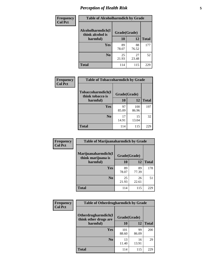# *Perception of Health Risk* **5**

| Frequency      | <b>Table of Alcoholharmdich by Grade</b> |              |             |              |  |
|----------------|------------------------------------------|--------------|-------------|--------------|--|
| <b>Col Pct</b> | Alcoholharmdich(I<br>think alcohol is    | Grade(Grade) |             |              |  |
|                | harmful)                                 | 10           | 12          | <b>Total</b> |  |
|                | <b>Yes</b>                               | 89<br>78.07  | 88<br>76.52 | 177          |  |
|                | N <sub>0</sub>                           | 25<br>21.93  | 27<br>23.48 | 52           |  |
|                | <b>Total</b>                             | 114          | 115         | 229          |  |

| Frequency      | <b>Table of Tobaccoharmdich by Grade</b> |              |              |              |  |
|----------------|------------------------------------------|--------------|--------------|--------------|--|
| <b>Col Pct</b> | Tobaccoharmdich(I<br>think tobacco is    | Grade(Grade) |              |              |  |
|                | harmful)                                 | 10           | 12           | <b>Total</b> |  |
|                | Yes                                      | 97<br>85.09  | 100<br>86.96 | 197          |  |
|                | N <sub>0</sub>                           | 17<br>14.91  | 15<br>13.04  | 32           |  |
|                | <b>Total</b>                             | 114          | 115          | 229          |  |

| Frequency      | <b>Table of Marijuanaharmdich by Grade</b> |              |             |              |  |
|----------------|--------------------------------------------|--------------|-------------|--------------|--|
| <b>Col Pct</b> | Marijuanaharmdich(I<br>think marijuana is  | Grade(Grade) |             |              |  |
|                | harmful)                                   | 10           | 12          | <b>Total</b> |  |
|                | Yes                                        | 89<br>78.07  | 89<br>77.39 | 178          |  |
|                | N <sub>0</sub>                             | 25<br>21.93  | 26<br>22.61 | 51           |  |
|                | <b>Total</b>                               | 114          | 115         | 229          |  |

| Frequency      | <b>Table of Otherdrugharmdich by Grade</b>   |              |             |              |  |  |
|----------------|----------------------------------------------|--------------|-------------|--------------|--|--|
| <b>Col Pct</b> | Otherdrugharmdich(I<br>think other drugs are | Grade(Grade) |             |              |  |  |
|                | harmful)                                     | 10           | 12          | <b>Total</b> |  |  |
|                | Yes                                          | 101<br>88.60 | 99<br>86.09 | 200          |  |  |
|                | N <sub>0</sub>                               | 13<br>11.40  | 16<br>13.91 | 29           |  |  |
|                | <b>Total</b>                                 | 114          | 115         | 229          |  |  |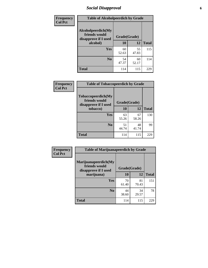# *Social Disapproval* **6**

| <b>Frequency</b> | <b>Table of Alcoholpeerdich by Grade</b>                    |              |             |              |  |  |  |
|------------------|-------------------------------------------------------------|--------------|-------------|--------------|--|--|--|
| <b>Col Pct</b>   | Alcoholpeerdich(My<br>friends would<br>disapprove if I used | Grade(Grade) |             |              |  |  |  |
|                  | alcohol)                                                    | 10           | 12          | <b>Total</b> |  |  |  |
|                  | <b>Yes</b>                                                  | 60<br>52.63  | 55<br>47.83 | 115          |  |  |  |
|                  | N <sub>0</sub>                                              | 54<br>47.37  | 60<br>52.17 | 114          |  |  |  |
|                  | <b>Total</b>                                                | 114          | 115         | 229          |  |  |  |

| <b>Frequency</b> |
|------------------|
| <b>Col Pct</b>   |

| <b>Table of Tobaccopeerdich by Grade</b>                    |              |              |     |  |  |
|-------------------------------------------------------------|--------------|--------------|-----|--|--|
| Tobaccopeerdich(My<br>friends would<br>disapprove if I used | Grade(Grade) |              |     |  |  |
| tobacco)                                                    | 10           | <b>Total</b> |     |  |  |
| Yes                                                         | 63<br>55.26  | 67<br>58.26  | 130 |  |  |
| N <sub>0</sub>                                              | 51<br>44.74  | 48<br>41.74  | 99  |  |  |
| <b>Total</b>                                                | 114          | 115          |     |  |  |

| Frequency      | <b>Table of Marijuanapeerdich by Grade</b>                    |              |             |              |  |  |
|----------------|---------------------------------------------------------------|--------------|-------------|--------------|--|--|
| <b>Col Pct</b> | Marijuanapeerdich(My<br>friends would<br>disapprove if I used | Grade(Grade) |             |              |  |  |
|                | marijuana)                                                    | 10           | 12          | <b>Total</b> |  |  |
|                | <b>Yes</b>                                                    | 70<br>61.40  | 81<br>70.43 | 151          |  |  |
|                | N <sub>0</sub>                                                | 44<br>38.60  | 34<br>29.57 | 78           |  |  |
|                | <b>Total</b>                                                  | 114          | 115         | 229          |  |  |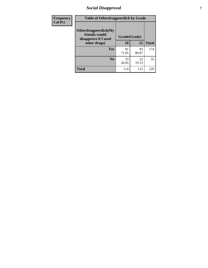# *Social Disapproval* **7**

| Frequency      | <b>Table of Otherdrugpeerdich by Grade</b>                    |              |             |              |  |  |
|----------------|---------------------------------------------------------------|--------------|-------------|--------------|--|--|
| <b>Col Pct</b> | Otherdrugpeerdich(My<br>friends would<br>disapprove if I used | Grade(Grade) |             |              |  |  |
|                | other drugs)                                                  | 10           | 12          | <b>Total</b> |  |  |
|                | <b>Yes</b>                                                    | 81<br>71.05  | 93<br>80.87 | 174          |  |  |
|                | N <sub>0</sub>                                                | 33<br>28.95  | 22<br>19.13 | 55           |  |  |
|                | <b>Total</b>                                                  | 114          | 115         | 229          |  |  |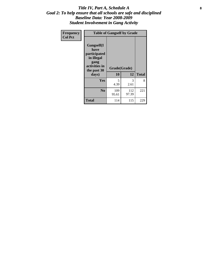#### Title IV, Part A, Schedule A **8** *Goal 2: To help ensure that all schools are safe and disciplined Baseline Data: Year 2008-2009 Student Involvement in Gang Activity*

| Frequency      | <b>Table of Gangself by Grade</b>                                                                 |                    |              |              |  |
|----------------|---------------------------------------------------------------------------------------------------|--------------------|--------------|--------------|--|
| <b>Col Pct</b> | Gangself(I<br>have<br>participated<br>in illegal<br>gang<br>activities in<br>the past 30<br>days) | Grade(Grade)<br>10 | 12           | <b>Total</b> |  |
|                | Yes                                                                                               | 5<br>4.39          | 3<br>2.61    | 8            |  |
|                | N <sub>0</sub>                                                                                    | 109<br>95.61       | 112<br>97.39 | 221          |  |
|                | <b>Total</b>                                                                                      | 114                | 115          | 229          |  |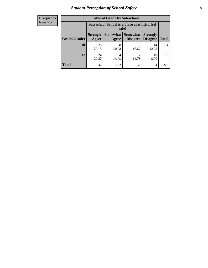# *Student Perception of School Safety* **9**

| <b>Frequency</b><br>Row Pct |
|-----------------------------|
|                             |

| <b>Table of Grade by Safeschool</b> |                          |                                                        |                                 |                                    |              |  |
|-------------------------------------|--------------------------|--------------------------------------------------------|---------------------------------|------------------------------------|--------------|--|
|                                     |                          | Safeschool (School is a place at which I feel<br>safe) |                                 |                                    |              |  |
| Grade(Grade)                        | <b>Strongly</b><br>Agree | Agree                                                  | Somewhat   Somewhat<br>Disagree | <b>Strongly</b><br><b>Disagree</b> | <b>Total</b> |  |
| 10                                  | 23<br>20.18              | 58<br>50.88                                            | 19<br>16.67                     | 14<br>12.28                        | 114          |  |
| 12                                  | 24<br>20.87              | 64<br>55.65                                            | 17<br>14.78                     | 10<br>8.70                         | 115          |  |
| <b>Total</b>                        | 47                       | 122                                                    | 36                              | 24                                 | 229          |  |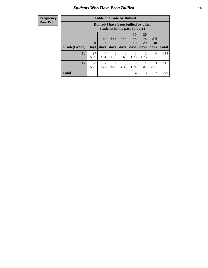### *Students Who Have Been Bullied* **10**

#### **Frequency Row Pct**

| <b>Table of Grade by Bullied</b> |                            |                                                                               |                   |                   |                               |                               |                          |              |
|----------------------------------|----------------------------|-------------------------------------------------------------------------------|-------------------|-------------------|-------------------------------|-------------------------------|--------------------------|--------------|
|                                  |                            | <b>Bullied</b> (I have been bullied by other<br>students in the past 30 days) |                   |                   |                               |                               |                          |              |
| Grade(Grade)                     | $\boldsymbol{0}$<br>  Davs | 1 or<br>days                                                                  | 3 to<br>5<br>days | 6 to<br>9<br>days | <b>10</b><br>to<br>19<br>days | <b>20</b><br>to<br>29<br>days | <b>All</b><br>30<br>days | <b>Total</b> |
| 10                               | 97<br>85.09                | 4<br>3.51                                                                     | 2<br>1.75         | 3<br>2.63         | 2<br>1.75                     | 2<br>1.75                     | 4<br>3.51                | 114          |
| 12                               | 98<br>85.22                | $\overline{c}$<br>1.74                                                        | 4<br>3.48         | 5<br>4.35         | 2<br>1.74                     | 0.87                          | 3<br>2.61                | 115          |
| <b>Total</b>                     | 195                        | 6                                                                             | 6                 | 8                 | 4                             | 3                             | $\mathcal{I}$            | 229          |

 $\blacksquare$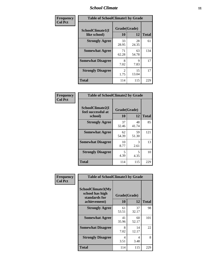#### *School Climate* **11**

| Frequency      | <b>Table of SchoolClimate1 by Grade</b> |                    |             |              |  |
|----------------|-----------------------------------------|--------------------|-------------|--------------|--|
| <b>Col Pct</b> | SchoolClimate1(I<br>like school)        | Grade(Grade)<br>10 | 12          | <b>Total</b> |  |
|                | <b>Strongly Agree</b>                   | 33<br>28.95        | 28<br>24.35 | 61           |  |
|                | <b>Somewhat Agree</b>                   | 71<br>62.28        | 63<br>54.78 | 134          |  |
|                | <b>Somewhat Disagree</b>                | 8<br>7.02          | 9<br>7.83   | 17           |  |
|                | <b>Strongly Disagree</b>                | 2<br>1.75          | 15<br>13.04 | 17           |  |
|                | <b>Total</b>                            | 114                | 115         | 229          |  |

| Frequency<br>Col Pct |
|----------------------|

| <b>Table of SchoolClimate2 by Grade</b>           |                    |             |              |
|---------------------------------------------------|--------------------|-------------|--------------|
| SchoolClimate2(I<br>feel successful at<br>school) | Grade(Grade)<br>10 | 12          | <b>Total</b> |
| <b>Strongly Agree</b>                             | 37<br>32.46        | 48<br>41.74 | 85           |
| <b>Somewhat Agree</b>                             | 62<br>54.39        | 59<br>51.30 | 121          |
| <b>Somewhat Disagree</b>                          | 10<br>8.77         | 3<br>2.61   | 13           |
| <b>Strongly Disagree</b>                          | 5<br>4.39          | 5<br>4.35   | 10           |
| <b>Total</b>                                      | 114                | 115         | 229          |

| Frequency      | <b>Table of SchoolClimate3 by Grade</b>                      |              |             |              |  |
|----------------|--------------------------------------------------------------|--------------|-------------|--------------|--|
| <b>Col Pct</b> | <b>SchoolClimate3(My</b><br>school has high<br>standards for | Grade(Grade) |             |              |  |
|                | achievement)                                                 | 10           | 12          | <b>Total</b> |  |
|                | <b>Strongly Agree</b>                                        | 61<br>53.51  | 37<br>32.17 | 98           |  |
|                | <b>Somewhat Agree</b>                                        | 41<br>35.96  | 60<br>52.17 | 101          |  |
|                | <b>Somewhat Disagree</b>                                     | 8<br>7.02    | 14<br>12.17 | 22           |  |
|                | <b>Strongly Disagree</b>                                     | 4<br>3.51    | 4<br>3.48   | 8            |  |
|                | Total                                                        | 114          | 115         | 229          |  |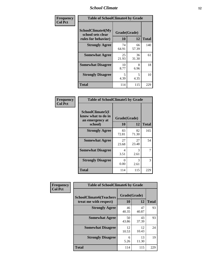#### *School Climate* **12**

| Frequency      |                                                                      | <b>Table of SchoolClimate4 by Grade</b> |             |              |  |
|----------------|----------------------------------------------------------------------|-----------------------------------------|-------------|--------------|--|
| <b>Col Pct</b> | <b>SchoolClimate4(My</b><br>school sets clear<br>rules for behavior) | Grade(Grade)<br>10                      | 12          | <b>Total</b> |  |
|                | <b>Strongly Agree</b>                                                | 74<br>64.91                             | 66<br>57.39 | 140          |  |
|                | <b>Somewhat Agree</b>                                                | 25<br>21.93                             | 36<br>31.30 | 61           |  |
|                | <b>Somewhat Disagree</b>                                             | 10<br>8.77                              | 8<br>6.96   | 18           |  |
|                | <b>Strongly Disagree</b>                                             | 5<br>4.39                               | 5<br>4.35   | 10           |  |
|                | <b>Total</b>                                                         | 114                                     | 115         | 229          |  |

| <b>Table of SchoolClimate5 by Grade</b>                              |                    |              |     |  |
|----------------------------------------------------------------------|--------------------|--------------|-----|--|
| SchoolClimate5(I<br>know what to do in<br>an emergency at<br>school) | Grade(Grade)<br>10 | <b>Total</b> |     |  |
| <b>Strongly Agree</b>                                                | 83<br>72.81        | 82<br>71.30  | 165 |  |
| <b>Somewhat Agree</b>                                                | 27<br>23.68        | 27<br>23.48  | 54  |  |
| <b>Somewhat Disagree</b>                                             | 4<br>3.51          | 3<br>2.61    | 7   |  |
| <b>Strongly Disagree</b>                                             | 0<br>0.00          | 3<br>2.61    | 3   |  |
| Total                                                                | 114                | 115          | 229 |  |

| Frequency      | <b>Table of SchoolClimate6 by Grade</b>                  |                    |             |              |
|----------------|----------------------------------------------------------|--------------------|-------------|--------------|
| <b>Col Pct</b> | <b>SchoolClimate6(Teachers</b><br>treat me with respect) | Grade(Grade)<br>10 | 12          | <b>Total</b> |
|                | <b>Strongly Agree</b>                                    | 46<br>40.35        | 47<br>40.87 | 93           |
|                | <b>Somewhat Agree</b>                                    | 50<br>43.86        | 43<br>37.39 | 93           |
|                | <b>Somewhat Disagree</b>                                 | 12<br>10.53        | 12<br>10.43 | 24           |
|                | <b>Strongly Disagree</b>                                 | 6<br>5.26          | 13<br>11.30 | 19           |
|                | <b>Total</b>                                             | 114                | 115         | 229          |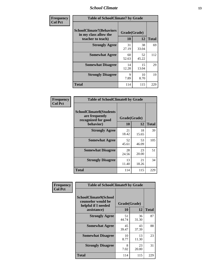#### *School Climate* **13**

| Frequency      | <b>Table of SchoolClimate7 by Grade</b>                                       |                           |             |              |
|----------------|-------------------------------------------------------------------------------|---------------------------|-------------|--------------|
| <b>Col Pct</b> | <b>SchoolClimate7(Behaviors</b><br>in my class allow the<br>teacher to teach) | Grade(Grade)<br><b>10</b> | 12          | <b>Total</b> |
|                | <b>Strongly Agree</b>                                                         | 31<br>27.19               | 38<br>33.04 | 69           |
|                | <b>Somewhat Agree</b>                                                         | 60<br>52.63               | 52<br>45.22 | 112          |
|                | <b>Somewhat Disagree</b>                                                      | 14<br>12.28               | 15<br>13.04 | 29           |
|                | <b>Strongly Disagree</b>                                                      | $\mathbf Q$<br>7.89       | 10<br>8.70  | 19           |
|                | <b>Total</b>                                                                  | 114                       | 115         | 229          |

| Frequency      | <b>Table of SchoolClimate8 by Grade</b>                                 |              |             |              |
|----------------|-------------------------------------------------------------------------|--------------|-------------|--------------|
| <b>Col Pct</b> | <b>SchoolClimate8(Students</b><br>are frequently<br>recognized for good | Grade(Grade) |             |              |
|                | behavior)                                                               | 10           | 12          | <b>Total</b> |
|                | <b>Strongly Agree</b>                                                   | 21<br>18.42  | 18<br>15.65 | 39           |
|                | <b>Somewhat Agree</b>                                                   | 52<br>45.61  | 53<br>46.09 | 105          |
|                | <b>Somewhat Disagree</b>                                                | 28<br>24.56  | 23<br>20.00 | 51           |
|                | <b>Strongly Disagree</b>                                                | 13<br>11.40  | 21<br>18.26 | 34           |
|                | <b>Total</b>                                                            | 114          | 115         | 229          |

| <b>Frequency</b> | <b>Table of SchoolClimate9 by Grade</b>                                           |                    |             |              |
|------------------|-----------------------------------------------------------------------------------|--------------------|-------------|--------------|
| <b>Col Pct</b>   | SchoolClimate9(School<br>counselor would be<br>helpful if I needed<br>assistance) | Grade(Grade)<br>10 | 12          | <b>Total</b> |
|                  | <b>Strongly Agree</b>                                                             | 51<br>44.74        | 36<br>31.30 | 87           |
|                  | <b>Somewhat Agree</b>                                                             | 45<br>39.47        | 43<br>37.39 | 88           |
|                  | <b>Somewhat Disagree</b>                                                          | 10<br>8.77         | 13<br>11.30 | 23           |
|                  | <b>Strongly Disagree</b>                                                          | 8<br>7.02          | 23<br>20.00 | 31           |
|                  | <b>Total</b>                                                                      | 114                | 115         | 229          |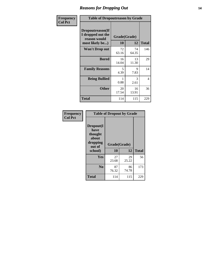### *Reasons for Dropping Out* **14**

| Frequency      | <b>Table of Dropoutreason by Grade</b>                                   |                    |             |                |
|----------------|--------------------------------------------------------------------------|--------------------|-------------|----------------|
| <b>Col Pct</b> | Dropoutreason(If<br>I dropped out the<br>reason would<br>most likely be) | Grade(Grade)<br>10 | 12          | <b>Total</b>   |
|                | Won't Drop out                                                           | 72<br>63.16        | 74<br>64.35 | 146            |
|                | <b>Bored</b>                                                             | 16<br>14.04        | 13<br>11.30 | 29             |
|                | <b>Family Reasons</b>                                                    | 5<br>4.39          | 9<br>7.83   | 14             |
|                | <b>Being Bullied</b>                                                     | 0.88               | 3<br>2.61   | $\overline{4}$ |
|                | <b>Other</b>                                                             | 20<br>17.54        | 16<br>13.91 | 36             |
|                | <b>Total</b>                                                             | 114                | 115         | 229            |

| Frequency      | <b>Table of Dropout by Grade</b>                                       |                    |              |     |  |
|----------------|------------------------------------------------------------------------|--------------------|--------------|-----|--|
| <b>Col Pct</b> | Dropout(I<br>have<br>thought<br>about<br>dropping<br>out of<br>school) | Grade(Grade)<br>10 | <b>Total</b> |     |  |
|                |                                                                        |                    | 12           |     |  |
|                | Yes                                                                    | 27<br>23.68        | 29<br>25.22  | 56  |  |
|                |                                                                        |                    |              |     |  |
|                | N <sub>0</sub>                                                         | 87<br>76.32        | 86<br>74.78  | 173 |  |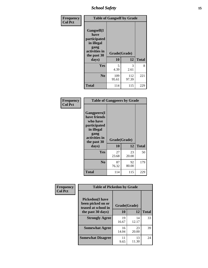*School Safety* **15**

| Frequency      | <b>Table of Gangself by Grade</b>                                                                 |                    |                       |              |
|----------------|---------------------------------------------------------------------------------------------------|--------------------|-----------------------|--------------|
| <b>Col Pct</b> | Gangself(I<br>have<br>participated<br>in illegal<br>gang<br>activities in<br>the past 30<br>days) | Grade(Grade)<br>10 | 12                    | <b>Total</b> |
|                | Yes                                                                                               | 5<br>4.39          | $\mathcal{R}$<br>2.61 | 8            |
|                | N <sub>0</sub>                                                                                    | 109<br>95.61       | 112<br>97.39          | 221          |
|                | <b>Total</b>                                                                                      | 114                | 115                   | 229          |

| Frequency<br><b>Col Pct</b> | <b>Table of Gangpeers by Grade</b>                                                                                             |                    |             |              |
|-----------------------------|--------------------------------------------------------------------------------------------------------------------------------|--------------------|-------------|--------------|
|                             | <b>Gangpeers</b> (I<br>have friends<br>who have<br>participated<br>in illegal<br>gang<br>activities in<br>the past 30<br>days) | Grade(Grade)<br>10 | 12          | <b>Total</b> |
|                             | <b>Yes</b>                                                                                                                     | 27<br>23.68        | 23<br>20.00 | 50           |
|                             | N <sub>0</sub>                                                                                                                 | 87<br>76.32        | 92<br>80.00 | 179          |
|                             | <b>Total</b>                                                                                                                   | 114                | 115         | 229          |

| Frequency      |                                                                    | <b>Table of Pickedon by Grade</b> |             |              |  |  |  |  |  |  |  |
|----------------|--------------------------------------------------------------------|-----------------------------------|-------------|--------------|--|--|--|--|--|--|--|
| <b>Col Pct</b> | <b>Pickedon(I have</b><br>been picked on or<br>teased at school in | Grade(Grade)                      |             |              |  |  |  |  |  |  |  |
|                | the past 30 days)                                                  | 10                                | 12          | <b>Total</b> |  |  |  |  |  |  |  |
|                | <b>Strongly Agree</b>                                              | 19<br>16.67                       | 14<br>12.17 | 33           |  |  |  |  |  |  |  |
|                | <b>Somewhat Agree</b>                                              | 16<br>14.04                       | 23<br>20.00 | 39           |  |  |  |  |  |  |  |
|                | <b>Somewhat Disagree</b>                                           | 11<br>9.65                        | 13<br>11.30 | 24           |  |  |  |  |  |  |  |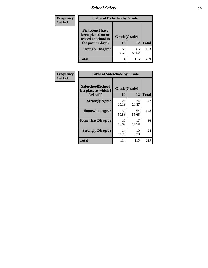# *School Safety* **16**

| <b>Frequency</b> | <b>Table of Pickedon by Grade</b>                                                        |                    |             |              |  |  |  |  |  |  |
|------------------|------------------------------------------------------------------------------------------|--------------------|-------------|--------------|--|--|--|--|--|--|
| <b>Col Pct</b>   | <b>Pickedon</b> (I have<br>been picked on or<br>teased at school in<br>the past 30 days) | Grade(Grade)<br>10 | 12          | <b>Total</b> |  |  |  |  |  |  |
|                  | <b>Strongly Disagree</b>                                                                 | 68<br>59.65        | 65<br>56.52 | 133          |  |  |  |  |  |  |
|                  | Total                                                                                    | 114                | 115         | 229          |  |  |  |  |  |  |

| Frequency      | <b>Table of Safeschool by Grade</b>                      |                    |              |     |  |  |  |  |  |  |
|----------------|----------------------------------------------------------|--------------------|--------------|-----|--|--|--|--|--|--|
| <b>Col Pct</b> | Safeschool(School<br>is a place at which I<br>feel safe) | Grade(Grade)<br>10 | <b>Total</b> |     |  |  |  |  |  |  |
|                | <b>Strongly Agree</b>                                    | 23<br>20.18        | 24<br>20.87  | 47  |  |  |  |  |  |  |
|                | <b>Somewhat Agree</b>                                    | 58<br>50.88        | 64<br>55.65  | 122 |  |  |  |  |  |  |
|                | <b>Somewhat Disagree</b>                                 | 19<br>16.67        | 17<br>14.78  | 36  |  |  |  |  |  |  |
|                | <b>Strongly Disagree</b>                                 | 14<br>12.28        | 10<br>8.70   | 24  |  |  |  |  |  |  |
|                | <b>Total</b>                                             | 114                | 115          | 229 |  |  |  |  |  |  |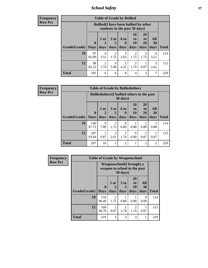*School Safety* **17**

| Frequency |  |
|-----------|--|
| Row Pct   |  |

| <b>Table of Grade by Bullied</b> |             |                                                                               |                              |                   |                        |                        |                   |              |  |  |  |
|----------------------------------|-------------|-------------------------------------------------------------------------------|------------------------------|-------------------|------------------------|------------------------|-------------------|--------------|--|--|--|
|                                  |             | <b>Bullied</b> (I have been bullied by other<br>students in the past 30 days) |                              |                   |                        |                        |                   |              |  |  |  |
| Grade(Grade)   Days              | $\mathbf 0$ | $1$ or<br>days                                                                | 3 <sub>to</sub><br>5<br>days | 6 to<br>9<br>days | 10<br>to<br>19<br>days | 20<br>to<br>29<br>days | All<br>30<br>days | <b>Total</b> |  |  |  |
| 10                               | 97<br>85.09 | 4<br>3.51                                                                     | 2<br>1.75                    | 3<br>2.63         | 1.75                   | 2<br>1.75              | 4<br>3.51         | 114          |  |  |  |
| 12                               | 98<br>85.22 | $\mathfrak{D}$<br>1.74                                                        | 4<br>3.48                    | 4.35              | 2<br>1.74              | 0.87                   | 3<br>2.61         | 115          |  |  |  |
| <b>Total</b>                     | 195         | 6                                                                             | 6                            | 8                 | 4                      | 3                      |                   | 229          |  |  |  |

| <b>Frequency</b> |
|------------------|
| <b>Row Pct</b>   |

| <b>Table of Grade by Bulliedothers</b> |              |                                                                                                   |                        |                        |           |                |                |              |  |  |  |
|----------------------------------------|--------------|---------------------------------------------------------------------------------------------------|------------------------|------------------------|-----------|----------------|----------------|--------------|--|--|--|
|                                        |              | <b>Bulliedothers</b> (I bullied others in the past<br>$30 \text{ days}$                           |                        |                        |           |                |                |              |  |  |  |
|                                        | $\mathbf 0$  | 10<br>20<br>All<br>3 <sub>to</sub><br>$1$ or<br>6 to<br>to<br>to<br>19<br>29<br>30<br>2<br>9<br>5 |                        |                        |           |                |                |              |  |  |  |
| Grade(Grade)   Days                    |              | days                                                                                              | days                   | days                   | days      | days           | days           | <b>Total</b> |  |  |  |
| 10                                     | 100<br>87.72 | 9<br>7.89                                                                                         | $\overline{2}$<br>1.75 | 0<br>0.00              | 0.88      | 0.88           | 0.88           | 114          |  |  |  |
| 12                                     | 107<br>93.04 | 0.87                                                                                              | $\mathcal{R}$<br>2.61  | $\overline{2}$<br>1.74 | 0<br>0.00 | 0.87           | 0.87           | 115          |  |  |  |
| <b>Total</b>                           | 207          | 10                                                                                                | 5                      | $\mathfrak{D}$         |           | $\mathfrak{D}$ | $\mathfrak{D}$ | 229          |  |  |  |

| Frequency      | <b>Table of Grade by Weaponschool</b> |                         |                                                                  |                   |                               |                   |              |  |  |
|----------------|---------------------------------------|-------------------------|------------------------------------------------------------------|-------------------|-------------------------------|-------------------|--------------|--|--|
| <b>Row Pct</b> |                                       |                         | <b>Weaponschool</b> (I brought a<br>weapon to school in the past | 30 days)          |                               |                   |              |  |  |
|                | Grade(Grade)                          | $\bf{0}$<br><b>Days</b> | 1 or<br>days                                                     | 3 to<br>5<br>days | <b>20</b><br>to<br>29<br>days | All<br>30<br>days | <b>Total</b> |  |  |
|                | 10                                    | 110<br>96.49            | 2<br>1.75                                                        | 0.88              | 0.88                          | 0<br>0.00         | 114          |  |  |
|                | 12                                    | 109<br>94.78            | 0.87                                                             | 2<br>1.74         | 2<br>1.74                     | 0.87              | 115          |  |  |
|                | <b>Total</b>                          | 219                     | 3                                                                | 3                 | 3                             | 1                 | 229          |  |  |

ł,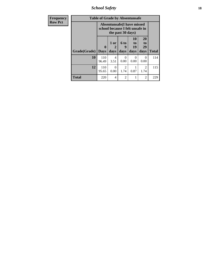*School Safety* **18**

| <b>Frequency</b> | <b>Table of Grade by Absentunsafe</b> |                                                                      |                   |                        |                        |                        |              |  |  |  |
|------------------|---------------------------------------|----------------------------------------------------------------------|-------------------|------------------------|------------------------|------------------------|--------------|--|--|--|
| <b>Row Pct</b>   |                                       | <b>Absentunsafe(I have missed</b><br>school because I felt unsafe in |                   |                        |                        |                        |              |  |  |  |
|                  | Grade(Grade)                          | 0<br><b>Days</b>                                                     | 1 or<br>2<br>days | 6 to<br>9<br>days      | 10<br>to<br>19<br>days | 20<br>to<br>29<br>days | <b>Total</b> |  |  |  |
|                  | 10                                    | 110<br>96.49                                                         | 4<br>3.51         | 0<br>0.00              | $\Omega$<br>0.00       | 0<br>0.00              | 114          |  |  |  |
|                  | 12                                    | 110<br>95.65                                                         | $\Omega$<br>0.00  | $\mathfrak{D}$<br>1.74 | 0.87                   | $\mathfrak{D}$<br>1.74 | 115          |  |  |  |
|                  | Total                                 | 220                                                                  | 4                 | $\overline{c}$         | 1                      | $\overline{2}$         | 229          |  |  |  |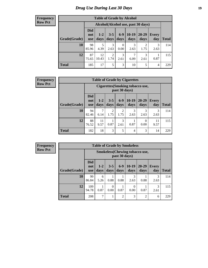# *Drug Use During Last 30 Days* **19**

#### **Frequency Row Pct**

| <b>Table of Grade by Alcohol</b> |                                     |                 |                 |                  |                 |               |              |       |  |  |
|----------------------------------|-------------------------------------|-----------------|-----------------|------------------|-----------------|---------------|--------------|-------|--|--|
|                                  | Alcohol (Alcohol use, past 30 days) |                 |                 |                  |                 |               |              |       |  |  |
| Grade(Grade)                     | <b>Did</b><br>not<br>use            | $1 - 2$<br>days | $3 - 5$<br>days | $6-9$<br>days    | $10-19$<br>days | 20-29<br>days | Every<br>day | Total |  |  |
| 10                               | 98<br>85.96                         | 5<br>4.39       | 3<br>2.63       | $\Omega$<br>0.00 | 3<br>2.63       | 2<br>1.75     | 3<br>2.63    | 114   |  |  |
| 12                               | 87<br>75.65                         | 12<br>10.43     | 2<br>1.74       | 3<br>2.61        | 7<br>6.09       | 3<br>2.61     | 0.87         | 115   |  |  |
| <b>Total</b>                     | 185                                 | 17              | 5               | 3                | 10              | 5             | 4            | 229   |  |  |

#### **Frequency Row Pct**

| <b>Table of Grade by Cigarettes</b> |                                                                                                                                            |                                                   |                        |                        |           |           |           |              |  |  |
|-------------------------------------|--------------------------------------------------------------------------------------------------------------------------------------------|---------------------------------------------------|------------------------|------------------------|-----------|-----------|-----------|--------------|--|--|
|                                     |                                                                                                                                            | Cigarettes (Smoking tobacco use,<br>past 30 days) |                        |                        |           |           |           |              |  |  |
| Grade(Grade)                        | <b>Did</b><br>$6-9$<br>$10-19$<br>20-29<br>$3 - 5$<br>$1 - 2$<br>Every<br>not<br>days<br>days<br>days<br>days<br>day<br>days<br><b>use</b> |                                                   |                        |                        |           |           |           | <b>Total</b> |  |  |
| 10                                  | 94<br>82.46                                                                                                                                | 7<br>6.14                                         | $\overline{2}$<br>1.75 | $\overline{c}$<br>1.75 | 3<br>2.63 | 3<br>2.63 | 3<br>2.63 | 114          |  |  |
| 12                                  | 88<br>11<br>3<br>11<br>0<br>0.87<br>0.87<br>0.00<br>76.52<br>9.57<br>2.61<br>9.57                                                          |                                                   |                        |                        |           |           |           |              |  |  |
| <b>Total</b>                        | 182                                                                                                                                        | 18                                                | 3                      | 5                      | 4         | 3         | 14        | 229          |  |  |

**Frequency Row Pct**

| <b>Table of Grade by Smokeless</b> |                                                                                                                                                |                                                         |      |                |           |                |           |     |  |
|------------------------------------|------------------------------------------------------------------------------------------------------------------------------------------------|---------------------------------------------------------|------|----------------|-----------|----------------|-----------|-----|--|
|                                    |                                                                                                                                                | <b>Smokeless</b> (Chewing tobacco use,<br>past 30 days) |      |                |           |                |           |     |  |
| Grade(Grade)                       | <b>Did</b><br>$10-19$<br>$6 - 9$<br>$3 - 5$<br>$20-29$<br>$1 - 2$<br>Every<br>not<br>days<br>days<br>day<br>days<br>days<br>days<br><b>use</b> |                                                         |      |                |           |                |           |     |  |
| 10                                 | 99<br>86.84                                                                                                                                    | 6<br>5.26                                               | 0.88 | 0.88           | 3<br>2.63 | 0.88           | 3<br>2.63 | 114 |  |
| 12                                 | 109<br>3<br>0<br>0<br>0.87<br>0.87<br>0.87<br>94.78<br>0.00<br>0.00<br>2.61                                                                    |                                                         |      |                |           |                |           |     |  |
| <b>Total</b>                       | 208                                                                                                                                            | 7                                                       | 1    | $\overline{2}$ | 3         | $\overline{2}$ | 6         | 229 |  |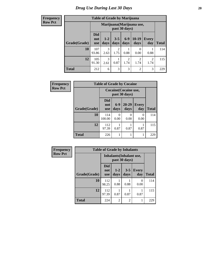**Frequency Row Pct**

| <b>Table of Grade by Marijuana</b> |                                 |                                            |                 |               |                 |                     |              |  |
|------------------------------------|---------------------------------|--------------------------------------------|-----------------|---------------|-----------------|---------------------|--------------|--|
|                                    |                                 | Marijuana (Marijuana use,<br>past 30 days) |                 |               |                 |                     |              |  |
| Grade(Grade)                       | <b>Did</b><br>not<br><b>use</b> | $1 - 2$<br>days                            | $3 - 5$<br>days | $6-9$<br>days | $10-19$<br>days | <b>Every</b><br>day | <b>Total</b> |  |
| 10                                 | 107<br>93.86                    | 3<br>2.63                                  | 2<br>1.75       | 0.88          | 0<br>0.00       | 0.88                | 114          |  |
| 12                                 | 105<br>91.30                    | 3<br>2.61                                  | 0.87            | 2<br>1.74     | 2<br>1.74       | 2<br>1.74           | 115          |  |
| <b>Total</b>                       | 212                             | 6                                          | 3               | 3             | $\overline{2}$  | 3                   | 229          |  |

| Frequency      | <b>Table of Grade by Cocaine</b> |                                 |                  |                                        |                     |              |  |  |
|----------------|----------------------------------|---------------------------------|------------------|----------------------------------------|---------------------|--------------|--|--|
| <b>Row Pct</b> |                                  |                                 |                  | Cocaine (Cocaine use,<br>past 30 days) |                     |              |  |  |
|                | Grade(Grade)                     | <b>Did</b><br>not<br><b>use</b> | $6-9$<br>days    | $20 - 29$<br>days                      | <b>Every</b><br>day | <b>Total</b> |  |  |
|                | 10                               | 114<br>100.00                   | $\Omega$<br>0.00 | $\mathbf{\Omega}$<br>0.00              | 0<br>0.00           | 114          |  |  |
|                | 12                               | 112<br>97.39                    | 0.87             | 0.87                                   | 0.87                | 115          |  |  |
|                | <b>Total</b>                     | 226                             |                  |                                        |                     | 229          |  |  |

| Frequency      | <b>Table of Grade by Inhalants</b> |                                 |                                           |                 |              |              |  |
|----------------|------------------------------------|---------------------------------|-------------------------------------------|-----------------|--------------|--------------|--|
| <b>Row Pct</b> |                                    |                                 | Inhalants (Inhalant use,<br>past 30 days) |                 |              |              |  |
|                | Grade(Grade)                       | <b>Did</b><br>not<br><b>use</b> | $1-2$<br>days                             | $3 - 5$<br>days | Every<br>day | <b>Total</b> |  |
|                | 10                                 | 112<br>98.25                    | 0.88                                      | 0.88            | 0<br>0.00    | 114          |  |
|                | 12                                 | 112<br>97.39                    | 0.87                                      | 0.87            | 0.87         | 115          |  |
|                | <b>Total</b>                       | 224                             | $\overline{2}$                            | $\overline{2}$  | 1            | 229          |  |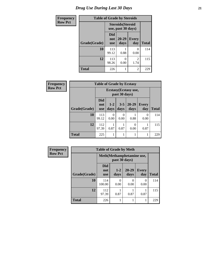# *Drug Use During Last 30 Days* **21**

| <b>Frequency</b> | <b>Table of Grade by Steroids</b> |                                 |                                                |                        |              |  |
|------------------|-----------------------------------|---------------------------------|------------------------------------------------|------------------------|--------------|--|
| <b>Row Pct</b>   |                                   |                                 | <b>Steroids</b> (Steroid<br>use, past 30 days) |                        |              |  |
|                  | Grade(Grade)                      | <b>Did</b><br>not<br><b>use</b> | 20-29<br>days                                  | <b>Every</b><br>day    | <b>Total</b> |  |
|                  | 10                                | 113<br>99.12                    | 0.88                                           | 0.00                   | 114          |  |
|                  | 12                                | 113<br>98.26                    | $\Omega$<br>0.00                               | $\mathfrak{D}$<br>1.74 | 115          |  |
|                  | <b>Total</b>                      | 226                             |                                                | $\overline{2}$         | 229          |  |

| Frequency      | <b>Table of Grade by Ecstasy</b> |                                 |                 |                 |                   |                  |              |  |
|----------------|----------------------------------|---------------------------------|-----------------|-----------------|-------------------|------------------|--------------|--|
| <b>Row Pct</b> |                                  |                                 |                 |                 |                   |                  |              |  |
|                | Grade(Grade)                     | <b>Did</b><br>not<br><b>use</b> | $1 - 2$<br>days | $3 - 5$<br>days | $20 - 29$<br>days | Every<br>day     | <b>Total</b> |  |
|                | 10                               | 113<br>99.12                    | 0.00            | 0<br>0.00       | 0.88              | $\Omega$<br>0.00 | 114          |  |
|                | 12                               | 112<br>97.39                    | 0.87            | 0.87            | 0<br>0.00         | 0.87             | 115          |  |
|                | <b>Total</b>                     | 225                             |                 |                 |                   | 1                | 229          |  |

| <b>Frequency</b> |              | <b>Table of Grade by Meth</b>               |               |                  |                     |              |  |  |
|------------------|--------------|---------------------------------------------|---------------|------------------|---------------------|--------------|--|--|
| <b>Row Pct</b>   |              | Meth (Methamphetamine use,<br>past 30 days) |               |                  |                     |              |  |  |
|                  | Grade(Grade) | <b>Did</b><br>not<br><b>use</b>             | $1-2$<br>days | 20-29<br>days    | <b>Every</b><br>day | <b>Total</b> |  |  |
|                  | 10           | 114<br>100.00                               | 0<br>0.00     | $\left($<br>0.00 | $\Omega$<br>0.00    | 114          |  |  |
|                  | 12           | 112<br>97.39                                | 0.87          | 0.87             | 0.87                | 115          |  |  |
|                  | <b>Total</b> | 226                                         |               |                  |                     | 229          |  |  |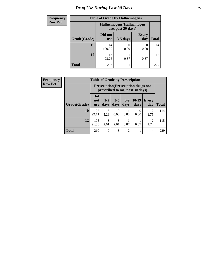# *Drug Use During Last 30 Days* **22**

| <b>Frequency</b> | <b>Table of Grade by Hallucinogens</b> |                       |                                                   |                     |              |  |  |  |  |
|------------------|----------------------------------------|-----------------------|---------------------------------------------------|---------------------|--------------|--|--|--|--|
| <b>Row Pct</b>   |                                        |                       | Hallucinogens (Hallucinogen<br>use, past 30 days) |                     |              |  |  |  |  |
|                  | Grade(Grade)                           | Did not<br><b>use</b> | $3-5$ days                                        | <b>Every</b><br>day | <b>Total</b> |  |  |  |  |
|                  | 10                                     | 114<br>100.00         | 0.00                                              | $\theta$<br>0.00    | 114          |  |  |  |  |
|                  | 12                                     | 113<br>98.26          | 0.87                                              | 0.87                | 115          |  |  |  |  |
|                  | <b>Total</b>                           | 227                   |                                                   |                     | 229          |  |  |  |  |

| <b>Frequency</b> | <b>Table of Grade by Prescription</b> |                                                                                |                 |               |                |                  |                        |              |
|------------------|---------------------------------------|--------------------------------------------------------------------------------|-----------------|---------------|----------------|------------------|------------------------|--------------|
| Row Pct          |                                       | <b>Prescription</b> (Prescription drugs not<br>prescribed to me, past 30 days) |                 |               |                |                  |                        |              |
|                  | Grade(Grade)                          | <b>Did</b><br>not<br><b>use</b>                                                | $1 - 2$<br>days | $3-5$<br>days | $6-9$<br>days  | $10-19$<br>days  | <b>Every</b><br>day    | <b>Total</b> |
|                  | 10                                    | 105<br>92.11                                                                   | 6<br>5.26       | 0<br>0.00     | 0.88           | $\Omega$<br>0.00 | $\overline{c}$<br>1.75 | 114          |
|                  | 12                                    | 105<br>91.30                                                                   | 3<br>2.61       | 3<br>2.61     | 0.87           | 0.87             | $\overline{c}$<br>1.74 | 115          |
|                  | <b>Total</b>                          | 210                                                                            | 9               | 3             | $\overline{2}$ |                  | $\overline{4}$         | 229          |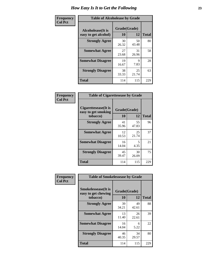| Frequency      | <b>Table of Alcoholease by Grade</b>              |                    |             |              |  |  |
|----------------|---------------------------------------------------|--------------------|-------------|--------------|--|--|
| <b>Col Pct</b> | <b>Alcoholease</b> (It is<br>easy to get alcohol) | Grade(Grade)<br>10 | 12          | <b>Total</b> |  |  |
|                | <b>Strongly Agree</b>                             | 30<br>26.32        | 50<br>43.48 | 80           |  |  |
|                | <b>Somewhat Agree</b>                             | 27<br>23.68        | 31<br>26.96 | 58           |  |  |
|                | <b>Somewhat Disagree</b>                          | 19<br>16.67        | 9<br>7.83   | 28           |  |  |
|                | <b>Strongly Disagree</b>                          | 38<br>33.33        | 25<br>21.74 | 63           |  |  |
|                | <b>Total</b>                                      | 114                | 115         | 229          |  |  |

| Frequency      |                                                         | <b>Table of Cigarettesease by Grade</b> |             |              |  |  |  |
|----------------|---------------------------------------------------------|-----------------------------------------|-------------|--------------|--|--|--|
| <b>Col Pct</b> | Cigarettesease(It is<br>easy to get smoking<br>tobacco) | Grade(Grade)<br>10                      | 12          | <b>Total</b> |  |  |  |
|                | <b>Strongly Agree</b>                                   | 41<br>35.96                             | 55<br>47.83 | 96           |  |  |  |
|                | <b>Somewhat Agree</b>                                   | 12<br>10.53                             | 25<br>21.74 | 37           |  |  |  |
|                | <b>Somewhat Disagree</b>                                | 16<br>14.04                             | 5.<br>4.35  | 21           |  |  |  |
|                | <b>Strongly Disagree</b>                                | 45<br>39.47                             | 30<br>26.09 | 75           |  |  |  |
|                | <b>Total</b>                                            | 114                                     | 115         | 229          |  |  |  |

| Frequency      | <b>Table of Smokelessease by Grade</b>             |              |             |              |  |  |  |  |
|----------------|----------------------------------------------------|--------------|-------------|--------------|--|--|--|--|
| <b>Col Pct</b> | <b>Smokelessease</b> (It is<br>easy to get chewing | Grade(Grade) |             |              |  |  |  |  |
|                | tobacco)                                           | 10           | 12          | <b>Total</b> |  |  |  |  |
|                | <b>Strongly Agree</b>                              | 39<br>34.21  | 49<br>42.61 | 88           |  |  |  |  |
|                | <b>Somewhat Agree</b>                              | 13<br>11.40  | 26<br>22.61 | 39           |  |  |  |  |
|                | <b>Somewhat Disagree</b>                           | 16<br>14.04  | 6<br>5.22   | 22           |  |  |  |  |
|                | <b>Strongly Disagree</b>                           | 46<br>40.35  | 34<br>29.57 | 80           |  |  |  |  |
|                | <b>Total</b>                                       | 114          | 115         | 229          |  |  |  |  |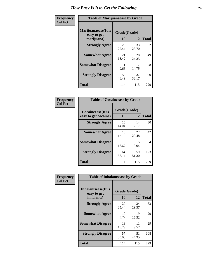| Frequency      | <b>Table of Marijuanaease by Grade</b>           |                    |             |              |  |  |
|----------------|--------------------------------------------------|--------------------|-------------|--------------|--|--|
| <b>Col Pct</b> | Marijuanaease(It is<br>easy to get<br>marijuana) | Grade(Grade)<br>10 | 12          | <b>Total</b> |  |  |
|                | <b>Strongly Agree</b>                            | 29<br>25.44        | 33<br>28.70 | 62           |  |  |
|                | <b>Somewhat Agree</b>                            | 21<br>18.42        | 28<br>24.35 | 49           |  |  |
|                | <b>Somewhat Disagree</b>                         | 11<br>9.65         | 17<br>14.78 | 28           |  |  |
|                | <b>Strongly Disagree</b>                         | 53<br>46.49        | 37<br>32.17 | 90           |  |  |
|                | <b>Total</b>                                     | 114                | 115         | 229          |  |  |

| <b>Table of Cocaineease by Grade</b>      |              |             |     |  |  |  |  |  |  |  |
|-------------------------------------------|--------------|-------------|-----|--|--|--|--|--|--|--|
| Cocaineease(It is<br>easy to get cocaine) | <b>Total</b> |             |     |  |  |  |  |  |  |  |
| <b>Strongly Agree</b>                     | 16<br>14.04  | 14<br>12.17 | 30  |  |  |  |  |  |  |  |
| <b>Somewhat Agree</b>                     | 15<br>13.16  | 27<br>23.48 | 42  |  |  |  |  |  |  |  |
| <b>Somewhat Disagree</b>                  | 19<br>16.67  | 15<br>13.04 | 34  |  |  |  |  |  |  |  |
| <b>Strongly Disagree</b>                  | 64<br>56.14  | 59<br>51.30 | 123 |  |  |  |  |  |  |  |
| <b>Total</b>                              | 114          | 115         | 229 |  |  |  |  |  |  |  |

| Frequency      | <b>Table of Inhalantsease by Grade</b>                   |                    |             |              |
|----------------|----------------------------------------------------------|--------------------|-------------|--------------|
| <b>Col Pct</b> | <b>Inhalantsease</b> (It is<br>easy to get<br>inhalants) | Grade(Grade)<br>10 | 12          | <b>Total</b> |
|                | <b>Strongly Agree</b>                                    | 29<br>25.44        | 34<br>29.57 | 63           |
|                | <b>Somewhat Agree</b>                                    | 10<br>8.77         | 19<br>16.52 | 29           |
|                | <b>Somewhat Disagree</b>                                 | 18<br>15.79        | 11<br>9.57  | 29           |
|                | <b>Strongly Disagree</b>                                 | 57<br>50.00        | 51<br>44.35 | 108          |
|                | <b>Total</b>                                             | 114                | 115         | 229          |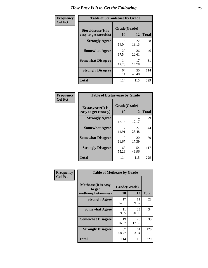| Frequency      | <b>Table of Steroidsease by Grade</b>               |                    |              |     |  |  |  |  |  |  |
|----------------|-----------------------------------------------------|--------------------|--------------|-----|--|--|--|--|--|--|
| <b>Col Pct</b> | <b>Steroidsease</b> (It is<br>easy to get steroids) | Grade(Grade)<br>10 | <b>Total</b> |     |  |  |  |  |  |  |
|                | <b>Strongly Agree</b>                               | 16<br>14.04        | 22<br>19.13  | 38  |  |  |  |  |  |  |
|                | <b>Somewhat Agree</b>                               | 20<br>17.54        | 26<br>22.61  | 46  |  |  |  |  |  |  |
|                | <b>Somewhat Disagree</b>                            | 14<br>12.28        | 17<br>14.78  | 31  |  |  |  |  |  |  |
|                | <b>Strongly Disagree</b>                            | 64<br>56.14        | 50<br>43.48  | 114 |  |  |  |  |  |  |
|                | <b>Total</b>                                        | 114                | 115          | 229 |  |  |  |  |  |  |

| Frequency      |                                                   |                    | <b>Table of Ecstasyease by Grade</b> |              |  |  |  |
|----------------|---------------------------------------------------|--------------------|--------------------------------------|--------------|--|--|--|
| <b>Col Pct</b> | <b>Ecstasyease</b> (It is<br>easy to get ecstasy) | Grade(Grade)<br>10 | 12                                   | <b>Total</b> |  |  |  |
|                | <b>Strongly Agree</b>                             | 15<br>13.16        | 14<br>12.17                          | 29           |  |  |  |
|                | <b>Somewhat Agree</b>                             | 17<br>14.91        | 27<br>23.48                          | 44           |  |  |  |
|                | <b>Somewhat Disagree</b>                          | 19<br>16.67        | 20<br>17.39                          | 39           |  |  |  |
|                | <b>Strongly Disagree</b>                          | 63<br>55.26        | 54<br>46.96                          | 117          |  |  |  |
|                | <b>Total</b>                                      | 114                | 115                                  | 229          |  |  |  |

| Frequency      | <b>Table of Methease by Grade</b>     |              |             |              |
|----------------|---------------------------------------|--------------|-------------|--------------|
| <b>Col Pct</b> | <b>Methease</b> (It is easy<br>to get | Grade(Grade) |             |              |
|                | methamphetamines)                     | 10           | 12          | <b>Total</b> |
|                | <b>Strongly Agree</b>                 | 17<br>14.91  | 11<br>9.57  | 28           |
|                | <b>Somewhat Agree</b>                 | 11<br>9.65   | 23<br>20.00 | 34           |
|                | <b>Somewhat Disagree</b>              | 19<br>16.67  | 20<br>17.39 | 39           |
|                | <b>Strongly Disagree</b>              | 67<br>58.77  | 61<br>53.04 | 128          |
|                | Total                                 | 114          | 115         | 229          |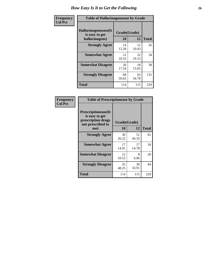| <b>Frequency</b> | <b>Table of Hallucinogensease by Grade</b>               |                    |             |              |  |  |  |  |  |  |
|------------------|----------------------------------------------------------|--------------------|-------------|--------------|--|--|--|--|--|--|
| <b>Col Pct</b>   | Hallucinogensease(It<br>is easy to get<br>hallucinogens) | Grade(Grade)<br>10 | 12          | <b>Total</b> |  |  |  |  |  |  |
|                  | <b>Strongly Agree</b>                                    | 14<br>12.28        | 12<br>10.43 | 26           |  |  |  |  |  |  |
|                  | <b>Somewhat Agree</b>                                    | 12<br>10.53        | 22<br>19.13 | 34           |  |  |  |  |  |  |
|                  | <b>Somewhat Disagree</b>                                 | 20<br>17.54        | 18<br>15.65 | 38           |  |  |  |  |  |  |
|                  | <b>Strongly Disagree</b>                                 | 68<br>59.65        | 63<br>54.78 | 131          |  |  |  |  |  |  |
|                  | <b>Total</b>                                             | 114                | 115         | 229          |  |  |  |  |  |  |

| Frequency<br>  Col Pct |
|------------------------|
|                        |

| <b>Table of Prescriptionease by Grade</b>                                                |             |              |              |  |  |  |  |  |  |
|------------------------------------------------------------------------------------------|-------------|--------------|--------------|--|--|--|--|--|--|
| <b>Prescriptionease</b> (It<br>is easy to get<br>prescription drugs<br>not prescribed to |             | Grade(Grade) |              |  |  |  |  |  |  |
| me)                                                                                      | 10          | 12           | <b>Total</b> |  |  |  |  |  |  |
| <b>Strongly Agree</b>                                                                    | 30<br>26.32 | 51<br>44.35  | 81           |  |  |  |  |  |  |
| <b>Somewhat Agree</b>                                                                    | 17<br>14.91 | 17<br>14.78  | 34           |  |  |  |  |  |  |
| <b>Somewhat Disagree</b>                                                                 | 12<br>10.53 | 8<br>6.96    | 20           |  |  |  |  |  |  |
| <b>Strongly Disagree</b>                                                                 | 55<br>48.25 | 39<br>33.91  | 94           |  |  |  |  |  |  |
| <b>Total</b>                                                                             | 114         | 115          | 229          |  |  |  |  |  |  |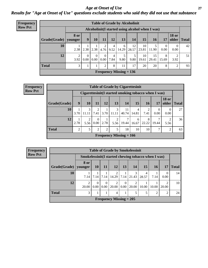*Age at Onset of Use* **27** *Results for "Age at Onset of Use" questions exclude students who said they did not use that substance*

| Frequency      |              |                        |                  |                           |                  |                        |                                | <b>Table of Grade by Alcoholinit</b>             |             |             |                  |                       |              |
|----------------|--------------|------------------------|------------------|---------------------------|------------------|------------------------|--------------------------------|--------------------------------------------------|-------------|-------------|------------------|-----------------------|--------------|
| <b>Row Pct</b> |              |                        |                  |                           |                  |                        |                                | Alcoholinit (I started using alcohol when I was) |             |             |                  |                       |              |
|                | Grade(Grade) | <b>8 or</b><br>younger | 9 <sup>°</sup>   | 10                        | 11               | 12                     | 13                             | 14                                               | 15          | 16          | 17               | <b>18 or</b><br>older | <b>Total</b> |
|                | 10           | 2.38                   |                  | $2.38$   2.38             | 4.76             | 4<br>9.52              | 6                              | 12<br>$14.29$   28.57   23.81                    | 10          | 11.90       | $\Omega$<br>0.00 | $\theta$<br>0.00      | 42           |
|                | 12           | 2<br>3.92              | $\left($<br>0.00 | $\Omega$<br>$0.00\degree$ | $\Omega$<br>0.00 | $\overline{4}$<br>7.84 | 5<br>9.80                      | 5<br>9.80                                        | 10<br>19.61 | 15<br>29.41 | 8<br>15.69       | 3.92                  | 51           |
|                | <b>Total</b> | 3                      |                  |                           | 2                | 8                      | 11                             | 17                                               | 20          | 20          | 8                | $\overline{2}$        | 93           |
|                |              |                        |                  |                           |                  |                        | <b>Frequency Missing = 136</b> |                                                  |             |             |                  |                       |              |

| <b>Frequency</b> |              |                |            |                        |      |              | <b>Table of Grade by Cigarettesinit</b> |            |            |                                                       |                  |             |
|------------------|--------------|----------------|------------|------------------------|------|--------------|-----------------------------------------|------------|------------|-------------------------------------------------------|------------------|-------------|
| <b>Row Pct</b>   |              |                |            |                        |      |              |                                         |            |            | Cigarettesinit (I started smoking tobacco when I was) |                  |             |
|                  | Grade(Grade) | 9              | 10         | 11                     | 12   | 13           | 14                                      | 15         | <b>16</b>  | <b>17</b>                                             | <b>18 or</b>     | older Total |
|                  | 10           | 3.70           | 3<br>11.11 | 2<br>7.41              | 3.70 | 3<br>  11.11 | 11<br>40.74                             | 4<br>14.81 | 2<br>7.41  | 0<br>0.00                                             | $\Omega$<br>0.00 | 27          |
|                  | 12           | 2.78           | 2<br>5.56  | $\overline{0}$<br>0.00 | 2.78 | 5.56         | 19.44                                   | 6<br>16.67 | 8<br>22.22 | 19.44                                                 | 2<br>5.56        | 36          |
|                  | <b>Total</b> | $\overline{2}$ | 5          | $\overline{2}$         | 2    | 5            | 18                                      | 10         | 10         | 7                                                     | $\overline{2}$   | 63          |
|                  |              |                |            |                        |      |              | Frequency Missing $= 166$               |            |            |                                                       |                  |             |

| <b>Frequency</b> | <b>Table of Grade by Smokelessinit</b> |                                                      |                  |                  |                                |                  |            |            |       |                         |              |
|------------------|----------------------------------------|------------------------------------------------------|------------------|------------------|--------------------------------|------------------|------------|------------|-------|-------------------------|--------------|
| <b>Row Pct</b>   |                                        | Smokelessinit (I started chewing tobacco when I was) |                  |                  |                                |                  |            |            |       |                         |              |
|                  | Grade(Grade)   younger                 | <b>8 or</b>                                          | 10               | 11               | 12                             | 13               | <b>14</b>  | 15         | 16    | 17                      | <b>Total</b> |
|                  | 10                                     | 7.14                                                 | л.<br>7.14       | 7.14             | 2<br>14.29                     | 7.14             | 3<br>21.43 | 4<br>28.57 | 7.14  | $\Omega$<br>0.00        | 14           |
|                  | 12                                     | $\overline{2}$<br>20.00                              | $\Omega$<br>0.00 | $\theta$<br>0.00 | 2<br>20.00                     | $\Omega$<br>0.00 | 2<br>20.00 | 10.00      | 10.00 | $\mathfrak{D}$<br>20.00 | 10           |
|                  | <b>Total</b>                           | 3                                                    |                  |                  | 4                              |                  |            | 5          | 2     | $\overline{2}$          | 24           |
|                  |                                        |                                                      |                  |                  | <b>Frequency Missing = 205</b> |                  |            |            |       |                         |              |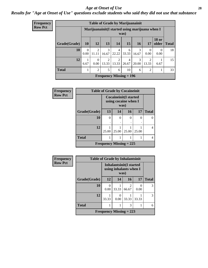#### *Age at Onset of Use* **28**

### *Results for "Age at Onset of Use" questions exclude students who said they did not use that substance*

| <b>Frequency</b> |  |
|------------------|--|
| <b>Row Pct</b>   |  |

|              | <b>Table of Grade by Marijuanainit</b> |                                                         |                         |                           |                         |            |                |                       |              |
|--------------|----------------------------------------|---------------------------------------------------------|-------------------------|---------------------------|-------------------------|------------|----------------|-----------------------|--------------|
|              |                                        | Marijuanainit (I started using marijuana when I<br>was) |                         |                           |                         |            |                |                       |              |
| Grade(Grade) | <b>10</b>                              | 12                                                      | 13                      | 14                        | 15                      | 16         | 17             | <b>18 or</b><br>older | <b>Total</b> |
| 10           | 0.00                                   | $\mathfrak{D}$<br>11.11                                 | 3<br>16.67              | 4<br>22.22                | 6<br>33.33              | 3<br>16.67 | 0<br>0.00      | $\Omega$<br>0.00      | 18           |
| 12           | 6.67                                   | $\Omega$<br>0.00                                        | $\overline{c}$<br>13.33 | $\overline{2}$<br>13.33   | $\overline{4}$<br>26.67 | 3<br>20.00 | 2<br>13.33     | 6.67                  | 15           |
| <b>Total</b> |                                        | $\overline{2}$                                          | 5                       | 6                         | 10                      | 6          | $\overline{2}$ |                       | 33           |
|              |                                        |                                                         |                         | Frequency Missing $= 196$ |                         |            |                |                       |              |

| <b>Frequency</b> | <b>Table of Grade by Cocaineinit</b> |                                               |                           |          |       |              |  |  |
|------------------|--------------------------------------|-----------------------------------------------|---------------------------|----------|-------|--------------|--|--|
| <b>Row Pct</b>   |                                      | Cocaineinit(I started<br>using cocaine when I |                           |          |       |              |  |  |
|                  | Grade(Grade)                         | 13                                            | 14                        | 16       | 17    | <b>Total</b> |  |  |
|                  | 10                                   | $\theta$                                      | 0                         | $\Omega$ | 0     |              |  |  |
|                  |                                      |                                               |                           |          |       |              |  |  |
|                  | 12                                   | 25.00                                         | 25.00                     | 25.00    | 25.00 |              |  |  |
|                  | <b>Total</b>                         |                                               |                           |          |       |              |  |  |
|                  |                                      |                                               | Frequency Missing $= 225$ |          |       |              |  |  |

| Frequency      | <b>Table of Grade by Inhalantsinit</b> |                                                   |                  |                           |       |              |
|----------------|----------------------------------------|---------------------------------------------------|------------------|---------------------------|-------|--------------|
| <b>Row Pct</b> |                                        | Inhalantsinit(I started<br>using inhalants when I |                  |                           |       |              |
|                | Grade(Grade)                           | 12                                                | 14               | 16                        | 17    | <b>Total</b> |
|                | 10                                     | 0<br>0.00                                         | 33.33            | $\overline{c}$<br>66.67   | 0.00  | 3            |
|                | 12                                     | 33.33                                             | $\Omega$<br>0.00 | 33.33                     | 33.33 | 3            |
|                | <b>Total</b>                           |                                                   |                  | 3                         |       | 6            |
|                |                                        |                                                   |                  | Frequency Missing $= 223$ |       |              |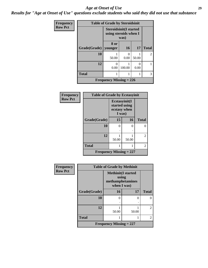#### *Age at Onset of Use* **29**

*Results for "Age at Onset of Use" questions exclude students who said they did not use that substance*

| Frequency      | <b>Table of Grade by Steroidsinit</b> |                                                                |           |                           |              |  |  |  |
|----------------|---------------------------------------|----------------------------------------------------------------|-----------|---------------------------|--------------|--|--|--|
| <b>Row Pct</b> |                                       | <b>Steroidsinit(I started</b><br>using steroids when I<br>was) |           |                           |              |  |  |  |
|                | Grade(Grade)                          | 8 or<br>younger                                                | 16        | 17                        | <b>Total</b> |  |  |  |
|                | 10                                    | 50.00                                                          | 0<br>0.00 | 50.00                     | 2            |  |  |  |
|                | 12                                    | ∩<br>0.00                                                      | 100.00    | $\mathbf{\Omega}$<br>0.00 |              |  |  |  |
|                | <b>Total</b>                          | 1                                                              |           |                           | 3            |  |  |  |
|                |                                       | Frequency Missing $= 226$                                      |           |                           |              |  |  |  |

| <b>Frequency</b> | <b>Table of Grade by Ecstasyinit</b> |                                                          |       |                |  |  |  |
|------------------|--------------------------------------|----------------------------------------------------------|-------|----------------|--|--|--|
| <b>Row Pct</b>   |                                      | Ecstasyinit(I<br>started using<br>ecstasy when<br>I was) |       |                |  |  |  |
|                  | Grade(Grade)                         | 15                                                       | 16    | <b>Total</b>   |  |  |  |
|                  | 10                                   | 0                                                        | 0     | 0              |  |  |  |
|                  |                                      |                                                          |       |                |  |  |  |
|                  | 12                                   | 50.00                                                    | 50.00 | $\overline{2}$ |  |  |  |
|                  | <b>Total</b>                         |                                                          |       | 2              |  |  |  |
|                  | <b>Frequency Missing = 227</b>       |                                                          |       |                |  |  |  |

| Frequency      | <b>Table of Grade by Methinit</b> |                                                                       |       |                |  |  |  |
|----------------|-----------------------------------|-----------------------------------------------------------------------|-------|----------------|--|--|--|
| <b>Row Pct</b> |                                   | <b>Methinit(I started</b><br>using<br>methamphetamines<br>when I was) |       |                |  |  |  |
|                | Grade(Grade)                      | 16                                                                    | 17    | <b>Total</b>   |  |  |  |
|                | 10                                | $\Omega$                                                              | 0     | 0              |  |  |  |
|                | 12                                | 50.00                                                                 | 50.00 | $\mathfrak{D}$ |  |  |  |
|                | <b>Total</b>                      | 1                                                                     |       | $\mathfrak{D}$ |  |  |  |
|                |                                   | Frequency Missing $= 227$                                             |       |                |  |  |  |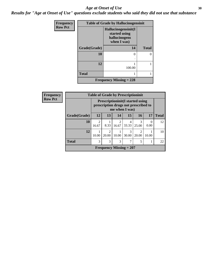#### Age at Onset of Use **30**

*Results for "Age at Onset of Use" questions exclude students who said they did not use that substance*

| Frequency      | <b>Table of Grade by Hallucinogensinit</b> |                                                                      |              |  |  |  |
|----------------|--------------------------------------------|----------------------------------------------------------------------|--------------|--|--|--|
| <b>Row Pct</b> |                                            | Hallucinogensinit(I<br>started using<br>hallucinogens<br>when I was) |              |  |  |  |
|                | Grade(Grade)                               | 14                                                                   | <b>Total</b> |  |  |  |
|                | 10                                         | 0                                                                    |              |  |  |  |
|                | 12                                         | 100.00                                                               |              |  |  |  |
|                | <b>Total</b>                               |                                                                      |              |  |  |  |
|                |                                            | <b>Frequency Missing = 228</b>                                       |              |  |  |  |

| Frequency      | <b>Table of Grade by Prescriptioninit</b> |                         |                                                                                                    |                           |            |                         |       |              |
|----------------|-------------------------------------------|-------------------------|----------------------------------------------------------------------------------------------------|---------------------------|------------|-------------------------|-------|--------------|
| <b>Row Pct</b> |                                           |                         | <b>Prescriptioninit (I started using</b><br>prescription drugs not prescribed to<br>me when I was) |                           |            |                         |       |              |
|                | Grade(Grade)                              | 12                      | 13                                                                                                 | 14                        | 15         | 16                      | 17    | <b>Total</b> |
|                | 10                                        | $\mathfrak{D}$<br>16.67 | 8.33                                                                                               | $\overline{c}$<br>16.67   | 4<br>33.33 | 25.00                   | 0.00  | 12           |
|                | 12                                        | 10.00                   | $\mathfrak{D}$<br>20.00                                                                            | 10.00                     | 3<br>30.00 | $\mathfrak{D}$<br>20.00 | 10.00 | 10           |
|                | <b>Total</b>                              | 3                       | 3                                                                                                  | 3                         |            | 5                       |       | 22           |
|                |                                           |                         |                                                                                                    | Frequency Missing $= 207$ |            |                         |       |              |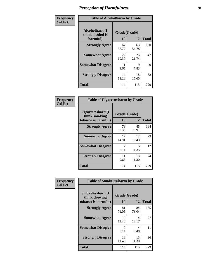| Frequency      | <b>Table of Alcoholharm by Grade</b>          |                    |             |              |  |
|----------------|-----------------------------------------------|--------------------|-------------|--------------|--|
| <b>Col Pct</b> | Alcoholharm(I<br>think alcohol is<br>harmful) | Grade(Grade)<br>10 | 12          | <b>Total</b> |  |
|                | <b>Strongly Agree</b>                         | 67<br>58.77        | 63<br>54.78 | 130          |  |
|                | <b>Somewhat Agree</b>                         | 22<br>19.30        | 25<br>21.74 | 47           |  |
|                | <b>Somewhat Disagree</b>                      | 11<br>9.65         | 9<br>7.83   | 20           |  |
|                | <b>Strongly Disagree</b>                      | 14<br>12.28        | 18<br>15.65 | 32           |  |
|                | <b>Total</b>                                  | 114                | 115         | 229          |  |

|                                                          | <b>Table of Cigarettesharm by Grade</b> |             |              |  |  |  |  |  |
|----------------------------------------------------------|-----------------------------------------|-------------|--------------|--|--|--|--|--|
| Cigarettesharm(I<br>think smoking<br>tobacco is harmful) | Grade(Grade)<br>10                      | 12          | <b>Total</b> |  |  |  |  |  |
| <b>Strongly Agree</b>                                    | 79<br>69.30                             | 85<br>73.91 | 164          |  |  |  |  |  |
| <b>Somewhat Agree</b>                                    | 17<br>14.91                             | 12<br>10.43 | 29           |  |  |  |  |  |
| <b>Somewhat Disagree</b>                                 | 7<br>6.14                               | 5<br>4.35   | 12           |  |  |  |  |  |
| <b>Strongly Disagree</b>                                 | 11<br>9.65                              | 13<br>11.30 | 24           |  |  |  |  |  |
| <b>Total</b>                                             | 114                                     | 115         | 229          |  |  |  |  |  |

| Frequency      | <b>Table of Smokelessharm by Grade</b>                  |                           |             |              |  |
|----------------|---------------------------------------------------------|---------------------------|-------------|--------------|--|
| <b>Col Pct</b> | Smokelessharm(I<br>think chewing<br>tobacco is harmful) | Grade(Grade)<br><b>10</b> | 12          | <b>Total</b> |  |
|                | <b>Strongly Agree</b>                                   | 81<br>71.05               | 84<br>73.04 | 165          |  |
|                | <b>Somewhat Agree</b>                                   | 13<br>11.40               | 14<br>12.17 | 27           |  |
|                | <b>Somewhat Disagree</b>                                | 6.14                      | 4<br>3.48   | 11           |  |
|                | <b>Strongly Disagree</b>                                | 13<br>11.40               | 13<br>11.30 | 26           |  |
|                | <b>Total</b>                                            | 114                       | 115         | 229          |  |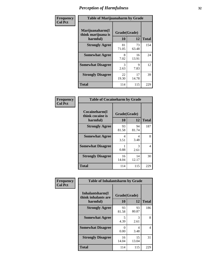| Frequency      | <b>Table of Marijuanaharm by Grade</b>            |                    |             |              |  |
|----------------|---------------------------------------------------|--------------------|-------------|--------------|--|
| <b>Col Pct</b> | Marijuanaharm(I<br>think marijuana is<br>harmful) | Grade(Grade)<br>10 | 12          | <b>Total</b> |  |
|                | <b>Strongly Agree</b>                             | 81<br>71.05        | 73<br>63.48 | 154          |  |
|                | <b>Somewhat Agree</b>                             | 8<br>7.02          | 16<br>13.91 | 24           |  |
|                | <b>Somewhat Disagree</b>                          | 3<br>2.63          | 9<br>7.83   | 12           |  |
|                | <b>Strongly Disagree</b>                          | 22<br>19.30        | 17<br>14.78 | 39           |  |
|                | <b>Total</b>                                      | 114                | 115         | 229          |  |

| <b>Table of Cocaineharm by Grade</b>          |                    |              |     |  |  |
|-----------------------------------------------|--------------------|--------------|-----|--|--|
| Cocaineharm(I<br>think cocaine is<br>harmful) | Grade(Grade)<br>10 | <b>Total</b> |     |  |  |
| <b>Strongly Agree</b>                         | 93<br>81.58        | 94<br>81.74  | 187 |  |  |
| <b>Somewhat Agree</b>                         | 4<br>3.51          | 4<br>3.48    | 8   |  |  |
| <b>Somewhat Disagree</b>                      | 0.88               | 3<br>2.61    | 4   |  |  |
| <b>Strongly Disagree</b>                      | 16<br>14.04        | 14<br>12.17  | 30  |  |  |
| <b>Total</b>                                  | 114                | 115          | 229 |  |  |

| Frequency      | <b>Table of Inhalantsharm by Grade</b>  |             |              |              |  |
|----------------|-----------------------------------------|-------------|--------------|--------------|--|
| <b>Col Pct</b> | Inhalantsharm(I)<br>think inhalants are |             | Grade(Grade) |              |  |
|                | harmful)                                | 10          | 12           | <b>Total</b> |  |
|                | <b>Strongly Agree</b>                   | 93<br>81.58 | 93<br>80.87  | 186          |  |
|                | <b>Somewhat Agree</b>                   | 5<br>4.39   | 3<br>2.61    | 8            |  |
|                | <b>Somewhat Disagree</b>                | 0<br>0.00   | 4<br>3.48    | 4            |  |
|                | <b>Strongly Disagree</b>                | 16<br>14.04 | 15<br>13.04  | 31           |  |
|                | <b>Total</b>                            | 114         | 115          | 229          |  |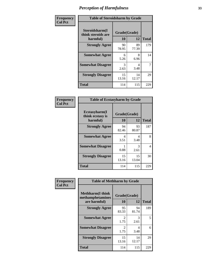| Frequency      | <b>Table of Steroidsharm by Grade</b>            |                    |             |              |
|----------------|--------------------------------------------------|--------------------|-------------|--------------|
| <b>Col Pct</b> | Steroidsharm(I<br>think steroids are<br>harmful) | Grade(Grade)<br>10 | 12          | <b>Total</b> |
|                | <b>Strongly Agree</b>                            | 90<br>78.95        | 89<br>77.39 | 179          |
|                | <b>Somewhat Agree</b>                            | 6<br>5.26          | 8<br>6.96   | 14           |
|                | <b>Somewhat Disagree</b>                         | 3<br>2.63          | 4<br>3.48   | 7            |
|                | <b>Strongly Disagree</b>                         | 15<br>13.16        | 14<br>12.17 | 29           |
|                | <b>Total</b>                                     | 114                | 115         | 229          |

| <b>Table of Ecstasyharm by Grade</b>          |                    |              |     |  |  |
|-----------------------------------------------|--------------------|--------------|-----|--|--|
| Ecstasyharm(I<br>think ecstasy is<br>harmful) | Grade(Grade)<br>10 | <b>Total</b> |     |  |  |
| <b>Strongly Agree</b>                         | 94<br>82.46        | 93<br>80.87  | 187 |  |  |
| <b>Somewhat Agree</b>                         | 4<br>3.51          | Δ<br>3.48    | 8   |  |  |
| <b>Somewhat Disagree</b>                      | 0.88               | 3<br>2.61    | 4   |  |  |
| <b>Strongly Disagree</b>                      | 15<br>13.16        | 15<br>13.04  | 30  |  |  |
| <b>Total</b>                                  | 114                | 115          | 229 |  |  |

| Frequency      | <b>Table of Methharm by Grade</b>                           |                        |             |              |
|----------------|-------------------------------------------------------------|------------------------|-------------|--------------|
| <b>Col Pct</b> | <b>Methharm(I think</b><br>methamphetamines<br>are harmful) | Grade(Grade)<br>10     | 12          | <b>Total</b> |
|                | <b>Strongly Agree</b>                                       | 95<br>83.33            | 94<br>81.74 | 189          |
|                | <b>Somewhat Agree</b>                                       | 2<br>1.75              | 3<br>2.61   | 5            |
|                | <b>Somewhat Disagree</b>                                    | $\mathfrak{D}$<br>1.75 | 4<br>3.48   | 6            |
|                | <b>Strongly Disagree</b>                                    | 15<br>13.16            | 14<br>12.17 | 29           |
|                | <b>Total</b>                                                | 114                    | 115         | 229          |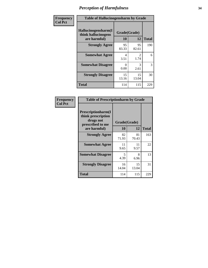| Frequency      | <b>Table of Hallucinogensharm by Grade</b>                 |                    |                       |              |
|----------------|------------------------------------------------------------|--------------------|-----------------------|--------------|
| <b>Col Pct</b> | Hallucinogensharm(I<br>think hallucinogens<br>are harmful) | Grade(Grade)<br>10 | 12                    | <b>Total</b> |
|                | <b>Strongly Agree</b>                                      | 95<br>83.33        | 95<br>82.61           | 190          |
|                | <b>Somewhat Agree</b>                                      | 4<br>3.51          | $\mathcal{L}$<br>1.74 | 6            |
|                | <b>Somewhat Disagree</b>                                   | 0<br>0.00          | 3<br>2.61             | 3            |
|                | <b>Strongly Disagree</b>                                   | 15<br>13.16        | 15<br>13.04           | 30           |
|                | <b>Total</b>                                               | 114                | 115                   | 229          |

| <b>Table of Prescriptionharm by Grade</b>                                         |              |             |              |  |  |
|-----------------------------------------------------------------------------------|--------------|-------------|--------------|--|--|
| <b>Prescriptionharm</b> (I<br>think prescription<br>drugs not<br>prescribed to me | Grade(Grade) |             |              |  |  |
| are harmful)                                                                      | 10           | 12          | <b>Total</b> |  |  |
| <b>Strongly Agree</b>                                                             | 82<br>71.93  | 81<br>70.43 | 163          |  |  |
| <b>Somewhat Agree</b>                                                             | 11<br>9.65   | 11<br>9.57  | 22           |  |  |
| <b>Somewhat Disagree</b>                                                          | 5<br>4.39    | 8<br>6.96   | 13           |  |  |
| <b>Strongly Disagree</b>                                                          | 16<br>14.04  | 15<br>13.04 | 31           |  |  |
| Total                                                                             | 114          | 115         | 229          |  |  |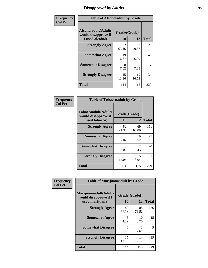# *Disapproval by Adults* **35**

| Frequency      | <b>Table of Alcoholadult by Grade</b>                         |                    |             |              |  |
|----------------|---------------------------------------------------------------|--------------------|-------------|--------------|--|
| <b>Col Pct</b> | Alcoholadult(Adults<br>would disapprove if<br>I used alcohol) | Grade(Grade)<br>10 | 12          | <b>Total</b> |  |
|                | <b>Strongly Agree</b>                                         | 72<br>63.16        | 57<br>49.57 | 129          |  |
|                | <b>Somewhat Agree</b>                                         | 19<br>16.67        | 30<br>26.09 | 49           |  |
|                | <b>Somewhat Disagree</b>                                      | 8<br>7.02          | 9<br>7.83   | 17           |  |
|                | <b>Strongly Disagree</b>                                      | 15<br>13.16        | 19<br>16.52 | 34           |  |
|                | <b>Total</b>                                                  | 114                | 115         | 229          |  |

| <b>Table of Tobaccoadult by Grade</b>                                |                    |             |              |  |
|----------------------------------------------------------------------|--------------------|-------------|--------------|--|
| <b>Tobaccoadult(Adults</b><br>would disapprove if<br>I used tobacco) | Grade(Grade)<br>10 | 12          | <b>Total</b> |  |
| <b>Strongly Agree</b>                                                | 82<br>71.93        | 69<br>60.00 | 151          |  |
| <b>Somewhat Agree</b>                                                | 8<br>7.02          | 19<br>16.52 | 27           |  |
| <b>Somewhat Disagree</b>                                             | 8<br>7.02          | 12<br>10.43 | 20           |  |
| <b>Strongly Disagree</b>                                             | 16<br>14.04        | 15<br>13.04 | 31           |  |
| <b>Total</b>                                                         | 114                | 115         | 229          |  |

| Frequency      | <b>Table of Marijuanaadult by Grade</b>                           |                    |                       |              |  |
|----------------|-------------------------------------------------------------------|--------------------|-----------------------|--------------|--|
| <b>Col Pct</b> | Marijuanaadult(Adults<br>would disapprove if I<br>used marijuana) | Grade(Grade)<br>10 | 12                    | <b>Total</b> |  |
|                | <b>Strongly Agree</b>                                             | 88<br>77.19        | 88<br>76.52           | 176          |  |
|                | <b>Somewhat Agree</b>                                             | 5<br>4.39          | 10<br>8.70            | 15           |  |
|                | <b>Somewhat Disagree</b>                                          | 6<br>5.26          | $\mathcal{R}$<br>2.61 | 9            |  |
|                | <b>Strongly Disagree</b>                                          | 15<br>13.16        | 14<br>12.17           | 29           |  |
|                | <b>Total</b>                                                      | 114                | 115                   | 229          |  |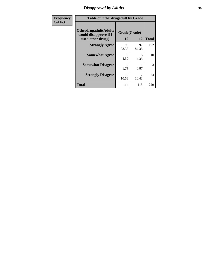# *Disapproval by Adults* **36**

| <b>Frequency</b> | <b>Table of Otherdrugadult by Grade</b>                                     |                                     |             |              |
|------------------|-----------------------------------------------------------------------------|-------------------------------------|-------------|--------------|
| <b>Col Pct</b>   | <b>Otherdrugadult</b> (Adults<br>would disapprove if I<br>used other drugs) | Grade(Grade)<br>10                  | 12          | <b>Total</b> |
|                  | <b>Strongly Agree</b>                                                       | 95<br>83.33                         | 97<br>84.35 | 192          |
|                  | <b>Somewhat Agree</b>                                                       | 5<br>4.39                           | 5<br>4.35   | 10           |
|                  | <b>Somewhat Disagree</b>                                                    | $\mathcal{D}_{\mathcal{L}}$<br>1.75 | 0.87        | 3            |
|                  | <b>Strongly Disagree</b>                                                    | 12<br>10.53                         | 12<br>10.43 | 24           |
|                  | <b>Total</b>                                                                | 114                                 | 115         | 229          |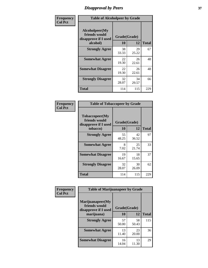# *Disapproval by Peers* **37**

| Frequency      | <b>Table of Alcoholpeer by Grade</b>                    |              |             |              |  |
|----------------|---------------------------------------------------------|--------------|-------------|--------------|--|
| <b>Col Pct</b> | Alcoholpeer(My<br>friends would<br>disapprove if I used | Grade(Grade) |             |              |  |
|                | alcohol)                                                | 10           | 12          | <b>Total</b> |  |
|                | <b>Strongly Agree</b>                                   | 38<br>33.33  | 29<br>25.22 | 67           |  |
|                | <b>Somewhat Agree</b>                                   | 22<br>19.30  | 26<br>22.61 | 48           |  |
|                | <b>Somewhat Disagree</b>                                | 22<br>19.30  | 26<br>22.61 | 48           |  |
|                | <b>Strongly Disagree</b>                                | 32<br>28.07  | 34<br>29.57 | 66           |  |
|                | Total                                                   | 114          | 115         | 229          |  |

| Frequency      | <b>Table of Tobaccopeer by Grade</b>                                |                    |             |              |
|----------------|---------------------------------------------------------------------|--------------------|-------------|--------------|
| <b>Col Pct</b> | Tobaccopeer(My<br>friends would<br>disapprove if I used<br>tobacco) | Grade(Grade)<br>10 | 12          | <b>Total</b> |
|                | <b>Strongly Agree</b>                                               | 55<br>48.25        | 42<br>36.52 | 97           |
|                | <b>Somewhat Agree</b>                                               | 8<br>7.02          | 25<br>21.74 | 33           |
|                | <b>Somewhat Disagree</b>                                            | 19<br>16.67        | 18<br>15.65 | 37           |
|                | <b>Strongly Disagree</b>                                            | 32<br>28.07        | 30<br>26.09 | 62           |
|                | Total                                                               | 114                | 115         | 229          |

| Frequency<br><b>Col Pct</b> | <b>Table of Marijuanapeer by Grade</b>                    |              |             |              |
|-----------------------------|-----------------------------------------------------------|--------------|-------------|--------------|
|                             | Marijuanapeer(My<br>friends would<br>disapprove if I used | Grade(Grade) |             |              |
|                             | marijuana)                                                | 10           | 12          | <b>Total</b> |
|                             | <b>Strongly Agree</b>                                     | 57<br>50.00  | 58<br>50.43 | 115          |
|                             | <b>Somewhat Agree</b>                                     | 13<br>11.40  | 23<br>20.00 | 36           |
|                             | <b>Somewhat Disagree</b>                                  | 16<br>14.04  | 13<br>11.30 | 29           |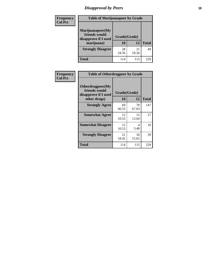# *Disapproval by Peers* **38**

| <b>Frequency</b> | <b>Table of Marijuanapeer by Grade</b>                                  |                    |             |              |  |
|------------------|-------------------------------------------------------------------------|--------------------|-------------|--------------|--|
| <b>Col Pct</b>   | Marijuanapeer(My<br>friends would<br>disapprove if I used<br>marijuana) | Grade(Grade)<br>10 | 12          | <b>Total</b> |  |
|                  | <b>Strongly Disagree</b>                                                | 28<br>24.56        | 21<br>18.26 | 49           |  |
|                  | <b>Total</b>                                                            | 114                | 115         | 229          |  |

| <b>Frequency</b> | <b>Table of Otherdrugpeer by Grade</b>                                    |                           |             |              |
|------------------|---------------------------------------------------------------------------|---------------------------|-------------|--------------|
| <b>Col Pct</b>   | Otherdrugpeer(My<br>friends would<br>disapprove if I used<br>other drugs) | Grade(Grade)<br><b>10</b> | 12          | <b>Total</b> |
|                  | <b>Strongly Agree</b>                                                     | 69<br>60.53               | 78<br>67.83 | 147          |
|                  | <b>Somewhat Agree</b>                                                     | 12<br>10.53               | 15<br>13.04 | 27           |
|                  | <b>Somewhat Disagree</b>                                                  | 12<br>10.53               | 4<br>3.48   | 16           |
|                  | <b>Strongly Disagree</b>                                                  | 21<br>18.42               | 18<br>15.65 | 39           |
|                  | <b>Total</b>                                                              | 114                       | 115         | 229          |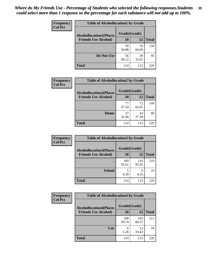| Frequency      | <b>Table of Alcohollocation1 by Grade</b> |              |             |              |
|----------------|-------------------------------------------|--------------|-------------|--------------|
| <b>Col Pct</b> | <b>Alcohollocation1(Places</b>            | Grade(Grade) |             |              |
|                | <b>Friends Use Alcohol)</b>               | 10           | 12          | <b>Total</b> |
|                |                                           | 58<br>50.88  | 76<br>66.09 | 134          |
|                | Do Not Use                                | 56<br>49.12  | 39<br>33.91 | 95           |
|                | <b>Total</b>                              | 114          | 115         | 229          |

| Frequency      | <b>Table of Alcohollocation2 by Grade</b>                     |                    |             |              |
|----------------|---------------------------------------------------------------|--------------------|-------------|--------------|
| <b>Col Pct</b> | <b>Alcohollocation2(Places</b><br><b>Friends Use Alcohol)</b> | Grade(Grade)<br>10 | <b>12</b>   | <b>Total</b> |
|                |                                                               | 77                 | 72          | 149          |
|                |                                                               | 67.54              | 62.61       |              |
|                | Home                                                          | 37<br>32.46        | 43<br>37.39 | 80           |
|                | <b>Total</b>                                                  | 114                | 115         | 229          |

| Frequency<br><b>Col Pct</b> | <b>Table of Alcohollocation 3 by Grade</b>                    |                    |              |              |
|-----------------------------|---------------------------------------------------------------|--------------------|--------------|--------------|
|                             | <b>Alcohollocation3(Places</b><br><b>Friends Use Alcohol)</b> | Grade(Grade)<br>10 | 12           | <b>Total</b> |
|                             |                                                               | 109<br>95.61       | 110<br>95.65 | 219          |
|                             | <b>School</b>                                                 | 5<br>4.39          | 5<br>4.35    | 10           |
|                             | <b>Total</b>                                                  | 114                | 115          | 229          |

| Frequency      | <b>Table of Alcohollocation4 by Grade</b> |              |              |              |
|----------------|-------------------------------------------|--------------|--------------|--------------|
| <b>Col Pct</b> | <b>Alcohollocation4(Places</b>            | Grade(Grade) |              |              |
|                | <b>Friends Use Alcohol)</b>               | 10           | 12           | <b>Total</b> |
|                |                                           | 108<br>94.74 | 103<br>89.57 | 211          |
|                | Car                                       | 6<br>5.26    | 12<br>10.43  | 18           |
|                | <b>Total</b>                              | 114          | 115          | 229          |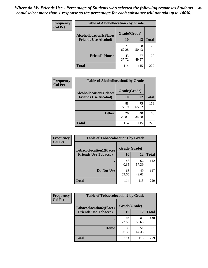| Frequency<br><b>Col Pct</b> | <b>Table of Alcohollocation5 by Grade</b> |              |             |              |
|-----------------------------|-------------------------------------------|--------------|-------------|--------------|
|                             | <b>Alcohollocation5(Places</b>            | Grade(Grade) |             |              |
|                             | <b>Friends Use Alcohol)</b>               | 10           | 12          | <b>Total</b> |
|                             |                                           | 71<br>62.28  | 58<br>50.43 | 129          |
|                             | <b>Friend's House</b>                     | 43<br>37.72  | 57<br>49.57 | 100          |
|                             | <b>Total</b>                              | 114          | 115         | 229          |

| Frequency      | <b>Table of Alcohollocation6 by Grade</b>                     |                    |             |              |
|----------------|---------------------------------------------------------------|--------------------|-------------|--------------|
| <b>Col Pct</b> | <b>Alcohollocation6(Places</b><br><b>Friends Use Alcohol)</b> | Grade(Grade)<br>10 | <b>12</b>   | <b>Total</b> |
|                |                                                               |                    |             |              |
|                |                                                               | 88<br>77.19        | 75<br>65.22 | 163          |
|                | <b>Other</b>                                                  | 26<br>22.81        | 40<br>34.78 | 66           |
|                | <b>Total</b>                                                  | 114                | 115         | 229          |

| Frequency<br><b>Col Pct</b> | <b>Table of Tobaccolocation1 by Grade</b> |              |             |              |
|-----------------------------|-------------------------------------------|--------------|-------------|--------------|
|                             | <b>Tobaccolocation1(Places</b>            | Grade(Grade) |             |              |
|                             | <b>Friends Use Tobacco)</b>               | 10           | <b>12</b>   | <b>Total</b> |
|                             |                                           | 46<br>40.35  | 66<br>57.39 | 112          |
|                             | Do Not Use                                | 68<br>59.65  | 49<br>42.61 | 117          |
|                             | <b>Total</b>                              | 114          | 115         | 229          |

| <b>Frequency</b> | <b>Table of Tobaccolocation2 by Grade</b> |              |             |              |  |
|------------------|-------------------------------------------|--------------|-------------|--------------|--|
| <b>Col Pct</b>   | <b>Tobaccolocation2(Places</b>            | Grade(Grade) |             |              |  |
|                  | <b>Friends Use Tobacco)</b>               | 10           | 12          | <b>Total</b> |  |
|                  |                                           | 84<br>73.68  | 64<br>55.65 | 148          |  |
|                  | Home                                      | 30<br>26.32  | 51<br>44.35 | 81           |  |
|                  | <b>Total</b>                              | 114          | 115         | 229          |  |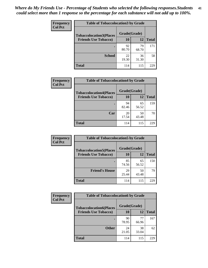| Frequency      | <b>Table of Tobaccolocation 3 by Grade</b> |              |             |              |
|----------------|--------------------------------------------|--------------|-------------|--------------|
| <b>Col Pct</b> | <b>Tobaccolocation3(Places</b>             | Grade(Grade) |             |              |
|                | <b>Friends Use Tobacco)</b>                | 10           | 12          | <b>Total</b> |
|                |                                            | 92<br>80.70  | 79<br>68.70 | 171          |
|                | <b>School</b>                              | 22<br>19.30  | 36<br>31.30 | 58           |
|                | <b>Total</b>                               | 114          | 115         | 229          |

| <b>Frequency</b> | <b>Table of Tobaccolocation4 by Grade</b> |              |             |              |
|------------------|-------------------------------------------|--------------|-------------|--------------|
| <b>Col Pct</b>   | <b>Tobaccolocation4(Places</b>            | Grade(Grade) |             |              |
|                  | <b>Friends Use Tobacco)</b>               | 10           | 12          | <b>Total</b> |
|                  |                                           | 94<br>82.46  | 65<br>56.52 | 159          |
|                  | Car                                       | 20<br>17.54  | 50<br>43.48 | 70           |
|                  | Total                                     | 114          | 115         | 229          |

| Frequency      | <b>Table of Tobaccolocation5 by Grade</b> |              |             |              |
|----------------|-------------------------------------------|--------------|-------------|--------------|
| <b>Col Pct</b> | <b>Tobaccolocation5(Places</b>            | Grade(Grade) |             |              |
|                | <b>Friends Use Tobacco)</b>               | 10           | 12          | <b>Total</b> |
|                |                                           | 85<br>74.56  | 65<br>56.52 | 150          |
|                | <b>Friend's House</b>                     | 29<br>25.44  | 50<br>43.48 | 79           |
|                | <b>Total</b>                              | 114          | 115         | 229          |

| <b>Frequency</b> | <b>Table of Tobaccolocation6 by Grade</b> |              |             |              |
|------------------|-------------------------------------------|--------------|-------------|--------------|
| <b>Col Pct</b>   | <b>Tobaccolocation6(Places</b>            | Grade(Grade) |             |              |
|                  | <b>Friends Use Tobacco)</b>               | 10           | 12          | <b>Total</b> |
|                  |                                           | 90<br>78.95  | 77<br>66.96 | 167          |
|                  | <b>Other</b>                              | 24<br>21.05  | 38<br>33.04 | 62           |
|                  | <b>Total</b>                              | 114          | 115         | 229          |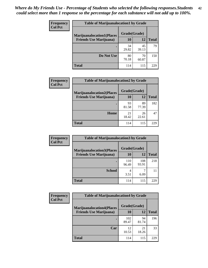| <b>Frequency</b> | <b>Table of Marijuanalocation1 by Grade</b> |              |             |              |
|------------------|---------------------------------------------|--------------|-------------|--------------|
| <b>Col Pct</b>   | <b>Marijuanalocation1(Places</b>            | Grade(Grade) |             |              |
|                  | <b>Friends Use Marijuana</b> )              | 10           | 12          | <b>Total</b> |
|                  | $\bullet$                                   | 34<br>29.82  | 45<br>39.13 | 79           |
|                  | Do Not Use                                  | 80<br>70.18  | 70<br>60.87 | 150          |
|                  | Total                                       | 114          | 115         | 229          |

| <b>Frequency</b> | <b>Table of Marijuanalocation2 by Grade</b>                        |                    |             |              |
|------------------|--------------------------------------------------------------------|--------------------|-------------|--------------|
| <b>Col Pct</b>   | <b>Marijuanalocation2(Places</b><br><b>Friends Use Marijuana</b> ) | Grade(Grade)<br>10 | 12          | <b>Total</b> |
|                  |                                                                    | 93<br>81.58        | 89<br>77.39 | 182          |
|                  | Home                                                               | 21<br>18.42        | 26<br>22.61 | 47           |
|                  | <b>Total</b>                                                       | 114                | 115         | 229          |

| Frequency<br><b>Col Pct</b> | <b>Table of Marijuanalocation3 by Grade</b> |              |       |       |
|-----------------------------|---------------------------------------------|--------------|-------|-------|
|                             | <b>Marijuanalocation3</b> (Places           | Grade(Grade) |       |       |
|                             | <b>Friends Use Marijuana</b> )              | 10           | 12    | Total |
|                             |                                             | 110          | 108   | 218   |
|                             |                                             | 96.49        | 93.91 |       |
|                             | <b>School</b>                               | 4            |       | 11    |
|                             |                                             | 3.51         | 6.09  |       |
|                             | <b>Total</b>                                | 114          | 115   | 229   |

| <b>Frequency</b><br><b>Col Pct</b> | <b>Table of Marijuanalocation4 by Grade</b> |              |             |              |  |
|------------------------------------|---------------------------------------------|--------------|-------------|--------------|--|
|                                    | <b>Marijuanalocation4(Places</b>            | Grade(Grade) |             |              |  |
|                                    | <b>Friends Use Marijuana</b> )              | <b>10</b>    | 12          | <b>Total</b> |  |
|                                    |                                             | 102<br>89.47 | 94<br>81.74 | 196          |  |
|                                    | Car                                         | 12<br>10.53  | 21<br>18.26 | 33           |  |
|                                    | <b>Total</b>                                | 114          | 115         | 229          |  |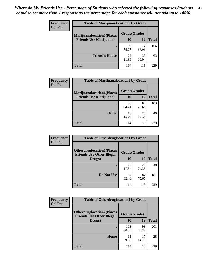| <b>Frequency</b> | <b>Table of Marijuanalocation5 by Grade</b> |              |             |              |
|------------------|---------------------------------------------|--------------|-------------|--------------|
| <b>Col Pct</b>   | <b>Marijuanalocation5(Places)</b>           | Grade(Grade) |             |              |
|                  | <b>Friends Use Marijuana</b> )              | 10           | 12          | <b>Total</b> |
|                  |                                             | 89<br>78.07  | 77<br>66.96 | 166          |
|                  | <b>Friend's House</b>                       | 25<br>21.93  | 38<br>33.04 | 63           |
|                  | <b>Total</b>                                | 114          | 115         | 229          |

| <b>Frequency</b><br><b>Col Pct</b> | <b>Table of Marijuanalocation6 by Grade</b>                        |                    |             |              |
|------------------------------------|--------------------------------------------------------------------|--------------------|-------------|--------------|
|                                    | <b>Marijuanalocation6(Places</b><br><b>Friends Use Marijuana</b> ) | Grade(Grade)<br>10 | 12          | <b>Total</b> |
|                                    |                                                                    | 96                 | 87          | 183          |
|                                    | <b>Other</b>                                                       | 84.21<br>18        | 75.65<br>28 | 46           |
|                                    |                                                                    | 15.79              | 24.35       |              |
|                                    | <b>Total</b>                                                       | 114                | 115         | 229          |

| <b>Frequency</b> | <b>Table of Otherdruglocation1 by Grade</b> |              |             |              |
|------------------|---------------------------------------------|--------------|-------------|--------------|
| <b>Col Pct</b>   | <b>Otherdruglocation1(Places</b>            | Grade(Grade) |             |              |
|                  | <b>Friends Use Other Illegal</b><br>Drugs)  | 10           | 12          | <b>Total</b> |
|                  |                                             | 20<br>17.54  | 28<br>24.35 | 48           |
|                  | Do Not Use                                  | 94<br>82.46  | 87<br>75.65 | 181          |
|                  | <b>Total</b>                                | 114          | 115         | 229          |

| Frequency<br><b>Col Pct</b>                                          | <b>Table of Otherdruglocation2 by Grade</b> |              |             |              |
|----------------------------------------------------------------------|---------------------------------------------|--------------|-------------|--------------|
| <b>Otherdruglocation2(Places</b><br><b>Friends Use Other Illegal</b> |                                             | Grade(Grade) |             |              |
|                                                                      | Drugs)                                      | 10           | 12          | <b>Total</b> |
|                                                                      |                                             | 103<br>90.35 | 98<br>85.22 | 201          |
|                                                                      | Home                                        | 11<br>9.65   | 17<br>14.78 | 28           |
|                                                                      | <b>Total</b>                                | 114          | 115         | 229          |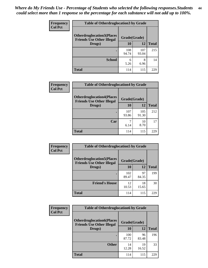| <b>Frequency</b> | <b>Table of Otherdruglocation 3 by Grade</b>                         |              |              |              |
|------------------|----------------------------------------------------------------------|--------------|--------------|--------------|
| <b>Col Pct</b>   | <b>Otherdruglocation3(Places</b><br><b>Friends Use Other Illegal</b> | Grade(Grade) |              |              |
|                  | Drugs)                                                               | 10           | 12           | <b>Total</b> |
|                  |                                                                      | 108<br>94.74 | 107<br>93.04 | 215          |
|                  | <b>School</b>                                                        | 6<br>5.26    | 8<br>6.96    | 14           |
|                  | <b>Total</b>                                                         | 114          | 115          | 22G          |

| <b>Frequency</b> | <b>Table of Otherdruglocation4 by Grade</b>                          |              |              |              |
|------------------|----------------------------------------------------------------------|--------------|--------------|--------------|
| <b>Col Pct</b>   | <b>Otherdruglocation4(Places</b><br><b>Friends Use Other Illegal</b> | Grade(Grade) |              |              |
|                  | Drugs)                                                               | 10           | 12           | <b>Total</b> |
|                  |                                                                      | 107<br>93.86 | 105<br>91.30 | 212          |
|                  | Car                                                                  | 6.14         | 10<br>8.70   | 17           |
|                  | <b>Total</b>                                                         | 114          | 115          | 229          |

| Frequency<br><b>Col Pct</b> | <b>Table of Otherdruglocation5 by Grade</b>                          |              |             |              |
|-----------------------------|----------------------------------------------------------------------|--------------|-------------|--------------|
|                             | <b>Otherdruglocation5(Places</b><br><b>Friends Use Other Illegal</b> | Grade(Grade) |             |              |
|                             | Drugs)                                                               | 10           | 12          | <b>Total</b> |
|                             |                                                                      | 102<br>89.47 | 97<br>84.35 | 199          |
|                             | <b>Friend's House</b>                                                | 12<br>10.53  | 18<br>15.65 | 30           |
|                             | <b>Total</b>                                                         | 114          | 115         | 229          |

| <b>Frequency</b> | <b>Table of Otherdruglocation6 by Grade</b>                          |              |             |              |
|------------------|----------------------------------------------------------------------|--------------|-------------|--------------|
| <b>Col Pct</b>   | <b>Otherdruglocation6(Places</b><br><b>Friends Use Other Illegal</b> | Grade(Grade) |             |              |
|                  | Drugs)                                                               | 10           | 12          | <b>Total</b> |
|                  |                                                                      | 100<br>87.72 | 96<br>83.48 | 196          |
|                  | <b>Other</b>                                                         | 14<br>12.28  | 19<br>16.52 | 33           |
|                  | <b>Total</b>                                                         | 114          | 115         | 229          |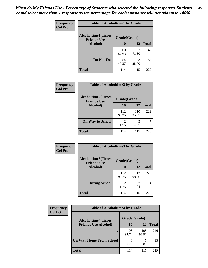| Frequency      | <b>Table of Alcoholtime1 by Grade</b>           |              |             |              |
|----------------|-------------------------------------------------|--------------|-------------|--------------|
| <b>Col Pct</b> | <b>Alcoholtime1(Times</b><br><b>Friends Use</b> | Grade(Grade) |             |              |
|                | Alcohol)                                        | 10           | 12          | <b>Total</b> |
|                |                                                 | 60<br>52.63  | 82<br>71.30 | 142          |
|                | Do Not Use                                      | 54<br>47.37  | 33<br>28.70 | 87           |
|                | <b>Total</b>                                    | 114          | 115         | 229          |

| Frequency      | <b>Table of Alcoholtime2 by Grade</b>                           |              |              |              |
|----------------|-----------------------------------------------------------------|--------------|--------------|--------------|
| <b>Col Pct</b> | <b>Alcoholtime2(Times</b><br>Grade(Grade)<br><b>Friends Use</b> |              |              |              |
|                | Alcohol)                                                        | 10           | 12           | <b>Total</b> |
|                |                                                                 | 112<br>98.25 | 110<br>95.65 | 222          |
|                | <b>On Way to School</b>                                         | 2<br>1.75    | 5<br>4.35    |              |
|                | <b>Total</b>                                                    | 114          | 115          | 229          |

| Frequency      | <b>Table of Alcoholtime3 by Grade</b> |                        |                                     |                |
|----------------|---------------------------------------|------------------------|-------------------------------------|----------------|
| <b>Col Pct</b> | Grade(Grade)                          |                        |                                     |                |
|                | <b>Friends Use</b><br>Alcohol)        | 10                     | 12                                  | <b>Total</b>   |
|                |                                       | 112<br>98.25           | 113<br>98.26                        | 225            |
|                | <b>During School</b>                  | $\overline{2}$<br>1.75 | $\mathcal{D}_{\mathcal{A}}$<br>1.74 | $\overline{4}$ |
|                | <b>Total</b>                          | 114                    | 115                                 | 229            |

| <b>Frequency</b><br><b>Col Pct</b> | <b>Table of Alcoholtime4 by Grade</b> |              |              |              |
|------------------------------------|---------------------------------------|--------------|--------------|--------------|
|                                    | <b>Alcoholtime4(Times</b>             | Grade(Grade) |              |              |
|                                    | <b>Friends Use Alcohol)</b>           | 10           | 12           | <b>Total</b> |
|                                    |                                       | 108<br>94.74 | 108<br>93.91 | 216          |
|                                    | <b>On Way Home From School</b>        | 6<br>5.26    | 6.09         | 13           |
|                                    | <b>Total</b>                          | 114          | 115          | 229          |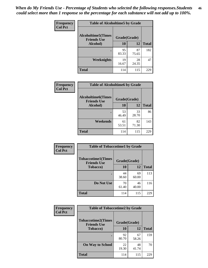*When do My Friends Use - Percentage of Students who selected the following responses.Students could select more than 1 response so the percentage for each substance will not add up to 100%.* **46**

| Frequency      | <b>Table of Alcoholtime5 by Grade</b>           |              |             |              |
|----------------|-------------------------------------------------|--------------|-------------|--------------|
| <b>Col Pct</b> | <b>Alcoholtime5(Times</b><br><b>Friends Use</b> | Grade(Grade) |             |              |
|                | Alcohol)                                        | 10           | 12          | <b>Total</b> |
|                |                                                 | 95<br>83.33  | 87<br>75.65 | 182          |
|                | Weeknights                                      | 19<br>16.67  | 28<br>24.35 | 47           |
|                | <b>Total</b>                                    | 114          | 115         | 229          |

| <b>Frequency</b> | <b>Table of Alcoholtime6 by Grade</b>           |              |             |              |
|------------------|-------------------------------------------------|--------------|-------------|--------------|
| <b>Col Pct</b>   | <b>Alcoholtime6(Times</b><br><b>Friends Use</b> | Grade(Grade) |             |              |
|                  | Alcohol)                                        | 10           | 12          | <b>Total</b> |
|                  |                                                 | 53<br>46.49  | 33<br>28.70 | 86           |
|                  | Weekends                                        | 61<br>53.51  | 82<br>71.30 | 143          |
|                  | <b>Total</b>                                    | 114          | 115         | 229          |

| <b>Frequency</b> | <b>Table of Tobaccotime1 by Grade</b>           |              |             |              |
|------------------|-------------------------------------------------|--------------|-------------|--------------|
| <b>Col Pct</b>   | <b>Tobaccotime1(Times</b><br><b>Friends Use</b> | Grade(Grade) |             |              |
|                  | <b>Tobacco</b> )                                | 10           | 12          | <b>Total</b> |
|                  | ٠                                               | 44<br>38.60  | 69<br>60.00 | 113          |
|                  | Do Not Use                                      | 70<br>61.40  | 46<br>40.00 | 116          |
|                  | <b>Total</b>                                    | 114          | 115         | 229          |

| <b>Frequency</b> | <b>Table of Tobaccotime2 by Grade</b>           |              |             |              |
|------------------|-------------------------------------------------|--------------|-------------|--------------|
| <b>Col Pct</b>   | <b>Tobaccotime2(Times</b><br><b>Friends Use</b> | Grade(Grade) |             |              |
|                  | <b>Tobacco</b> )                                | 10           | 12          | <b>Total</b> |
|                  |                                                 | 92<br>80.70  | 67<br>58.26 | 159          |
|                  | <b>On Way to School</b>                         | 22<br>19.30  | 48<br>41.74 | 70           |
|                  | <b>Total</b>                                    | 114          | 115         | 229          |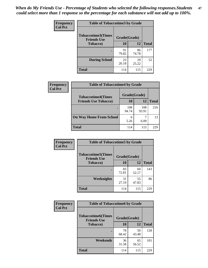*When do My Friends Use - Percentage of Students who selected the following responses.Students could select more than 1 response so the percentage for each substance will not add up to 100%.* **47**

| <b>Frequency</b> | <b>Table of Tobaccotime3 by Grade</b>           |              |             |              |  |
|------------------|-------------------------------------------------|--------------|-------------|--------------|--|
| <b>Col Pct</b>   | <b>Tobaccotime3(Times</b><br><b>Friends Use</b> | Grade(Grade) |             |              |  |
|                  | <b>Tobacco</b> )                                | 10           | 12          | <b>Total</b> |  |
|                  |                                                 | 91<br>79.82  | 86<br>74.78 | 177          |  |
|                  | <b>During School</b>                            | 23<br>20.18  | 29<br>25.22 | 52           |  |
|                  | <b>Total</b>                                    | 114          | 115         | 229          |  |

| <b>Frequency</b> | <b>Table of Tobaccotime4 by Grade</b> |              |              |              |
|------------------|---------------------------------------|--------------|--------------|--------------|
| <b>Col Pct</b>   | <b>Tobaccotime4(Times</b>             | Grade(Grade) |              |              |
|                  | <b>Friends Use Tobacco)</b>           | 10           | 12           | <b>Total</b> |
|                  |                                       | 108<br>94.74 | 108<br>93.91 | 216          |
|                  | <b>On Way Home From School</b>        | 6<br>5.26    | 6.09         | 13           |
|                  | <b>Total</b>                          | 114          | 115          | 229          |

| <b>Frequency</b> | <b>Table of Tobaccotime5 by Grade</b>            |              |             |              |
|------------------|--------------------------------------------------|--------------|-------------|--------------|
| <b>Col Pct</b>   | <b>Tobaccotime5</b> (Times<br><b>Friends Use</b> | Grade(Grade) |             |              |
|                  | <b>Tobacco</b> )                                 | 10           | 12          | <b>Total</b> |
|                  |                                                  | 83<br>72.81  | 60<br>52.17 | 143          |
|                  | Weeknights                                       | 31<br>27.19  | 55<br>47.83 | 86           |
|                  | <b>Total</b>                                     | 114          | 115         | 229          |

| Frequency<br><b>Col Pct</b> | <b>Table of Tobaccotime6 by Grade</b>           |              |             |              |
|-----------------------------|-------------------------------------------------|--------------|-------------|--------------|
|                             | <b>Tobaccotime6(Times</b><br><b>Friends Use</b> | Grade(Grade) |             |              |
|                             | <b>Tobacco</b> )                                | 10           | 12          | <b>Total</b> |
|                             | ٠                                               | 78<br>68.42  | 50<br>43.48 | 128          |
|                             | Weekends                                        | 36<br>31.58  | 65<br>56.52 | 101          |
|                             | <b>Total</b>                                    | 114          | 115         | 229          |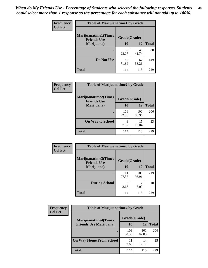| Frequency      | <b>Table of Marijuanatime1 by Grade</b>           |              |             |              |
|----------------|---------------------------------------------------|--------------|-------------|--------------|
| <b>Col Pct</b> | <b>Marijuanatime1(Times</b><br><b>Friends Use</b> | Grade(Grade) |             |              |
|                | Marijuana)                                        | 10           | 12          | <b>Total</b> |
|                |                                                   | 32<br>28.07  | 48<br>41.74 | 80           |
|                | Do Not Use                                        | 82<br>71.93  | 67<br>58.26 | 149          |
|                | <b>Total</b>                                      | 114          | 115         | 229          |

| Frequency      | <b>Table of Marijuanatime2 by Grade</b>           |              |              |              |
|----------------|---------------------------------------------------|--------------|--------------|--------------|
| <b>Col Pct</b> | <b>Marijuanatime2(Times</b><br><b>Friends Use</b> | Grade(Grade) |              |              |
|                | Marijuana)                                        | 10           | 12           | <b>Total</b> |
|                |                                                   | 106<br>92.98 | 100<br>86.96 | 206          |
|                | <b>On Way to School</b>                           | 8<br>7.02    | 15<br>13.04  | 23           |
|                | <b>Total</b>                                      | 114          | 115          | 229          |

| <b>Frequency</b><br><b>Col Pct</b> | <b>Table of Marijuanatime3 by Grade</b>            |              |              |              |  |
|------------------------------------|----------------------------------------------------|--------------|--------------|--------------|--|
|                                    | <b>Marijuanatime3</b> (Times<br><b>Friends Use</b> | Grade(Grade) |              |              |  |
|                                    | Marijuana)                                         | 10           | 12           | <b>Total</b> |  |
|                                    |                                                    | 111<br>97.37 | 108<br>93.91 | 219          |  |
|                                    | <b>During School</b>                               | 3<br>2.63    | 6.09         | 10           |  |
|                                    | <b>Total</b>                                       | 114          | 115          | 229          |  |

| <b>Frequency</b><br><b>Col Pct</b> | <b>Table of Marijuanatime4 by Grade</b> |              |              |       |
|------------------------------------|-----------------------------------------|--------------|--------------|-------|
|                                    | <b>Marijuanatime4</b> (Times            | Grade(Grade) |              |       |
|                                    | <b>Friends Use Marijuana</b> )          | 10           | 12           | Total |
|                                    |                                         | 103<br>90.35 | 101<br>87.83 | 204   |
|                                    | <b>On Way Home From School</b>          | 11<br>9.65   | 14<br>12.17  | 25    |
|                                    | <b>Total</b>                            | 114          | 115          | 229   |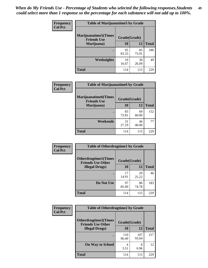| <b>Frequency</b> | <b>Table of Marijuanatime5 by Grade</b>            |              |             |              |
|------------------|----------------------------------------------------|--------------|-------------|--------------|
| <b>Col Pct</b>   | <b>Marijuanatime5</b> (Times<br><b>Friends Use</b> | Grade(Grade) |             |              |
|                  | Marijuana)                                         | 10           | 12          | <b>Total</b> |
|                  |                                                    | 95<br>83.33  | 85<br>73.91 | 180          |
|                  | Weeknights                                         | 19<br>16.67  | 30<br>26.09 | 49           |
|                  | <b>Total</b>                                       | 114          | 115         | 229          |

| Frequency      | <b>Table of Marijuanatime6 by Grade</b>    |              |             |              |
|----------------|--------------------------------------------|--------------|-------------|--------------|
| <b>Col Pct</b> | Marijuanatime6(Times<br><b>Friends Use</b> | Grade(Grade) |             |              |
|                | Marijuana)                                 | 10           | 12          | <b>Total</b> |
|                |                                            | 83<br>72.81  | 69<br>60.00 | 152          |
|                | Weekends                                   | 31<br>27.19  | 46<br>40.00 | 77           |
|                | <b>Total</b>                               | 114          | 115         | 229          |

| Frequency      | <b>Table of Otherdrugtime1 by Grade</b>                 |              |             |              |  |
|----------------|---------------------------------------------------------|--------------|-------------|--------------|--|
| <b>Col Pct</b> | <b>Otherdrugtime1(Times</b><br><b>Friends Use Other</b> | Grade(Grade) |             |              |  |
|                | <b>Illegal Drugs</b> )                                  | 10           | 12          | <b>Total</b> |  |
|                |                                                         | 17<br>14.91  | 29<br>25.22 | 46           |  |
|                | Do Not Use                                              | 97<br>85.09  | 86<br>74.78 | 183          |  |
|                | Total                                                   | 114          | 115         | 229          |  |

| <b>Frequency</b> | <b>Table of Otherdrugtime2 by Grade</b>                 |              |              |              |  |  |  |
|------------------|---------------------------------------------------------|--------------|--------------|--------------|--|--|--|
| <b>Col Pct</b>   | <b>Otherdrugtime2(Times</b><br><b>Friends Use Other</b> | Grade(Grade) |              |              |  |  |  |
|                  | <b>Illegal Drugs</b> )                                  | 10           | 12           | <b>Total</b> |  |  |  |
|                  |                                                         | 110<br>96.49 | 107<br>93.04 | 217          |  |  |  |
|                  | <b>On Way to School</b>                                 | 4<br>3.51    | 8<br>6.96    | 12           |  |  |  |
|                  | Total                                                   | 114          | 115          | 229          |  |  |  |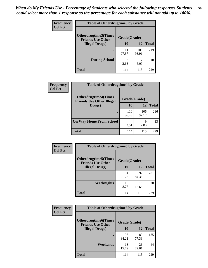| <b>Frequency</b> | <b>Table of Otherdrugtime3 by Grade</b>                          |              |              |              |  |  |
|------------------|------------------------------------------------------------------|--------------|--------------|--------------|--|--|
| <b>Col Pct</b>   | Otherdrugtime3(Times<br>Grade(Grade)<br><b>Friends Use Other</b> |              |              |              |  |  |
|                  | <b>Illegal Drugs</b> )                                           | 10           | 12           | <b>Total</b> |  |  |
|                  |                                                                  | 111<br>97.37 | 108<br>93.91 | 219          |  |  |
|                  | <b>During School</b>                                             | 3<br>2.63    | 6.09         | 10           |  |  |
|                  | Total                                                            | 114          | 115          | 229          |  |  |

| Frequency      | <b>Table of Otherdrugtime4 by Grade</b>                         |              |              |              |  |  |
|----------------|-----------------------------------------------------------------|--------------|--------------|--------------|--|--|
| <b>Col Pct</b> | <b>Otherdrugtime4(Times</b><br><b>Friends Use Other Illegal</b> | Grade(Grade) |              |              |  |  |
|                | Drugs)                                                          | 10           | 12           | <b>Total</b> |  |  |
|                | ٠                                                               | 110<br>96.49 | 106<br>92.17 | 216          |  |  |
|                | <b>On Way Home From School</b>                                  | 4<br>3.51    | 9<br>7.83    | 13           |  |  |
|                | Total                                                           | 114          | 115          | 22G          |  |  |

| <b>Frequency</b><br><b>Col Pct</b> | <b>Table of Otherdrugtime5 by Grade</b>                  |              |             |              |  |  |
|------------------------------------|----------------------------------------------------------|--------------|-------------|--------------|--|--|
|                                    | <b>Otherdrugtime5</b> (Times<br><b>Friends Use Other</b> | Grade(Grade) |             |              |  |  |
|                                    | <b>Illegal Drugs</b> )                                   | 10           | 12          | <b>Total</b> |  |  |
|                                    |                                                          | 104<br>91.23 | 97<br>84.35 | 201          |  |  |
|                                    | <b>Weeknights</b>                                        | 10<br>8.77   | 18<br>15.65 | 28           |  |  |
|                                    | Total                                                    | 114          | 115         | 229          |  |  |

| <b>Frequency</b> | <b>Table of Otherdrugtime6 by Grade</b>                 |              |             |              |  |  |
|------------------|---------------------------------------------------------|--------------|-------------|--------------|--|--|
| <b>Col Pct</b>   | <b>Otherdrugtime6(Times</b><br><b>Friends Use Other</b> | Grade(Grade) |             |              |  |  |
|                  | <b>Illegal Drugs</b> )                                  | 10           | 12          | <b>Total</b> |  |  |
|                  |                                                         | 96<br>84.21  | 89<br>77.39 | 185          |  |  |
|                  | Weekends                                                | 18<br>15.79  | 26<br>22.61 | 44           |  |  |
|                  | Total                                                   | 114          | 115         | 229          |  |  |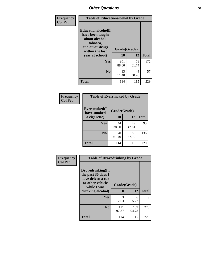| Frequency      | <b>Table of Educationalcohol by Grade</b>                                                                  |              |             |              |  |  |
|----------------|------------------------------------------------------------------------------------------------------------|--------------|-------------|--------------|--|--|
| <b>Col Pct</b> | Educationalcohol(I<br>have been taught<br>about alcohol,<br>tobacco,<br>and other drugs<br>within the last | Grade(Grade) |             |              |  |  |
|                | year at school)                                                                                            | 10           | 12          | <b>Total</b> |  |  |
|                | Yes                                                                                                        | 101<br>88.60 | 71<br>61.74 | 172          |  |  |
|                | N <sub>0</sub>                                                                                             | 13<br>11.40  | 44<br>38.26 | 57           |  |  |
|                | <b>Total</b>                                                                                               | 114          | 115         | 229          |  |  |

| Frequency      | <b>Table of Eversmoked by Grade</b> |              |             |              |  |  |  |
|----------------|-------------------------------------|--------------|-------------|--------------|--|--|--|
| <b>Col Pct</b> | Eversmoked(I<br>have smoked         | Grade(Grade) |             |              |  |  |  |
|                | a cigarette)                        | 10           | 12          | <b>Total</b> |  |  |  |
|                | Yes                                 | 44           | 49          | 93           |  |  |  |
|                |                                     | 38.60        | 42.61       |              |  |  |  |
|                | N <sub>0</sub>                      | 70<br>61.40  | 66<br>57.39 | 136          |  |  |  |
|                | <b>Total</b>                        | 114          | 115         | 229          |  |  |  |

| Frequency<br><b>Col Pct</b> | <b>Table of Drovedrinking by Grade</b>                                                         |              |              |              |  |  |
|-----------------------------|------------------------------------------------------------------------------------------------|--------------|--------------|--------------|--|--|
|                             | Drovedrinking(In<br>the past 30 days I<br>have driven a car<br>or other vehicle<br>while I was | Grade(Grade) |              |              |  |  |
|                             | drinking alcohol)                                                                              | 10           | 12           | <b>Total</b> |  |  |
|                             | <b>Yes</b>                                                                                     | 3<br>2.63    | 6<br>5.22    | 9            |  |  |
|                             |                                                                                                |              |              |              |  |  |
|                             | N <sub>0</sub>                                                                                 | 111<br>97.37 | 109<br>94.78 | 220          |  |  |
|                             | <b>Total</b>                                                                                   | 114          | 115          | 229          |  |  |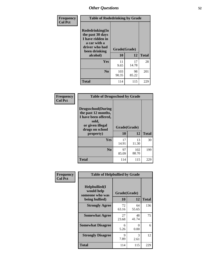| Frequency      | <b>Table of Rodedrinking by Grade</b>                                                                      |              |             |              |  |  |  |
|----------------|------------------------------------------------------------------------------------------------------------|--------------|-------------|--------------|--|--|--|
| <b>Col Pct</b> | Rodedrinking(In<br>the past 30 days<br>I have ridden in<br>a car with a<br>driver who had<br>been drinking | Grade(Grade) |             |              |  |  |  |
|                | alcohol)                                                                                                   | 10           | 12          | <b>Total</b> |  |  |  |
|                | <b>Yes</b>                                                                                                 | 11<br>9.65   | 17<br>14.78 | 28           |  |  |  |
|                | N <sub>0</sub>                                                                                             | 103<br>90.35 | 98<br>85.22 | 201          |  |  |  |
|                | <b>Total</b>                                                                                               | 114          | 115         | 229          |  |  |  |

#### **Frequency Col Pct**

| <b>Table of Drugsschool by Grade</b>                                                                                      |              |              |              |  |  |  |  |
|---------------------------------------------------------------------------------------------------------------------------|--------------|--------------|--------------|--|--|--|--|
| <b>Drugsschool</b> (During<br>the past 12 months,<br>I have been offered,<br>sold,<br>or given illegal<br>drugs on school | Grade(Grade) |              |              |  |  |  |  |
| property)                                                                                                                 | 10           | 12           | <b>Total</b> |  |  |  |  |
| Yes                                                                                                                       | 17<br>14.91  | 13<br>11.30  | 30           |  |  |  |  |
|                                                                                                                           |              |              |              |  |  |  |  |
| N <sub>0</sub>                                                                                                            | 97<br>85.09  | 102<br>88.70 | 199          |  |  |  |  |

| <b>Table of Helpbullied by Grade</b>                 |                |             |                    |  |  |  |  |
|------------------------------------------------------|----------------|-------------|--------------------|--|--|--|--|
| $Helpb$ ullied $(I$<br>would help<br>someone who was |                |             |                    |  |  |  |  |
|                                                      |                |             | <b>Total</b>       |  |  |  |  |
| <b>Strongly Agree</b>                                | 72<br>63.16    | 64<br>55.65 | 136                |  |  |  |  |
| <b>Somewhat Agree</b>                                | 27<br>23.68    | 48<br>41.74 | 75                 |  |  |  |  |
| <b>Somewhat Disagree</b>                             | 6<br>5.26      | 0<br>0.00   | 6                  |  |  |  |  |
| <b>Strongly Disagree</b>                             | 9<br>7.89      | 3<br>2.61   | 12                 |  |  |  |  |
| <b>Total</b>                                         | 114            | 115         | 229                |  |  |  |  |
|                                                      | being bullied) | <b>10</b>   | Grade(Grade)<br>12 |  |  |  |  |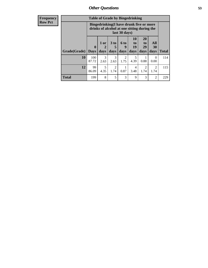| Frequency      | <b>Table of Grade by Bingedrinking</b> |                                                                                                         |                |              |                              |                        |                               |                        |              |
|----------------|----------------------------------------|---------------------------------------------------------------------------------------------------------|----------------|--------------|------------------------------|------------------------|-------------------------------|------------------------|--------------|
| <b>Row Pct</b> |                                        | Bingedrinking(I have drunk five or more<br>drinks of alcohol at one sitting during the<br>last 30 days) |                |              |                              |                        |                               |                        |              |
|                | Grade(Grade)                           | $\bf{0}$<br><b>Days</b>                                                                                 | $1$ or<br>days | 3 to<br>days | 6 <sup>to</sup><br>9<br>days | 10<br>to<br>19<br>days | <b>20</b><br>to<br>29<br>days | All<br>30<br>days      | <b>Total</b> |
|                | <b>10</b>                              | 100<br>87.72                                                                                            | 3<br>2.63      | 3<br>2.63    | $\overline{2}$<br>1.75       | 5<br>4.39              | 0.88                          | $\Omega$<br>0.00       | 114          |
|                | 12                                     | 99<br>86.09                                                                                             | 5<br>4.35      | 2<br>1.74    | 0.87                         | 4<br>3.48              | $\overline{2}$<br>1.74        | $\overline{2}$<br>1.74 | 115          |
|                | <b>Total</b>                           | 199                                                                                                     | 8              | 5            | 3                            | 9                      | 3                             | $\overline{2}$         | 229          |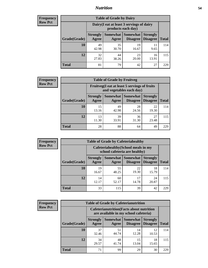#### *Nutrition* **54**

| <b>Frequency</b><br>Row Pct |  |
|-----------------------------|--|
|                             |  |

| <b>Table of Grade by Dairy</b> |                          |                                                                 |                             |                                    |              |  |
|--------------------------------|--------------------------|-----------------------------------------------------------------|-----------------------------|------------------------------------|--------------|--|
|                                |                          | Dairy (I eat at least 3 servings of dairy<br>products each day) |                             |                                    |              |  |
| Grade(Grade)                   | <b>Strongly</b><br>Agree | Somewhat<br>Agree                                               | <b>Somewhat</b><br>Disagree | <b>Strongly</b><br><b>Disagree</b> | <b>Total</b> |  |
| 10                             | 49<br>42.98              | 35<br>30.70                                                     | 19<br>16.67                 | 11<br>9.65                         | 114          |  |
| 12                             | 32<br>27.83              | 44<br>38.26                                                     | 23<br>20.00                 | 16<br>13.91                        | 115          |  |
| <b>Total</b>                   | 81                       | 79                                                              | 42                          | 27                                 | 229          |  |

| <b>Frequency</b> |
|------------------|
| <b>Row Pct</b>   |

| <b>Table of Grade by Fruitveg</b> |                          |                                                                          |                             |                                    |              |
|-----------------------------------|--------------------------|--------------------------------------------------------------------------|-----------------------------|------------------------------------|--------------|
|                                   |                          | Fruitveg(I eat at least 5 servings of fruits<br>and vegetables each day) |                             |                                    |              |
| Grade(Grade)                      | <b>Strongly</b><br>Agree | Somewhat  <br>Agree                                                      | <b>Somewhat</b><br>Disagree | <b>Strongly</b><br><b>Disagree</b> | <b>Total</b> |
| 10                                | 15<br>13.16              | 49<br>42.98                                                              | 28<br>24.56                 | 22<br>19.30                        | 114          |
| 12                                | 13<br>11.30              | 39<br>33.91                                                              | 36<br>31.30                 | 27<br>23.48                        | 115          |
| <b>Total</b>                      | 28                       | 88                                                                       | 64                          | 49                                 | 229          |

| <b>Frequency</b> | <b>Table of Grade by Cafeteriahealthy</b> |                          |             |                                                                       |                                    |              |
|------------------|-------------------------------------------|--------------------------|-------------|-----------------------------------------------------------------------|------------------------------------|--------------|
| <b>Row Pct</b>   |                                           |                          |             | Cafeteriahealthy (School meals in my<br>school cafeteria are healthy) |                                    |              |
|                  | Grade(Grade)                              | <b>Strongly</b><br>Agree | Agree       | Somewhat   Somewhat  <br><b>Disagree</b>                              | <b>Strongly</b><br><b>Disagree</b> | <b>Total</b> |
|                  | 10                                        | 19<br>16.67              | 55<br>48.25 | 22<br>19.30                                                           | 18<br>15.79                        | 114          |
|                  | 12                                        | 14<br>12.17              | 60<br>52.17 | 17<br>14.78                                                           | 24<br>20.87                        | 115          |
|                  | <b>Total</b>                              | 33                       | 115         | 39                                                                    | 42                                 | 229          |

| Frequency      |
|----------------|
| <b>Row Pct</b> |

| <b>Table of Grade by Cafeterianutrition</b> |                                                                                           |                     |                      |                                    |              |
|---------------------------------------------|-------------------------------------------------------------------------------------------|---------------------|----------------------|------------------------------------|--------------|
|                                             | <b>Cafeterianutrition</b> (Facts about nutrition<br>are available in my school cafeteria) |                     |                      |                                    |              |
| Grade(Grade)                                | <b>Strongly</b><br>Agree                                                                  | Somewhat  <br>Agree | Somewhat<br>Disagree | <b>Strongly</b><br><b>Disagree</b> | <b>Total</b> |
| 10                                          | 37<br>32.46                                                                               | 51<br>44.74         | 14<br>12.28          | 12<br>10.53                        | 114          |
| 12                                          | 34<br>29.57                                                                               | 48<br>41.74         | 15<br>13.04          | 18<br>15.65                        | 115          |
| <b>Total</b>                                | 71                                                                                        | 99                  | 29                   | 30                                 | 22G          |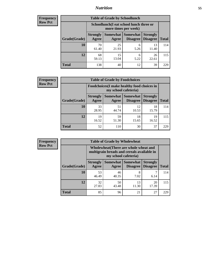### *Nutrition* **55**

| Frequency      |
|----------------|
| <b>Row Pct</b> |

| <b>Table of Grade by Schoollunch</b> |                          |                                                                 |                             |                                    |              |  |
|--------------------------------------|--------------------------|-----------------------------------------------------------------|-----------------------------|------------------------------------|--------------|--|
|                                      |                          | Schoollunch(I eat school lunch three or<br>more times per week) |                             |                                    |              |  |
| Grade(Grade)                         | <b>Strongly</b><br>Agree | Somewhat  <br>Agree                                             | <b>Somewhat</b><br>Disagree | <b>Strongly</b><br><b>Disagree</b> | <b>Total</b> |  |
| 10                                   | 70<br>61.40              | 25<br>21.93                                                     | 6<br>5.26                   | 13<br>11.40                        | 114          |  |
| 12                                   | 68<br>59.13              | 15<br>13.04                                                     | 6<br>5.22                   | 26<br>22.61                        | 115          |  |
| <b>Total</b>                         | 138                      | 40                                                              | 12                          | 39                                 | 229          |  |

| <b>Frequency</b> |  |
|------------------|--|
| <b>Row Pct</b>   |  |

| <b>Table of Grade by Foodchoices</b> |                          |                                                                     |                     |                                        |              |  |
|--------------------------------------|--------------------------|---------------------------------------------------------------------|---------------------|----------------------------------------|--------------|--|
|                                      |                          | Foodchoices (I make healthy food choices in<br>my school cafeteria) |                     |                                        |              |  |
| Grade(Grade)                         | <b>Strongly</b><br>Agree | Agree                                                               | Somewhat   Somewhat | <b>Strongly</b><br>Disagree   Disagree | <b>Total</b> |  |
| 10                                   | 33<br>28.95              | 51<br>44.74                                                         | 12<br>10.53         | 18<br>15.79                            | 114          |  |
| 12                                   | 19<br>16.52              | 59<br>51.30                                                         | 18<br>15.65         | 19<br>16.52                            | 115          |  |
| <b>Total</b>                         | 52                       | 110                                                                 | 30                  | 37                                     | 229          |  |

|  | Frequency<br><b>Row Pct</b> |  |
|--|-----------------------------|--|
|--|-----------------------------|--|

| <b>Table of Grade by Wholewheat</b> |                          |                                                                                                             |                                   |                                    |              |  |
|-------------------------------------|--------------------------|-------------------------------------------------------------------------------------------------------------|-----------------------------------|------------------------------------|--------------|--|
|                                     |                          | Wholewheat (There are whole wheat and<br>multigrain breads and cereals available in<br>my school cafeteria) |                                   |                                    |              |  |
| Grade(Grade)                        | <b>Strongly</b><br>Agree | Agree                                                                                                       | Somewhat   Somewhat  <br>Disagree | <b>Strongly</b><br><b>Disagree</b> | <b>Total</b> |  |
| 10                                  | 53<br>46.49              | 46<br>40.35                                                                                                 | 8<br>7.02                         | 6.14                               | 114          |  |
| 12                                  | 32<br>27.83              | 50<br>43.48                                                                                                 | 13<br>11.30                       | 20<br>17.39                        | 115          |  |
| Total                               | 85                       | 96                                                                                                          | 21                                | 27                                 | つつく          |  |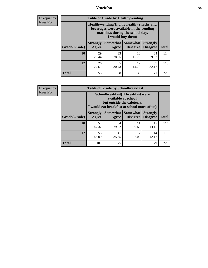### *Nutrition* **56**

**Frequency Row Pct**

| <b>Table of Grade by Healthyvending</b> |                                                                                                                                               |                          |                                    |                                    |              |  |  |
|-----------------------------------------|-----------------------------------------------------------------------------------------------------------------------------------------------|--------------------------|------------------------------------|------------------------------------|--------------|--|--|
|                                         | Healthyvending (If only healthy snacks and<br>beverages were available in the vending<br>machines during the school day,<br>I would buy them) |                          |                                    |                                    |              |  |  |
| Grade(Grade)                            | <b>Strongly</b><br>Agree                                                                                                                      | <b>Somewhat</b><br>Agree | <b>Somewhat</b><br><b>Disagree</b> | <b>Strongly</b><br><b>Disagree</b> | <b>Total</b> |  |  |
| 10                                      | 29<br>25.44                                                                                                                                   | 33<br>28.95              | 18<br>15.79                        | 34<br>29.82                        | 114          |  |  |
| 12                                      | 26<br>22.61                                                                                                                                   | 35<br>30.43              | 17<br>14.78                        | 37<br>32.17                        | 115          |  |  |
| Total                                   | 55                                                                                                                                            | 68                       | 35                                 | 71                                 | 229          |  |  |

**Frequency Row Pct**

| <b>Table of Grade by Schoolbreakfast</b> |                                                                                                                                        |             |            |             |              |  |  |
|------------------------------------------|----------------------------------------------------------------------------------------------------------------------------------------|-------------|------------|-------------|--------------|--|--|
|                                          | Schoolbreakfast(If breakfast were<br>available at school,<br>but outside the cafeteria,<br>I would eat breakfast at school more often) |             |            |             |              |  |  |
| Grade(Grade)                             | Somewhat   Somewhat<br><b>Strongly</b><br><b>Strongly</b><br><b>Disagree</b><br>Agree<br>Disagree<br>Agree                             |             |            |             | <b>Total</b> |  |  |
| 10                                       | 54<br>47.37                                                                                                                            | 34<br>29.82 | 11<br>9.65 | 15<br>13.16 | 114          |  |  |
| 12                                       | 53<br>46.09                                                                                                                            | 41<br>35.65 | 7<br>6.09  | 14<br>12.17 | 115          |  |  |
| <b>Total</b>                             | 107                                                                                                                                    | 75          | 18         | 29          | 229          |  |  |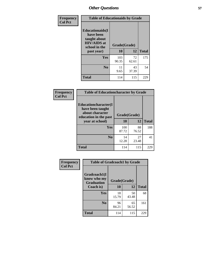| Frequency<br><b>Col Pct</b> | <b>Table of Educationaids by Grade</b>                                                                    |                    |             |              |
|-----------------------------|-----------------------------------------------------------------------------------------------------------|--------------------|-------------|--------------|
|                             | <b>Educationaids</b> (I<br>have been<br>taught about<br><b>HIV/AIDS</b> at<br>school in the<br>past year) | Grade(Grade)<br>10 | 12          | <b>Total</b> |
|                             | Yes                                                                                                       | 103<br>90.35       | 72<br>62.61 | 175          |
|                             | N <sub>0</sub>                                                                                            | 11<br>9.65         | 43<br>37.39 | 54           |
|                             | <b>Total</b>                                                                                              | 114                | 115         | 229          |

| <b>Frequency</b> | <b>Table of Educationcharacter by Grade</b>                                                             |              |             |              |
|------------------|---------------------------------------------------------------------------------------------------------|--------------|-------------|--------------|
| <b>Col Pct</b>   | Educationcharacter(I<br>have been taught<br>about character<br>education in the past<br>year at school) | Grade(Grade) |             |              |
|                  |                                                                                                         | 10           | 12          | <b>Total</b> |
|                  | Yes                                                                                                     | 100<br>87.72 | 88<br>76.52 | 188          |
|                  | N <sub>0</sub>                                                                                          | 14<br>12.28  | 27<br>23.48 | 41           |
|                  | <b>Total</b>                                                                                            | 114          | 115         | 229          |

| Frequency      | <b>Table of Gradcoach1 by Grade</b>              |              |             |              |
|----------------|--------------------------------------------------|--------------|-------------|--------------|
| <b>Col Pct</b> | Gradcoach1(I<br>know who my<br><b>Graduation</b> | Grade(Grade) |             |              |
|                | Coach is)                                        | 10           | 12          | <b>Total</b> |
|                | Yes                                              | 18<br>15.79  | 50<br>43.48 | 68           |
|                | N <sub>0</sub>                                   | 96<br>84.21  | 65<br>56.52 | 161          |
|                | <b>Total</b>                                     | 114          | 115         | 229          |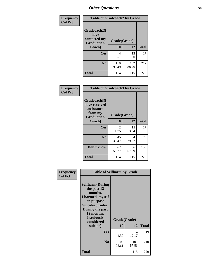| Frequency      | <b>Table of Gradcoach2 by Grade</b> |              |              |              |  |
|----------------|-------------------------------------|--------------|--------------|--------------|--|
| <b>Col Pct</b> | Gradcoach2(I<br>have                |              |              |              |  |
|                | contacted my<br><b>Graduation</b>   | Grade(Grade) |              |              |  |
|                | Coach)                              | 10           | 12           | <b>Total</b> |  |
|                | Yes                                 | 4<br>3.51    | 13<br>11.30  | 17           |  |
|                | N <sub>0</sub>                      | 110<br>96.49 | 102<br>88.70 | 212          |  |
|                | <b>Total</b>                        | 114          | 115          | 229          |  |

| Frequency<br><b>Col Pct</b> | <b>Table of Gradcoach3 by Grade</b>                                         |              |             |              |
|-----------------------------|-----------------------------------------------------------------------------|--------------|-------------|--------------|
|                             | Gradcoach3(I<br>have received<br>assistance<br>from my<br><b>Graduation</b> | Grade(Grade) |             |              |
|                             | Coach)                                                                      | 10           | 12          | <b>Total</b> |
|                             | Yes                                                                         | 2<br>1.75    | 15<br>13.04 | 17           |
|                             | N <sub>0</sub>                                                              | 45<br>39.47  | 34<br>29.57 | 79           |
|                             | Don't know                                                                  | 67<br>58.77  | 66<br>57.39 | 133          |
|                             | <b>Total</b>                                                                | 114          | 115         | 229          |

| Frequency<br><b>Col Pct</b> | <b>Table of Selfharm by Grade</b>                                                                                                                                                      |                    |              |              |
|-----------------------------|----------------------------------------------------------------------------------------------------------------------------------------------------------------------------------------|--------------------|--------------|--------------|
|                             | <b>Selfharm</b> (During<br>the past 12<br>months,<br>I harmed myself<br>on purpose<br><b>Suicideconsider</b><br>During the past<br>12 months,<br>I seriously<br>considered<br>suicide) | Grade(Grade)<br>10 | 12           | <b>Total</b> |
|                             |                                                                                                                                                                                        |                    |              |              |
|                             | Yes                                                                                                                                                                                    | 5<br>4.39          | 14<br>12.17  | 19           |
|                             | N <sub>0</sub>                                                                                                                                                                         | 109<br>95.61       | 101<br>87.83 | 210          |
|                             | <b>Total</b>                                                                                                                                                                           | 114                | 115          | 229          |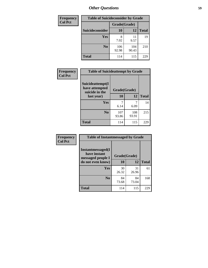| <b>Frequency</b> | <b>Table of Suicideconsider by Grade</b> |              |              |              |
|------------------|------------------------------------------|--------------|--------------|--------------|
| <b>Col Pct</b>   |                                          | Grade(Grade) |              |              |
|                  | <b>Suicideconsider</b>                   | <b>10</b>    | 12           | <b>Total</b> |
|                  | Yes                                      | 8<br>7.02    | 11<br>9.57   | 19           |
|                  | N <sub>0</sub>                           | 106<br>92.98 | 104<br>90.43 | 210          |
|                  | <b>Total</b>                             | 114          | 115          | 229          |

| Frequency      | <b>Table of Suicideattempt by Grade</b>              |              |              |              |
|----------------|------------------------------------------------------|--------------|--------------|--------------|
| <b>Col Pct</b> | Suicideattempt(I<br>have attempted<br>suicide in the | Grade(Grade) |              |              |
|                | last year)                                           | 10           | 12           | <b>Total</b> |
|                | Yes                                                  | 6.14         | 6.09         | 14           |
|                | N <sub>0</sub>                                       | 107<br>93.86 | 108<br>93.91 | 215          |
|                | <b>Total</b>                                         | 114          | 115          | 229          |

| Frequency      | <b>Table of Instantmessaged by Grade</b>                       |              |             |              |  |
|----------------|----------------------------------------------------------------|--------------|-------------|--------------|--|
| <b>Col Pct</b> | <b>Instantmessaged</b> (I<br>have instant<br>messaged people I | Grade(Grade) |             |              |  |
|                | do not even know)                                              | 10           | 12          | <b>Total</b> |  |
|                | Yes                                                            | 30<br>26.32  | 31<br>26.96 | 61           |  |
|                | N <sub>0</sub>                                                 | 84<br>73.68  | 84<br>73.04 | 168          |  |
|                | <b>Total</b>                                                   | 114          | 115         | 229          |  |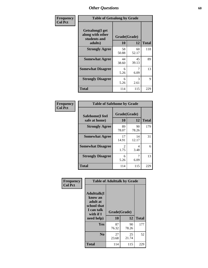| Frequency      | <b>Table of Getsalong by Grade</b>                          |              |             |              |  |  |  |
|----------------|-------------------------------------------------------------|--------------|-------------|--------------|--|--|--|
| <b>Col Pct</b> | <b>Getsalong</b> (I get<br>along with other<br>students and | Grade(Grade) |             |              |  |  |  |
|                | adults)                                                     | 10           | 12          | <b>Total</b> |  |  |  |
|                | <b>Strongly Agree</b>                                       | 58<br>50.88  | 60<br>52.17 | 118          |  |  |  |
|                | <b>Somewhat Agree</b>                                       | 44<br>38.60  | 45<br>39.13 | 89           |  |  |  |
|                | <b>Somewhat Disagree</b>                                    | 6<br>5.26    | 7<br>6.09   | 13           |  |  |  |
|                | <b>Strongly Disagree</b>                                    | 6<br>5.26    | 3<br>2.61   | 9            |  |  |  |
|                | <b>Total</b>                                                | 114          | 115         | 229          |  |  |  |

| Frequency      | <b>Table of Safehome by Grade</b> |                           |             |              |
|----------------|-----------------------------------|---------------------------|-------------|--------------|
| <b>Col Pct</b> | Safehome(I feel<br>safe at home)  | Grade(Grade)<br><b>10</b> | 12          | <b>Total</b> |
|                | <b>Strongly Agree</b>             | 89<br>78.07               | 90<br>78.26 | 179          |
|                | <b>Somewhat Agree</b>             | 17<br>14.91               | 14<br>12.17 | 31           |
|                | <b>Somewhat Disagree</b>          | 2<br>1.75                 | 4<br>3.48   | 6            |
|                | <b>Strongly Disagree</b>          | 6<br>5.26                 | 6.09        | 13           |
|                | <b>Total</b>                      | 114                       | 115         | 229          |

| Frequency      | <b>Table of Adulttalk by Grade</b>                                                  |              |             |              |  |  |  |  |
|----------------|-------------------------------------------------------------------------------------|--------------|-------------|--------------|--|--|--|--|
| <b>Col Pct</b> | <b>Adulttalk(I</b><br>know an<br>adult at<br>school that<br>I can talk<br>with if I | Grade(Grade) |             |              |  |  |  |  |
|                | need help)                                                                          | 10           | 12          | <b>Total</b> |  |  |  |  |
|                | <b>Yes</b>                                                                          | 87<br>76.32  | 90<br>78.26 | 177          |  |  |  |  |
|                | N <sub>0</sub>                                                                      | 27<br>23.68  | 25<br>21.74 | 52           |  |  |  |  |
|                | <b>Total</b>                                                                        | 114          | 115         | 229          |  |  |  |  |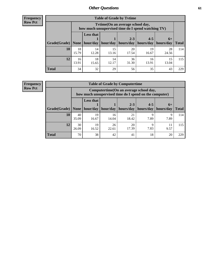**Frequency Row Pct**

| <b>Table of Grade by Tytime</b> |             |                                                                                         |             |             |             |             |              |  |  |
|---------------------------------|-------------|-----------------------------------------------------------------------------------------|-------------|-------------|-------------|-------------|--------------|--|--|
|                                 |             | Tytime (On an average school day,<br>how much unsupervised time do I spend watching TV) |             |             |             |             |              |  |  |
|                                 |             | <b>Less that</b>                                                                        |             | $2 - 3$     | $4 - 5$     | $6+$        |              |  |  |
| Grade(Grade)                    | None        | hour/day                                                                                | hour/day    | hours/day   | hours/day   | hours/day   | <b>Total</b> |  |  |
| 10                              | 18<br>15.79 | 14<br>12.28                                                                             | 15<br>13.16 | 20<br>17.54 | 19<br>16.67 | 28<br>24.56 | 114          |  |  |
| 12                              | 16<br>13.91 | 18<br>15.65                                                                             | 14<br>12.17 | 36<br>31.30 | 16<br>13.91 | 15<br>13.04 | 115          |  |  |
| <b>Total</b>                    | 34          | 32                                                                                      | 29          | 56          | 35          | 43          | 229          |  |  |

**Frequency Row Pct**

| <b>Table of Grade by Computertime</b> |             |                                                                                                                               |             |             |           |           |     |  |  |
|---------------------------------------|-------------|-------------------------------------------------------------------------------------------------------------------------------|-------------|-------------|-----------|-----------|-----|--|--|
|                                       |             | Computertime (On an average school day,<br>how much unsupervised time do I spend on the computer)                             |             |             |           |           |     |  |  |
| Grade(Grade)                          | None        | <b>Less that</b><br>$4 - 5$<br>$2 - 3$<br>$6+$<br>hour/day<br>hours/day<br>hour/day<br>hours/day<br>hours/day<br><b>Total</b> |             |             |           |           |     |  |  |
| 10                                    | 40<br>35.09 | 19<br>16.67                                                                                                                   | 16<br>14.04 | 21<br>18.42 | Q<br>7.89 | Q<br>7.89 | 114 |  |  |
| 12                                    | 30<br>26.09 | 19<br>26<br>20<br>Q<br>17.39<br>7.83<br>16.52<br>9.57<br>22.61                                                                |             |             |           |           |     |  |  |
| <b>Total</b>                          | 70          | 38                                                                                                                            | 42          | 41          | 18        | 20        | 229 |  |  |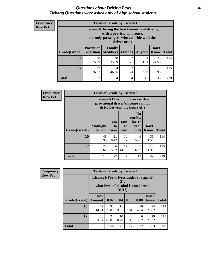#### *Questions about Driving Laws* **62** *Driving Questions were asked only of high school students.*

| <b>Frequency</b> |
|------------------|
| <b>Row Pct</b>   |

| <b>Table of Grade by License1</b> |                  |                                                                                                                                           |                |               |                      |              |  |  |  |  |
|-----------------------------------|------------------|-------------------------------------------------------------------------------------------------------------------------------------------|----------------|---------------|----------------------|--------------|--|--|--|--|
|                                   |                  | License1(During the first 6 months of driving<br>with a provisional license,<br>the only passengers who can ride with the<br>driver are:) |                |               |                      |              |  |  |  |  |
| Grade(Grade)                      | <b>Parent or</b> | <b>Family</b><br><b>Guardian   Members  </b>                                                                                              | <b>Friends</b> | <b>Anyone</b> | Don't<br><b>Know</b> | <b>Total</b> |  |  |  |  |
| 10                                | 40<br>35.09      | 40<br>35.09                                                                                                                               | 2<br>1.75      | 4<br>3.51     | 28<br>24.56          | 114          |  |  |  |  |
| 12                                | 42<br>36.52      | 54<br>$\overline{c}$<br>8<br>9<br>7.83<br>1.74<br>46.96<br>6.96                                                                           |                |               |                      |              |  |  |  |  |
| Total                             | 82               | 94                                                                                                                                        | 4              | 13            | 36                   | 229          |  |  |  |  |

| <b>Frequency</b> |              | <b>Table of Grade by License2</b> |                  |                              |                                                                                                          |                      |              |  |  |  |
|------------------|--------------|-----------------------------------|------------------|------------------------------|----------------------------------------------------------------------------------------------------------|----------------------|--------------|--|--|--|
| <b>Row Pct</b>   |              |                                   |                  |                              | License2(17 yr old drivers with a<br>provisional driver's license cannot<br>drive between the hours of:) |                      |              |  |  |  |
|                  | Grade(Grade) | <b>Midnight</b><br>to 6am         | 1am<br>to<br>5am | 1am<br>t <sub>0</sub><br>6am | N <sub>0</sub><br>curfew<br>for $17$<br>year<br>olds                                                     | Don't<br><b>Know</b> | <b>Total</b> |  |  |  |
|                  | 10           | 41<br>35.96                       | 21<br>18.42      | 10<br>8.77                   | 6<br>5.26                                                                                                | 36<br>31.58          | 114          |  |  |  |
|                  | 12           | 72<br>62.61                       | 6<br>5.22        | 17<br>14.78                  | 7<br>6.09                                                                                                | 13<br>11.30          | 115          |  |  |  |
|                  | <b>Total</b> | 113                               | 27               | 27                           | 13                                                                                                       | 49                   | 229          |  |  |  |

| Frequency      |              | <b>Table of Grade by License3</b>     |             |                 |                        |                                     |               |              |  |  |
|----------------|--------------|---------------------------------------|-------------|-----------------|------------------------|-------------------------------------|---------------|--------------|--|--|
| <b>Row Pct</b> |              | License3(For drivers under the age of |             | 21,<br>$DUI$ ?) |                        | what level of alcohol is considered |               |              |  |  |
|                | Grade(Grade) | Any<br><b>Amount</b>                  | 0.02        | 0.04            | 0.06                   | 0.08                                | Don't<br>know | <b>Total</b> |  |  |
|                | 10           | 17<br>14.91                           | 32<br>28.07 | 11<br>9.65      | $\overline{4}$<br>3.51 | 16<br>14.04                         | 34<br>29.82   | 114          |  |  |
|                | 12           | 38<br>33.04                           | 24<br>20.87 | 10<br>8.70      | 8<br>6.96              | 6<br>5.22                           | 29<br>25.22   | 115          |  |  |
|                | <b>Total</b> | 55                                    | 56          | 21              | 12                     | 22                                  | 63            | 229          |  |  |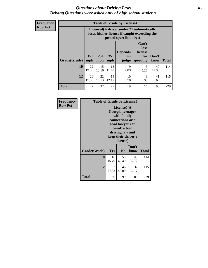#### *Questions about Driving Laws* **63** *Driving Questions were asked only of high school students.*

**Frequency Row Pct**

|              |             |                                                                                                                                                                                                                                                                                       |             | <b>Table of Grade by License4</b> |           |             |     |  |  |
|--------------|-------------|---------------------------------------------------------------------------------------------------------------------------------------------------------------------------------------------------------------------------------------------------------------------------------------|-------------|-----------------------------------|-----------|-------------|-----|--|--|
|              |             | License4(A driver under 21 automatically<br>loses his/her license if caught exceeding the<br>posted speet limit by:)<br>Can't<br>lose<br><b>Depends</b><br>license<br>$15+$<br>$25+$<br>$35+$<br>Don't<br>for<br><b>on</b><br>speeding<br><b>Total</b><br>mph<br>know<br>mph<br>judge |             |                                   |           |             |     |  |  |
| Grade(Grade) | mph         |                                                                                                                                                                                                                                                                                       |             |                                   |           |             |     |  |  |
| 10           | 22<br>19.30 | 15<br>13.16                                                                                                                                                                                                                                                                           | 13<br>11.40 | 9<br>7.89                         | 6<br>5.26 | 49<br>42.98 | 114 |  |  |
| 12           | 20<br>17.39 | 22<br>10<br>8<br>14<br>41<br>19.13<br>6.96<br>12.17<br>8.70<br>35.65                                                                                                                                                                                                                  |             |                                   |           |             |     |  |  |
| <b>Total</b> | 42          | 37                                                                                                                                                                                                                                                                                    | 27          | 19                                | 14        | 90          | 229 |  |  |

| Frequency      | <b>Table of Grade by License5</b> |                                                                                                                                                             |                |               |       |
|----------------|-----------------------------------|-------------------------------------------------------------------------------------------------------------------------------------------------------------|----------------|---------------|-------|
| <b>Row Pct</b> |                                   | License5(A)<br>Georgia teenager<br>with family<br>connections or a<br>good lawyer can<br>break a teen<br>driving law and<br>keep their driver's<br>license) |                |               |       |
|                | Grade(Grade)                      | Yes                                                                                                                                                         | N <sub>0</sub> | Don't<br>know | Total |
|                | 10                                | 18<br>15.79                                                                                                                                                 | 53<br>46.49    | 43<br>37.72   | 114   |
|                | 12                                | 32<br>27.83                                                                                                                                                 | 46<br>40.00    | 37<br>32.17   | 115   |
|                | Total                             | 50                                                                                                                                                          | 99             | 80            | 229   |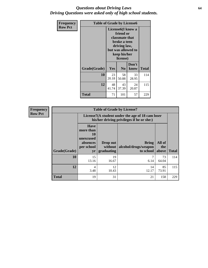#### *Questions about Driving Laws* **64** *Driving Questions were asked only of high school students.*

| <b>Frequency</b> | <b>Table of Grade by License6</b> |                                                                                                                                                 |                |               |              |
|------------------|-----------------------------------|-------------------------------------------------------------------------------------------------------------------------------------------------|----------------|---------------|--------------|
| <b>Row Pct</b>   |                                   | License <sub>6</sub> (I know a<br>friend or<br>classmate that<br>broke a teen<br>driving law,<br>but was allowed to<br>keep his/her<br>license) |                |               |              |
|                  | Grade(Grade)                      | <b>Yes</b>                                                                                                                                      | N <sub>0</sub> | Don't<br>know | <b>Total</b> |
|                  | 10                                | 23<br>20.18                                                                                                                                     | 58<br>50.88    | 33<br>28.95   | 114          |
|                  | 12                                | 48<br>43<br>24<br>41.74<br>37.39<br>20.87                                                                                                       |                |               | 115          |
|                  | <b>Total</b>                      | 71                                                                                                                                              | 101            | 57            | 229          |

| <b>Frequency</b> | <b>Table of Grade by License7</b> |                                                                                               |                                     |                                                   |                        |              |  |
|------------------|-----------------------------------|-----------------------------------------------------------------------------------------------|-------------------------------------|---------------------------------------------------|------------------------|--------------|--|
| <b>Row Pct</b>   |                                   | License7(A student under the age of 18 cam loser<br>his/her driving privileges if he or she:) |                                     |                                                   |                        |              |  |
|                  | Grade(Grade)                      | <b>Have</b><br>more than<br>10<br>unexcused<br>absences<br>per school<br>yr                   | Drop out<br>without  <br>graduating | <b>Bring</b><br>alcohol/drugs/weapon<br>to school | All of<br>the<br>above | <b>Total</b> |  |
|                  | 10                                | 15<br>13.16                                                                                   | 19<br>16.67                         | 6.14                                              | 73<br>64.04            | 114          |  |
|                  | 12                                | 4<br>3.48                                                                                     | 12<br>10.43                         | 14<br>12.17                                       | 85<br>73.91            | 115          |  |
|                  | <b>Total</b>                      | 19                                                                                            | 31                                  | 21                                                | 158                    | 229          |  |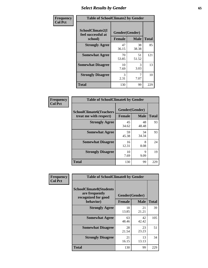# *Select Results by Gender* **65**

| Frequency      | <b>Table of SchoolClimate2 by Gender</b>          |                                 |             |              |
|----------------|---------------------------------------------------|---------------------------------|-------------|--------------|
| <b>Col Pct</b> | SchoolClimate2(I<br>feel successful at<br>school) | Gender(Gender)<br><b>Female</b> | <b>Male</b> | <b>Total</b> |
|                | <b>Strongly Agree</b>                             | 47<br>36.15                     | 38<br>38.38 | 85           |
|                | <b>Somewhat Agree</b>                             | 70<br>53.85                     | 51<br>51.52 | 121          |
|                | <b>Somewhat Disagree</b>                          | 10<br>7.69                      | 3<br>3.03   | 13           |
|                | <b>Strongly Disagree</b>                          | $\mathcal{R}$<br>2.31           | 7<br>7.07   | 10           |
|                | <b>Total</b>                                      | 130                             | 99          | 229          |

| Frequency      | <b>Table of SchoolClimate6 by Gender</b>                 |                                 |             |              |  |
|----------------|----------------------------------------------------------|---------------------------------|-------------|--------------|--|
| <b>Col Pct</b> | <b>SchoolClimate6(Teachers</b><br>treat me with respect) | Gender(Gender)<br><b>Female</b> | <b>Male</b> | <b>Total</b> |  |
|                | <b>Strongly Agree</b>                                    | 45<br>34.62                     | 48<br>48.48 | 93           |  |
|                | <b>Somewhat Agree</b>                                    | 59<br>45.38                     | 34<br>34.34 | 93           |  |
|                | <b>Somewhat Disagree</b>                                 | 16<br>12.31                     | 8<br>8.08   | 24           |  |
|                | <b>Strongly Disagree</b>                                 | 10<br>7.69                      | 9<br>9.09   | 19           |  |
|                | <b>Total</b>                                             | 130                             | 99          | 229          |  |

| Frequency      | <b>Table of SchoolClimate8 by Gender</b>                                             |                                 |             |              |
|----------------|--------------------------------------------------------------------------------------|---------------------------------|-------------|--------------|
| <b>Col Pct</b> | <b>SchoolClimate8(Students</b><br>are frequently<br>recognized for good<br>behavior) | Gender(Gender)<br><b>Female</b> | <b>Male</b> | <b>Total</b> |
|                | <b>Strongly Agree</b>                                                                | 18<br>13.85                     | 21<br>21.21 | 39           |
|                | <b>Somewhat Agree</b>                                                                | 63<br>48.46                     | 42<br>42.42 | 105          |
|                | <b>Somewhat Disagree</b>                                                             | 28<br>21.54                     | 23<br>23.23 | 51           |
|                | <b>Strongly Disagree</b>                                                             | 21<br>16.15                     | 13<br>13.13 | 34           |
|                | Total                                                                                | 130                             | 99          | 229          |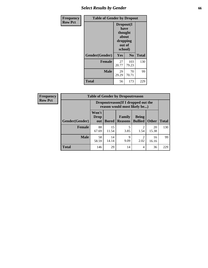## *Select Results by Gender* **66**

| <b>Frequency</b> | <b>Table of Gender by Dropout</b> |                                                                        |                |              |
|------------------|-----------------------------------|------------------------------------------------------------------------|----------------|--------------|
| <b>Row Pct</b>   |                                   | Dropout(I<br>have<br>thought<br>about<br>dropping<br>out of<br>school) |                |              |
|                  | Gender(Gender)                    | Yes                                                                    | N <sub>0</sub> | <b>Total</b> |
|                  | <b>Female</b>                     | 27<br>20.77                                                            | 103<br>79.23   | 130          |
|                  | <b>Male</b>                       | 29<br>29.29                                                            | 70<br>70.71    | 99           |
|                  | <b>Total</b>                      | 56                                                                     | 173            | 229          |

| <b>Frequency</b> | <b>Table of Gender by Dropoutreason</b> |                                                                    |              |                          |                                |              |              |
|------------------|-----------------------------------------|--------------------------------------------------------------------|--------------|--------------------------|--------------------------------|--------------|--------------|
| <b>Row Pct</b>   |                                         | Dropoutreason(If I dropped out the<br>reason would most likely be) |              |                          |                                |              |              |
|                  | <b>Gender(Gender)</b>                   | Won't<br><b>Drop</b><br>out                                        | <b>Bored</b> | Family<br><b>Reasons</b> | <b>Being</b><br><b>Bullied</b> | <b>Other</b> | <b>Total</b> |
|                  | Female                                  | 88<br>67.69                                                        | 15<br>11.54  | 3.85                     | っ<br>1.54                      | 20<br>15.38  | 130          |
|                  | <b>Male</b>                             | 58<br>58.59                                                        | 14<br>14.14  | Q<br>9.09                | 2<br>2.02                      | 16<br>16.16  | 99           |
|                  | <b>Total</b>                            | 146                                                                | 29           | 14                       | 4                              | 36           | 229          |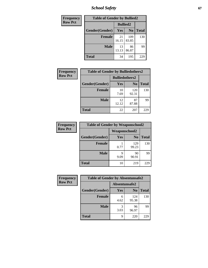*School Safety* **67**

| Frequency      | <b>Table of Gender by Bullied2</b> |                 |                |              |
|----------------|------------------------------------|-----------------|----------------|--------------|
| <b>Row Pct</b> |                                    | <b>Bullied2</b> |                |              |
|                | Gender(Gender)                     | Yes             | N <sub>0</sub> | <b>Total</b> |
|                | <b>Female</b>                      | 21<br>16.15     | 109<br>83.85   | 130          |
|                | <b>Male</b>                        | 13<br>13.13     | 86<br>86.87    | 99           |
|                | <b>Total</b>                       | 34              | 195            | 229          |

| Frequency      | <b>Table of Gender by Bulliedothers2</b> |                       |                |              |
|----------------|------------------------------------------|-----------------------|----------------|--------------|
| <b>Row Pct</b> |                                          | <b>Bulliedothers2</b> |                |              |
|                | Gender(Gender)                           | Yes                   | N <sub>0</sub> | <b>Total</b> |
|                | <b>Female</b>                            | 10<br>7.69            | 120<br>92.31   | 130          |
|                | Male                                     | 12<br>12.12           | 87<br>87.88    | 99           |
|                | <b>Total</b>                             | 22                    | 207            | 229          |

| Frequency      | <b>Table of Gender by Weaponschool2</b> |                      |                |              |
|----------------|-----------------------------------------|----------------------|----------------|--------------|
| <b>Row Pct</b> |                                         | <b>Weaponschool2</b> |                |              |
|                | Gender(Gender)                          | Yes                  | N <sub>0</sub> | <b>Total</b> |
|                | <b>Female</b>                           | 0.77                 | 129<br>99.23   | 130          |
|                | <b>Male</b>                             | q<br>9.09            | 90<br>90.91    | 99           |
|                | <b>Total</b>                            | 10                   | 219            | 229          |

| Frequency      | <b>Table of Gender by Absentunsafe2</b> |               |                |              |
|----------------|-----------------------------------------|---------------|----------------|--------------|
| <b>Row Pct</b> |                                         | Absentunsafe2 |                |              |
|                | Gender(Gender)                          | Yes           | N <sub>0</sub> | <b>Total</b> |
|                | <b>Female</b>                           | 6<br>4.62     | 124<br>95.38   | 130          |
|                | <b>Male</b>                             | 3.03          | 96<br>96.97    | 99           |
|                | <b>Total</b>                            | q             | 220            | 229          |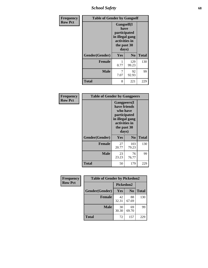*School Safety* **68**

| Frequency      | <b>Table of Gender by Gangself</b> |                                                                                                |                |              |  |
|----------------|------------------------------------|------------------------------------------------------------------------------------------------|----------------|--------------|--|
| <b>Row Pct</b> |                                    | Gangself(I<br>have<br>participated<br>in illegal gang<br>activities in<br>the past 30<br>days) |                |              |  |
|                | Gender(Gender)                     | Yes                                                                                            | N <sub>0</sub> | <b>Total</b> |  |
|                | <b>Female</b>                      | 0.77                                                                                           | 129<br>99.23   | 130          |  |
|                | <b>Male</b>                        | 7<br>7.07                                                                                      | 92<br>92.93    | 99           |  |
|                | <b>Total</b>                       | 8                                                                                              | 221            | 229          |  |

| Frequency      | <b>Table of Gender by Gangpeers</b> |                                                                                                                             |                |              |  |
|----------------|-------------------------------------|-----------------------------------------------------------------------------------------------------------------------------|----------------|--------------|--|
| <b>Row Pct</b> |                                     | <b>Gangpeers</b> (I<br>have friends<br>who have<br>participated<br>in illegal gang<br>activities in<br>the past 30<br>days) |                |              |  |
|                | Gender(Gender)                      | Yes                                                                                                                         | N <sub>0</sub> | <b>Total</b> |  |
|                | <b>Female</b>                       | 27<br>20.77                                                                                                                 | 103<br>79.23   | 130          |  |
|                | <b>Male</b>                         | 23<br>23.23                                                                                                                 | 76<br>76.77    | 99           |  |
|                | <b>Total</b>                        | 50                                                                                                                          | 179            | 229          |  |

| Frequency      | <b>Table of Gender by Pickedon2</b> |             |                |              |
|----------------|-------------------------------------|-------------|----------------|--------------|
| <b>Row Pct</b> |                                     | Pickedon2   |                |              |
|                | Gender(Gender)                      | <b>Yes</b>  | N <sub>0</sub> | <b>Total</b> |
|                | <b>Female</b>                       | 42<br>32.31 | 88<br>67.69    | 130          |
|                | <b>Male</b>                         | 30<br>30.30 | 69<br>69.70    | 99           |
|                | <b>Total</b>                        | 72          | 157            | 229          |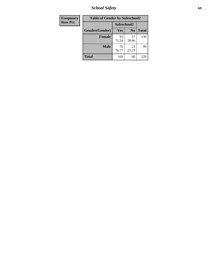*School Safety* **69**

| <b>Frequency</b> | <b>Table of Gender by Safeschool2</b> |             |                |              |
|------------------|---------------------------------------|-------------|----------------|--------------|
| <b>Row Pct</b>   |                                       | Safeschool2 |                |              |
|                  | Gender(Gender)                        | <b>Yes</b>  | N <sub>0</sub> | <b>Total</b> |
|                  | <b>Female</b>                         | 93<br>71.54 | 37<br>28.46    | 130          |
|                  | <b>Male</b>                           | 76<br>76.77 | 23<br>23.23    | 99           |
|                  | <b>Total</b>                          | 169         | 60             | 229          |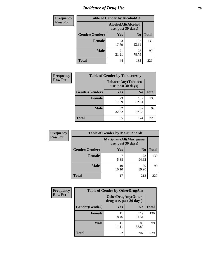# *Incidence of Drug Use* **70**

| <b>Frequency</b> | <b>Table of Gender by AlcoholAlt</b> |                                          |                |              |
|------------------|--------------------------------------|------------------------------------------|----------------|--------------|
| <b>Row Pct</b>   |                                      | AlcoholAlt(Alcohol<br>use, past 30 days) |                |              |
|                  | Gender(Gender)                       | Yes                                      | N <sub>0</sub> | <b>Total</b> |
|                  | Female                               | 23<br>17.69                              | 107<br>82.31   | 130          |
|                  | <b>Male</b>                          | 21<br>21.21                              | 78<br>78.79    | 99           |
|                  | <b>Total</b>                         | 44                                       | 185            | 229          |

| <b>Frequency</b> |                | <b>Table of Gender by TobaccoAny</b> |                    |              |
|------------------|----------------|--------------------------------------|--------------------|--------------|
| <b>Row Pct</b>   |                | use, past 30 days)                   | TobaccoAny(Tobacco |              |
|                  | Gender(Gender) | Yes                                  | N <sub>0</sub>     | <b>Total</b> |
|                  | <b>Female</b>  | 23<br>17.69                          | 107<br>82.31       | 130          |
|                  | <b>Male</b>    | 32<br>32.32                          | 67<br>67.68        | 99           |
|                  | <b>Total</b>   | 55                                   | 174                | 229          |

| <b>Frequency</b> | <b>Table of Gender by MarijuanaAlt</b> |                    |                        |       |
|------------------|----------------------------------------|--------------------|------------------------|-------|
| <b>Row Pct</b>   |                                        | use, past 30 days) | MarijuanaAlt(Marijuana |       |
|                  | Gender(Gender)                         | Yes                | N <sub>0</sub>         | Total |
|                  | <b>Female</b>                          | 7<br>5.38          | 123<br>94.62           | 130   |
|                  | <b>Male</b>                            | 10<br>10.10        | 89<br>89.90            | 99    |
|                  | <b>Total</b>                           | 17                 | 212                    | 229   |

| <b>Frequency</b> | <b>Table of Gender by OtherDrugAny</b> |                         |                           |              |
|------------------|----------------------------------------|-------------------------|---------------------------|--------------|
| <b>Row Pct</b>   |                                        | drug use, past 30 days) | <b>OtherDrugAny(Other</b> |              |
|                  | Gender(Gender)                         | <b>Yes</b>              | N <sub>0</sub>            | <b>Total</b> |
|                  | <b>Female</b>                          | 8.46                    | 119<br>91.54              | 130          |
|                  | <b>Male</b>                            | 11<br>11.11             | 88<br>88.89               | 99           |
|                  | <b>Total</b>                           | 22                      | 207                       | 229          |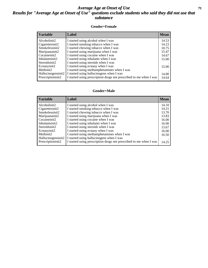#### *Average Age at Onset of Use* **71** *Results for "Average Age at Onset of Use" questions exclude students who said they did not use that substance*

#### **Gender=Female**

| <b>Variable</b>    | <b>Label</b>                                                       | <b>Mean</b> |
|--------------------|--------------------------------------------------------------------|-------------|
| Alcoholinit2       | I started using alcohol when I was                                 | 14.53       |
| Cigarettesinit2    | I started smoking tobacco when I was                               | 14.23       |
| Smokelessinit2     | I started chewing tobacco when I was                               | 10.75       |
| Marijuanainit2     | I started using marijuana when I was                               | 15.47       |
| Cocaineinit2       | I started using cocaine when I was                                 | 14.67       |
| Inhalantsinit2     | I started using inhalants when I was                               | 15.00       |
| Steroidsinit2      | I started using steroids when I was                                |             |
| Ecstasyinit2       | I started using ecstasy when I was                                 | 15.00       |
| Methinit2          | I started using methamphetamines when I was                        |             |
| Hallucinogensinit2 | I started using hallucinogens when I was                           | 14.00       |
| Prescription in t2 | I started using prescription drugs not prescribed to me when I was | 14.64       |

#### **Gender=Male**

| <i><b>Variable</b></i> | Label                                                              | <b>Mean</b> |
|------------------------|--------------------------------------------------------------------|-------------|
| Alcoholinit2           | I started using alcohol when I was                                 | 14.10       |
| Cigarettesinit2        | I started smoking tobacco when I was                               | 14.21       |
| Smokelessinit2         | I started chewing tobacco when I was                               | 13.70       |
| Marijuanainit2         | I started using marijuana when I was                               | 13.83       |
| Cocaineinit2           | I started using cocaine when I was                                 | 16.00       |
| Inhalantsinit2         | I started using inhalants when I was                               | 16.00       |
| Steroidsinit2          | I started using steroids when I was                                | 13.67       |
| Ecstasyinit2           | I started using ecstasy when I was                                 | 16.00       |
| Methinit <sub>2</sub>  | I started using methamphetamines when I was                        | 16.50       |
| Hallucinogensinit2     | I started using hallucinogens when I was                           |             |
| Prescriptioninit2      | I started using prescription drugs not prescribed to me when I was | 14.25       |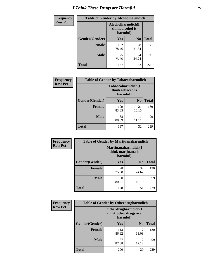# *I Think These Drugs are Harmful* **72**

| <b>Frequency</b> | <b>Table of Gender by Alcoholharmdich</b> |                                                   |                |              |
|------------------|-------------------------------------------|---------------------------------------------------|----------------|--------------|
| <b>Row Pct</b>   |                                           | Alcoholharmdich(I<br>think alcohol is<br>harmful) |                |              |
|                  | Gender(Gender)                            | <b>Yes</b>                                        | N <sub>0</sub> | <b>Total</b> |
|                  | <b>Female</b>                             | 102<br>78.46                                      | 28<br>21.54    | 130          |
|                  | <b>Male</b>                               | 75<br>75.76                                       | 24<br>24.24    | 99           |
|                  | <b>Total</b>                              | 177                                               | 52             | 229          |

| Frequency      | <b>Table of Gender by Tobaccoharmdich</b> |                              |                   |              |
|----------------|-------------------------------------------|------------------------------|-------------------|--------------|
| <b>Row Pct</b> |                                           | think tobacco is<br>harmful) | Tobaccoharmdich(I |              |
|                | Gender(Gender)                            | Yes                          | N <sub>0</sub>    | <b>Total</b> |
|                | <b>Female</b>                             | 109<br>83.85                 | 21<br>16.15       | 130          |
|                | <b>Male</b>                               | 88<br>88.89                  | 11<br>11.11       | 99           |
|                | <b>Total</b>                              | 197                          | 32                | 229          |

| Frequency      | <b>Table of Gender by Marijuanaharmdich</b> |                                                       |                |              |  |
|----------------|---------------------------------------------|-------------------------------------------------------|----------------|--------------|--|
| <b>Row Pct</b> |                                             | Marijuanaharmdich(I<br>think marijuana is<br>harmful) |                |              |  |
|                | Gender(Gender)                              | <b>Yes</b>                                            | N <sub>0</sub> | <b>Total</b> |  |
|                | <b>Female</b>                               | 98<br>75.38                                           | 32<br>24.62    | 130          |  |
|                | <b>Male</b>                                 | 80<br>80.81                                           | 19<br>19.19    | 99           |  |
|                | <b>Total</b>                                | 178                                                   | 51             | 229          |  |

| Frequency      | <b>Table of Gender by Otherdrugharmdich</b> |                                                          |                |              |
|----------------|---------------------------------------------|----------------------------------------------------------|----------------|--------------|
| <b>Row Pct</b> |                                             | Otherdrugharmdich(I<br>think other drugs are<br>harmful) |                |              |
|                | Gender(Gender)                              | Yes                                                      | N <sub>0</sub> | <b>Total</b> |
|                | <b>Female</b>                               | 113<br>86.92                                             | 17<br>13.08    | 130          |
|                | <b>Male</b>                                 | 87<br>87.88                                              | 12<br>12.12    | 99           |
|                | <b>Total</b>                                | 200                                                      | 29             | 229          |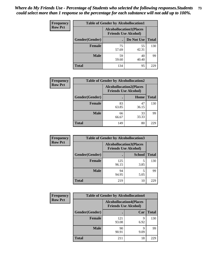| <b>Frequency</b> | <b>Table of Gender by Alcohollocation1</b> |                                                               |             |              |
|------------------|--------------------------------------------|---------------------------------------------------------------|-------------|--------------|
| <b>Row Pct</b>   |                                            | <b>Alcohollocation1(Places</b><br><b>Friends Use Alcohol)</b> |             |              |
|                  | Gender(Gender)                             |                                                               | Do Not Use  | <b>Total</b> |
|                  | <b>Female</b>                              | 75<br>57.69                                                   | 55<br>42.31 | 130          |
|                  | <b>Male</b>                                | 59<br>59.60                                                   | 40<br>40.40 | 99           |
|                  | <b>Total</b>                               | 134                                                           | 95          | 229          |

| <b>Frequency</b> | <b>Table of Gender by Alcohollocation2</b> |             |                                                               |              |
|------------------|--------------------------------------------|-------------|---------------------------------------------------------------|--------------|
| <b>Row Pct</b>   |                                            |             | <b>Alcohollocation2(Places</b><br><b>Friends Use Alcohol)</b> |              |
|                  | Gender(Gender)                             |             | Home                                                          | <b>Total</b> |
|                  | <b>Female</b>                              | 83<br>63.85 | 47<br>36.15                                                   | 130          |
|                  | <b>Male</b>                                | 66<br>66.67 | 33<br>33.33                                                   | 99           |
|                  | <b>Total</b>                               | 149         | 80                                                            | 229          |

| Frequency      | <b>Table of Gender by Alcohollocation3</b> |                                                               |               |              |
|----------------|--------------------------------------------|---------------------------------------------------------------|---------------|--------------|
| <b>Row Pct</b> |                                            | <b>Alcohollocation3(Places</b><br><b>Friends Use Alcohol)</b> |               |              |
|                | Gender(Gender)                             |                                                               | <b>School</b> | <b>Total</b> |
|                | <b>Female</b>                              | 125<br>96.15                                                  | 3.85          | 130          |
|                | <b>Male</b>                                | 94<br>94.95                                                   | 5.05          | 99           |
|                | <b>Total</b>                               | 219                                                           | 10            | 229          |

| Frequency      | <b>Table of Gender by Alcohollocation4</b> |                                                               |           |              |
|----------------|--------------------------------------------|---------------------------------------------------------------|-----------|--------------|
| <b>Row Pct</b> |                                            | <b>Alcohollocation4(Places</b><br><b>Friends Use Alcohol)</b> |           |              |
|                | <b>Gender</b> (Gender)                     |                                                               | Car       | <b>Total</b> |
|                | <b>Female</b>                              | 121<br>93.08                                                  | q<br>6.92 | 130          |
|                | <b>Male</b>                                | 90<br>90.91                                                   | q<br>9.09 | 99           |
|                | <b>Total</b>                               | 211                                                           | 18        | 229          |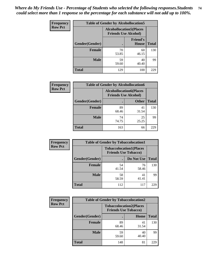| <b>Frequency</b> | <b>Table of Gender by Alcohollocation5</b> |                                                                |                                 |              |
|------------------|--------------------------------------------|----------------------------------------------------------------|---------------------------------|--------------|
| <b>Row Pct</b>   |                                            | <b>Alcohollocation5</b> (Places<br><b>Friends Use Alcohol)</b> |                                 |              |
|                  | Gender(Gender)                             |                                                                | <b>Friend's</b><br><b>House</b> | <b>Total</b> |
|                  | <b>Female</b>                              | 70<br>53.85                                                    | 60<br>46.15                     | 130          |
|                  | <b>Male</b>                                | 59<br>59.60                                                    | 40<br>40.40                     | 99           |
|                  | <b>Total</b>                               | 129                                                            | 100                             | 229          |

| <b>Frequency</b> | <b>Table of Gender by Alcohollocation6</b> |                                                               |              |              |  |
|------------------|--------------------------------------------|---------------------------------------------------------------|--------------|--------------|--|
| <b>Row Pct</b>   |                                            | <b>Alcohollocation6(Places</b><br><b>Friends Use Alcohol)</b> |              |              |  |
|                  | <b>Gender</b> (Gender)                     |                                                               | <b>Other</b> | <b>Total</b> |  |
|                  | <b>Female</b>                              | 89<br>68.46                                                   | 41<br>31.54  | 130          |  |
|                  | <b>Male</b>                                | 74<br>74.75                                                   | 25<br>25.25  | 99           |  |
|                  | <b>Total</b>                               | 163                                                           | 66           | 229          |  |

| Frequency      | <b>Table of Gender by Tobaccolocation1</b> |                                                               |             |              |  |
|----------------|--------------------------------------------|---------------------------------------------------------------|-------------|--------------|--|
| <b>Row Pct</b> |                                            | <b>Tobaccolocation1(Places</b><br><b>Friends Use Tobacco)</b> |             |              |  |
|                | <b>Gender</b> (Gender)                     |                                                               | Do Not Use  | <b>Total</b> |  |
|                | Female                                     | 54<br>41.54                                                   | 76<br>58.46 | 130          |  |
|                | <b>Male</b>                                | 58<br>58.59                                                   | 41<br>41.41 | 99           |  |
|                | <b>Total</b>                               | 112                                                           | 117         | 229          |  |

| <b>Frequency</b> |                | <b>Table of Gender by Tobaccolocation2</b>                    |             |              |
|------------------|----------------|---------------------------------------------------------------|-------------|--------------|
| <b>Row Pct</b>   |                | <b>Tobaccolocation2(Places</b><br><b>Friends Use Tobacco)</b> |             |              |
|                  | Gender(Gender) |                                                               | Home        | <b>Total</b> |
|                  | Female         | 89<br>68.46                                                   | 41<br>31.54 | 130          |
|                  | <b>Male</b>    | 59<br>59.60                                                   | 40<br>40.40 | 99           |
|                  | <b>Total</b>   | 148                                                           | 81          | 229          |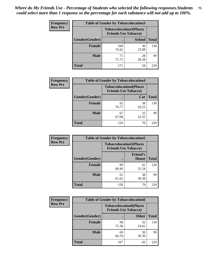| <b>Frequency</b> | <b>Table of Gender by Tobaccolocation3</b> |              |                                                               |              |
|------------------|--------------------------------------------|--------------|---------------------------------------------------------------|--------------|
| <b>Row Pct</b>   |                                            |              | <b>Tobaccolocation3(Places</b><br><b>Friends Use Tobacco)</b> |              |
|                  | Gender(Gender)                             |              | <b>School</b>                                                 | <b>Total</b> |
|                  | Female                                     | 100<br>76.92 | 30<br>23.08                                                   | 130          |
|                  | <b>Male</b>                                | 71<br>71.72  | 28<br>28.28                                                   | 99           |
|                  | Total                                      | 171          | 58                                                            | 229          |

| <b>Frequency</b> | <b>Table of Gender by Tobaccolocation4</b> |                             |                                |              |
|------------------|--------------------------------------------|-----------------------------|--------------------------------|--------------|
| <b>Row Pct</b>   |                                            | <b>Friends Use Tobacco)</b> | <b>Tobaccolocation4(Places</b> |              |
|                  | Gender(Gender)                             |                             | Car                            | <b>Total</b> |
|                  | <b>Female</b>                              | 92<br>70.77                 | 38<br>29.23                    | 130          |
|                  | <b>Male</b>                                | 67<br>67.68                 | 32<br>32.32                    | 99           |
|                  | <b>Total</b>                               | 159                         | 70                             | 229          |

| <b>Frequency</b> | <b>Table of Gender by Tobaccolocation5</b> |             |                                                               |              |
|------------------|--------------------------------------------|-------------|---------------------------------------------------------------|--------------|
| <b>Row Pct</b>   |                                            |             | <b>Tobaccolocation5(Places</b><br><b>Friends Use Tobacco)</b> |              |
|                  | Gender(Gender)                             |             | <b>Friend's</b><br>House                                      | <b>Total</b> |
|                  | <b>Female</b>                              | 89<br>68.46 | 41<br>31.54                                                   | 130          |
|                  | <b>Male</b>                                | 61<br>61.62 | 38<br>38.38                                                   | 99           |
|                  | <b>Total</b>                               | 150         | 79                                                            | 229          |

| <b>Frequency</b> | <b>Table of Gender by Tobaccolocation6</b> |                                                               |              |              |
|------------------|--------------------------------------------|---------------------------------------------------------------|--------------|--------------|
| <b>Row Pct</b>   |                                            | <b>Tobaccolocation6(Places</b><br><b>Friends Use Tobacco)</b> |              |              |
|                  | Gender(Gender)                             |                                                               | <b>Other</b> | <b>Total</b> |
|                  | Female                                     | 98<br>75.38                                                   | 32<br>24.62  | 130          |
|                  | <b>Male</b>                                | 69<br>69.70                                                   | 30<br>30.30  | 99           |
|                  | <b>Total</b>                               | 167                                                           | 62           | 229          |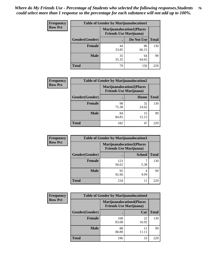| <b>Frequency</b> | <b>Table of Gender by Marijuanalocation1</b> |                                                                    |             |              |  |
|------------------|----------------------------------------------|--------------------------------------------------------------------|-------------|--------------|--|
| <b>Row Pct</b>   |                                              | <b>Marijuanalocation1(Places</b><br><b>Friends Use Marijuana</b> ) |             |              |  |
|                  | Gender(Gender)                               |                                                                    | Do Not Use  | <b>Total</b> |  |
|                  | <b>Female</b>                                | 44<br>33.85                                                        | 86<br>66.15 | 130          |  |
|                  | <b>Male</b>                                  | 35<br>35.35                                                        | 64<br>64.65 | 99           |  |
|                  | <b>Total</b>                                 | 79                                                                 | 150         | 229          |  |

| <b>Frequency</b> | <b>Table of Gender by Marijuanalocation2</b> |                                                                    |             |              |  |
|------------------|----------------------------------------------|--------------------------------------------------------------------|-------------|--------------|--|
| <b>Row Pct</b>   |                                              | <b>Marijuanalocation2(Places</b><br><b>Friends Use Marijuana</b> ) |             |              |  |
|                  | Gender(Gender)                               |                                                                    | Home        | <b>Total</b> |  |
|                  | Female                                       | 98<br>75.38                                                        | 32<br>24.62 | 130          |  |
|                  | <b>Male</b>                                  | 84<br>84.85                                                        | 15<br>15.15 | 99           |  |
|                  | <b>Total</b>                                 | 182                                                                | 47          | 229          |  |

| Frequency      | <b>Table of Gender by Marijuanalocation3</b> |                                                                    |               |              |
|----------------|----------------------------------------------|--------------------------------------------------------------------|---------------|--------------|
| <b>Row Pct</b> |                                              | <b>Marijuanalocation3(Places</b><br><b>Friends Use Marijuana</b> ) |               |              |
|                | Gender(Gender)                               |                                                                    | <b>School</b> | <b>Total</b> |
|                | Female                                       | 123<br>94.62                                                       | 5.38          | 130          |
|                | <b>Male</b>                                  | 95<br>95.96                                                        | 4<br>4.04     | 99           |
|                | <b>Total</b>                                 | 218                                                                | 11            | 229          |

| <b>Frequency</b> | <b>Table of Gender by Marijuanalocation4</b> |                                                                    |             |              |  |
|------------------|----------------------------------------------|--------------------------------------------------------------------|-------------|--------------|--|
| <b>Row Pct</b>   |                                              | <b>Marijuanalocation4(Places</b><br><b>Friends Use Marijuana</b> ) |             |              |  |
|                  | Gender(Gender)                               |                                                                    | Car         | <b>Total</b> |  |
|                  | Female                                       | 108<br>83.08                                                       | 22<br>16.92 | 130          |  |
|                  | <b>Male</b>                                  | 88<br>88.89                                                        | 11          | 99           |  |
|                  | <b>Total</b>                                 | 196                                                                | 33          | 229          |  |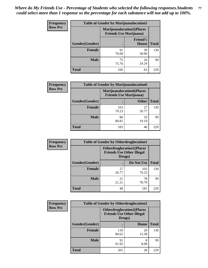| <b>Frequency</b> | <b>Table of Gender by Marijuanalocation5</b> |                                                                     |                          |              |
|------------------|----------------------------------------------|---------------------------------------------------------------------|--------------------------|--------------|
| <b>Row Pct</b>   |                                              | <b>Marijuanalocation5</b> (Places<br><b>Friends Use Marijuana</b> ) |                          |              |
|                  | Gender(Gender)                               |                                                                     | <b>Friend's</b><br>House | <b>Total</b> |
|                  | <b>Female</b>                                | 91<br>70.00                                                         | 39<br>30.00              | 130          |
|                  | <b>Male</b>                                  | 75<br>75.76                                                         | 24<br>24.24              | 99           |
|                  | <b>Total</b>                                 | 166                                                                 | 63                       | 229          |

| <b>Frequency</b> | <b>Table of Gender by Marijuanalocation6</b> |                                                                    |              |              |
|------------------|----------------------------------------------|--------------------------------------------------------------------|--------------|--------------|
| <b>Row Pct</b>   |                                              | <b>Marijuanalocation6(Places</b><br><b>Friends Use Marijuana</b> ) |              |              |
|                  | <b>Gender</b> (Gender)                       |                                                                    | <b>Other</b> | <b>Total</b> |
|                  | <b>Female</b>                                | 103<br>79.23                                                       | 27<br>20.77  | 130          |
|                  | <b>Male</b>                                  | 80<br>80.81                                                        | 19<br>19.19  | 99           |
|                  | <b>Total</b>                                 | 183                                                                | 46           | 229          |

| Frequency      | <b>Table of Gender by Otherdruglocation1</b> |                                                                                |              |              |
|----------------|----------------------------------------------|--------------------------------------------------------------------------------|--------------|--------------|
| <b>Row Pct</b> |                                              | <b>Otherdruglocation1(Places</b><br><b>Friends Use Other Illegal</b><br>Drugs) |              |              |
|                | <b>Gender</b> (Gender)                       |                                                                                | Do Not Use   | <b>Total</b> |
|                | <b>Female</b>                                | 27<br>20.77                                                                    | 103<br>79.23 | 130          |
|                | <b>Male</b>                                  | 21<br>21.21                                                                    | 78<br>78.79  | 99           |
|                | <b>Total</b>                                 | 48                                                                             | 181          | 229          |

| Frequency      | <b>Table of Gender by Otherdruglocation2</b> |                                            |                                  |              |
|----------------|----------------------------------------------|--------------------------------------------|----------------------------------|--------------|
| <b>Row Pct</b> |                                              | <b>Friends Use Other Illegal</b><br>Drugs) | <b>Otherdruglocation2(Places</b> |              |
|                | Gender(Gender)                               |                                            | Home                             | <b>Total</b> |
|                | Female                                       | 110<br>84.62                               | 20<br>15.38                      | 130          |
|                | <b>Male</b>                                  | 91<br>91.92                                | 8<br>8.08                        | 99           |
|                | <b>Total</b>                                 | 201                                        | 28                               | 229          |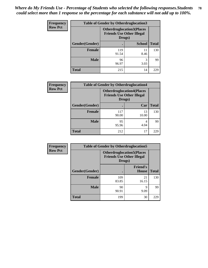| Frequency      | <b>Table of Gender by Otherdruglocation3</b>                                   |              |               |              |
|----------------|--------------------------------------------------------------------------------|--------------|---------------|--------------|
| <b>Row Pct</b> | <b>Otherdruglocation3(Places</b><br><b>Friends Use Other Illegal</b><br>Drugs) |              |               |              |
|                | Gender(Gender)                                                                 |              | <b>School</b> | <b>Total</b> |
|                | <b>Female</b>                                                                  | 119<br>91.54 | 11<br>8.46    | 130          |
|                | <b>Male</b>                                                                    | 96<br>96.97  | 3<br>3.03     | 99           |
|                | <b>Total</b>                                                                   | 215          | 14            | 229          |

| Frequency      | <b>Table of Gender by Otherdruglocation4</b> |                                                                                |             |              |
|----------------|----------------------------------------------|--------------------------------------------------------------------------------|-------------|--------------|
| <b>Row Pct</b> |                                              | <b>Otherdruglocation4(Places</b><br><b>Friends Use Other Illegal</b><br>Drugs) |             |              |
|                | Gender(Gender)                               |                                                                                | Car         | <b>Total</b> |
|                | Female                                       | 117<br>90.00                                                                   | 13<br>10.00 | 130          |
|                | <b>Male</b>                                  | 95<br>95.96                                                                    | 4<br>4.04   | 99           |
|                | <b>Total</b>                                 | 212                                                                            | 17          | 229          |

| <b>Frequency</b> | <b>Table of Gender by Otherdruglocation5</b> |              |                                                                      |              |
|------------------|----------------------------------------------|--------------|----------------------------------------------------------------------|--------------|
| <b>Row Pct</b>   |                                              | Drugs)       | <b>Otherdruglocation5(Places</b><br><b>Friends Use Other Illegal</b> |              |
|                  | Gender(Gender)                               |              | <b>Friend's</b><br><b>House</b>                                      | <b>Total</b> |
|                  | <b>Female</b>                                | 109<br>83.85 | 21<br>16.15                                                          | 130          |
|                  | <b>Male</b>                                  | 90<br>90.91  | q<br>9.09                                                            | 99           |
|                  | <b>Total</b>                                 | 199          | 30                                                                   | 229          |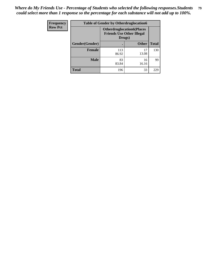| Frequency      | <b>Table of Gender by Otherdruglocation6</b> |                                                                                |              |              |
|----------------|----------------------------------------------|--------------------------------------------------------------------------------|--------------|--------------|
| <b>Row Pct</b> |                                              | <b>Otherdruglocation6(Places</b><br><b>Friends Use Other Illegal</b><br>Drugs) |              |              |
|                | Gender(Gender)                               |                                                                                | <b>Other</b> | <b>Total</b> |
|                | Female                                       | 113<br>86.92                                                                   | 17<br>13.08  | 130          |
|                | <b>Male</b>                                  | 83<br>83.84                                                                    | 16<br>16.16  | 99           |
|                | <b>Total</b>                                 | 196                                                                            | 33           | 229          |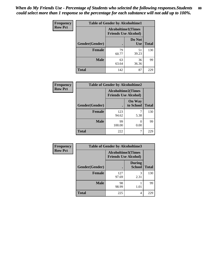| <b>Frequency</b> | <b>Table of Gender by Alcoholtime1</b> |                                                          |                      |              |
|------------------|----------------------------------------|----------------------------------------------------------|----------------------|--------------|
| <b>Row Pct</b>   |                                        | <b>Alcoholtime1(Times</b><br><b>Friends Use Alcohol)</b> |                      |              |
|                  | Gender(Gender)                         | $\bullet$                                                | Do Not<br><b>Use</b> | <b>Total</b> |
|                  | <b>Female</b>                          | 79<br>60.77                                              | 51<br>39.23          | 130          |
|                  | <b>Male</b>                            | 63<br>63.64                                              | 36<br>36.36          | 99           |
|                  | <b>Total</b>                           | 142                                                      | 87                   | 229          |

| <b>Frequency</b> | <b>Table of Gender by Alcoholtime2</b> |                                                          |                            |              |
|------------------|----------------------------------------|----------------------------------------------------------|----------------------------|--------------|
| <b>Row Pct</b>   |                                        | <b>Alcoholtime2(Times</b><br><b>Friends Use Alcohol)</b> |                            |              |
|                  | Gender(Gender)                         |                                                          | <b>On Way</b><br>to School | <b>Total</b> |
|                  | <b>Female</b>                          | 123<br>94.62                                             | 5.38                       | 130          |
|                  | <b>Male</b>                            | 99<br>100.00                                             | 0<br>0.00                  | 99           |
|                  | <b>Total</b>                           | 222                                                      |                            | 229          |

| <b>Frequency</b> | <b>Table of Gender by Alcoholtime3</b> |                                                          |                                |              |
|------------------|----------------------------------------|----------------------------------------------------------|--------------------------------|--------------|
| <b>Row Pct</b>   |                                        | <b>Alcoholtime3(Times</b><br><b>Friends Use Alcohol)</b> |                                |              |
|                  | <b>Gender</b> (Gender)                 |                                                          | <b>During</b><br><b>School</b> | <b>Total</b> |
|                  | <b>Female</b>                          | 127<br>97.69                                             | 3<br>2.31                      | 130          |
|                  | <b>Male</b>                            | 98<br>98.99                                              | 1.01                           | 99           |
|                  | <b>Total</b>                           | 225                                                      | 4                              | 229          |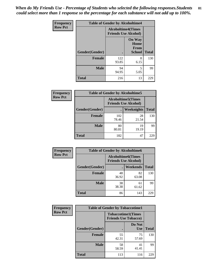*When do My Friends Use - Percentage of Students who selected the following responses.Students could select more than 1 response so the percentage for each substance will not add up to 100%.* **81**

| <b>Frequency</b> | <b>Table of Gender by Alcoholtime4</b> |                                                          |                                                |              |  |
|------------------|----------------------------------------|----------------------------------------------------------|------------------------------------------------|--------------|--|
| <b>Row Pct</b>   |                                        | <b>Alcoholtime4(Times</b><br><b>Friends Use Alcohol)</b> |                                                |              |  |
|                  | Gender(Gender)                         |                                                          | <b>On Way</b><br>Home<br>From<br><b>School</b> | <b>Total</b> |  |
|                  | <b>Female</b>                          | 122<br>93.85                                             | 8<br>6.15                                      | 130          |  |
|                  | <b>Male</b>                            | 94<br>94.95                                              | 5<br>5.05                                      | 99           |  |
|                  | <b>Total</b>                           | 216                                                      | 13                                             | 229          |  |

| <b>Frequency</b> | <b>Table of Gender by Alcoholtime5</b> |                                                           |             |              |  |
|------------------|----------------------------------------|-----------------------------------------------------------|-------------|--------------|--|
| <b>Row Pct</b>   |                                        | <b>Alcoholtime5</b> (Times<br><b>Friends Use Alcohol)</b> |             |              |  |
|                  | Gender(Gender)                         |                                                           | Weeknights  | <b>Total</b> |  |
|                  | <b>Female</b>                          | 102<br>78.46                                              | 28<br>21.54 | 130          |  |
|                  | <b>Male</b>                            | 80<br>80.81                                               | 19<br>19.19 | 99           |  |
|                  | <b>Total</b>                           | 182                                                       | 47          | 229          |  |

| <b>Frequency</b> |                | <b>Table of Gender by Alcoholtime6</b> |                                                          |              |
|------------------|----------------|----------------------------------------|----------------------------------------------------------|--------------|
| <b>Row Pct</b>   |                |                                        | <b>Alcoholtime6(Times</b><br><b>Friends Use Alcohol)</b> |              |
|                  | Gender(Gender) |                                        | Weekends                                                 | <b>Total</b> |
|                  | Female         | 48<br>36.92                            | 82<br>63.08                                              | 130          |
|                  | <b>Male</b>    | 38<br>38.38                            | 61<br>61.62                                              | 99           |
|                  | <b>Total</b>   | 86                                     | 143                                                      | 229          |

| <b>Frequency</b> | <b>Table of Gender by Tobaccotime1</b> |                                                          |                      |              |
|------------------|----------------------------------------|----------------------------------------------------------|----------------------|--------------|
| <b>Row Pct</b>   |                                        | <b>Tobaccotime1(Times</b><br><b>Friends Use Tobacco)</b> |                      |              |
|                  | Gender(Gender)                         |                                                          | Do Not<br><b>Use</b> | <b>Total</b> |
|                  | <b>Female</b>                          | 55<br>42.31                                              | 75<br>57.69          | 130          |
|                  | <b>Male</b>                            | 58<br>58.59                                              | 41<br>41.41          | 99           |
|                  | <b>Total</b>                           | 113                                                      | 116                  | 229          |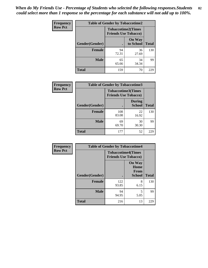| <b>Frequency</b> | <b>Table of Gender by Tobaccotime2</b> |                             |                            |              |
|------------------|----------------------------------------|-----------------------------|----------------------------|--------------|
| <b>Row Pct</b>   |                                        | <b>Friends Use Tobacco)</b> | <b>Tobaccotime2(Times</b>  |              |
|                  | Gender(Gender)                         |                             | <b>On Way</b><br>to School | <b>Total</b> |
|                  | <b>Female</b>                          | 94<br>72.31                 | 36<br>27.69                | 130          |
|                  | <b>Male</b>                            | 65<br>65.66                 | 34<br>34.34                | 99           |
|                  | <b>Total</b>                           | 159                         | 70                         | 229          |

| <b>Frequency</b> | <b>Table of Gender by Tobaccotime3</b> |                                                          |                                |              |
|------------------|----------------------------------------|----------------------------------------------------------|--------------------------------|--------------|
| <b>Row Pct</b>   |                                        | <b>Tobaccotime3(Times</b><br><b>Friends Use Tobacco)</b> |                                |              |
|                  | Gender(Gender)                         |                                                          | <b>During</b><br><b>School</b> | <b>Total</b> |
|                  | <b>Female</b>                          | 108<br>83.08                                             | 22<br>16.92                    | 130          |
|                  | <b>Male</b>                            | 69<br>69.70                                              | 30<br>30.30                    | 99           |
|                  | <b>Total</b>                           | 177                                                      | 52                             | 229          |

| <b>Frequency</b> | <b>Table of Gender by Tobaccotime4</b> |                                                          |                                                |              |
|------------------|----------------------------------------|----------------------------------------------------------|------------------------------------------------|--------------|
| <b>Row Pct</b>   |                                        | <b>Tobaccotime4(Times</b><br><b>Friends Use Tobacco)</b> |                                                |              |
|                  | Gender(Gender)                         |                                                          | <b>On Way</b><br>Home<br>From<br><b>School</b> | <b>Total</b> |
|                  | <b>Female</b>                          | 122<br>93.85                                             | 8<br>6.15                                      | 130          |
|                  | <b>Male</b>                            | 94<br>94.95                                              | 5<br>5.05                                      | 99           |
|                  | <b>Total</b>                           | 216                                                      | 13                                             | 229          |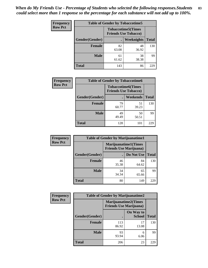| Frequency      | <b>Table of Gender by Tobaccotime5</b> |             |                                                          |              |  |
|----------------|----------------------------------------|-------------|----------------------------------------------------------|--------------|--|
| <b>Row Pct</b> |                                        |             | <b>Tobaccotime5(Times</b><br><b>Friends Use Tobacco)</b> |              |  |
|                | Gender(Gender)                         |             | Weeknights                                               | <b>Total</b> |  |
|                | <b>Female</b>                          | 82<br>63.08 | 48<br>36.92                                              | 130          |  |
|                | <b>Male</b>                            | 61<br>61.62 | 38<br>38.38                                              | 99           |  |
|                | <b>Total</b>                           | 143         | 86                                                       | 229          |  |

| <b>Frequency</b> | <b>Table of Gender by Tobaccotime6</b> |                                                          |             |              |
|------------------|----------------------------------------|----------------------------------------------------------|-------------|--------------|
| <b>Row Pct</b>   |                                        | <b>Tobaccotime6(Times</b><br><b>Friends Use Tobacco)</b> |             |              |
|                  | Gender(Gender)                         |                                                          | Weekends    | <b>Total</b> |
|                  | Female                                 | 79<br>60.77                                              | 51<br>39.23 | 130          |
|                  | <b>Male</b>                            | 49<br>49.49                                              | 50<br>50.51 | 99           |
|                  | <b>Total</b>                           | 128                                                      | 101         | 229          |

| <b>Frequency</b> | <b>Table of Gender by Marijuanatime1</b> |                                                               |             |              |
|------------------|------------------------------------------|---------------------------------------------------------------|-------------|--------------|
| <b>Row Pct</b>   |                                          | <b>Marijuanatime1(Times</b><br><b>Friends Use Marijuana</b> ) |             |              |
|                  | Gender(Gender)                           |                                                               | Do Not Use  | <b>Total</b> |
|                  | <b>Female</b>                            | 46<br>35.38                                                   | 84<br>64.62 | 130          |
|                  | <b>Male</b>                              | 34<br>34.34                                                   | 65<br>65.66 | 99           |
|                  | <b>Total</b>                             | 80                                                            | 149         | 229          |

| <b>Frequency</b> | <b>Table of Gender by Marijuanatime2</b> |                                                               |                            |              |
|------------------|------------------------------------------|---------------------------------------------------------------|----------------------------|--------------|
| <b>Row Pct</b>   |                                          | <b>Marijuanatime2(Times</b><br><b>Friends Use Marijuana</b> ) |                            |              |
|                  | Gender(Gender)                           |                                                               | On Way to<br><b>School</b> | <b>Total</b> |
|                  | Female                                   | 113<br>86.92                                                  | 17<br>13.08                | 130          |
|                  | <b>Male</b>                              | 93<br>93.94                                                   | 6<br>6.06                  | 99           |
|                  | <b>Total</b>                             | 206                                                           | 23                         | 229          |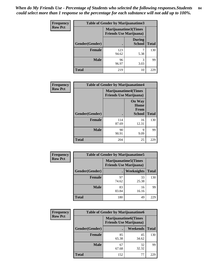| Frequency      | <b>Table of Gender by Marijuanatime3</b> |                                                        |                                |              |
|----------------|------------------------------------------|--------------------------------------------------------|--------------------------------|--------------|
| <b>Row Pct</b> |                                          | Marijuanatime3(Times<br><b>Friends Use Marijuana</b> ) |                                |              |
|                | Gender(Gender)                           |                                                        | <b>During</b><br><b>School</b> | <b>Total</b> |
|                | <b>Female</b>                            | 123<br>94.62                                           | 5.38                           | 130          |
|                | <b>Male</b>                              | 96<br>96.97                                            | 3<br>3.03                      | 99           |
|                | <b>Total</b>                             | 219                                                    | 10                             | 229          |

| Frequency      | <b>Table of Gender by Marijuanatime4</b> |                                                               |                                                |              |
|----------------|------------------------------------------|---------------------------------------------------------------|------------------------------------------------|--------------|
| <b>Row Pct</b> |                                          | <b>Marijuanatime4(Times</b><br><b>Friends Use Marijuana</b> ) |                                                |              |
|                | Gender(Gender)                           |                                                               | <b>On Way</b><br>Home<br>From<br><b>School</b> | <b>Total</b> |
|                | <b>Female</b>                            | 114<br>87.69                                                  | 16<br>12.31                                    | 130          |
|                | <b>Male</b>                              | 90<br>90.91                                                   | 9<br>9.09                                      | 99           |
|                | <b>Total</b>                             | 204                                                           | 25                                             | 229          |

| Frequency      | <b>Table of Gender by Marijuanatime5</b> |                                                                |             |              |
|----------------|------------------------------------------|----------------------------------------------------------------|-------------|--------------|
| <b>Row Pct</b> |                                          | <b>Marijuanatime5</b> (Times<br><b>Friends Use Marijuana</b> ) |             |              |
|                | Gender(Gender)                           | ٠                                                              | Weeknights  | <b>Total</b> |
|                | <b>Female</b>                            | 97<br>74.62                                                    | 33<br>25.38 | 130          |
|                | <b>Male</b>                              | 83<br>83.84                                                    | 16<br>16.16 | 99           |
|                | <b>Total</b>                             | 180                                                            | 49          | 229          |

| Frequency      | <b>Table of Gender by Marijuanatime6</b> |                                                               |                 |              |
|----------------|------------------------------------------|---------------------------------------------------------------|-----------------|--------------|
| <b>Row Pct</b> |                                          | <b>Marijuanatime6(Times</b><br><b>Friends Use Marijuana</b> ) |                 |              |
|                | Gender(Gender)                           |                                                               | <b>Weekends</b> | <b>Total</b> |
|                | <b>Female</b>                            | 85<br>65.38                                                   | 45<br>34.62     | 130          |
|                | <b>Male</b>                              | 67<br>67.68                                                   | 32<br>32.32     | 99           |
|                | <b>Total</b>                             | 152                                                           | 77              | 229          |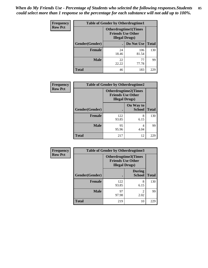*When do My Friends Use - Percentage of Students who selected the following responses.Students could select more than 1 response so the percentage for each substance will not add up to 100%.* **85**

| <b>Frequency</b> | <b>Table of Gender by Otherdrugtime1</b> |                                                                                   |                    |     |  |
|------------------|------------------------------------------|-----------------------------------------------------------------------------------|--------------------|-----|--|
| <b>Row Pct</b>   |                                          | <b>Otherdrugtime1(Times</b><br><b>Friends Use Other</b><br><b>Illegal Drugs</b> ) |                    |     |  |
|                  | Gender(Gender)                           |                                                                                   | Do Not Use   Total |     |  |
|                  | <b>Female</b>                            | 24<br>18.46                                                                       | 106<br>81.54       | 130 |  |
|                  | <b>Male</b>                              | 22<br>22.22                                                                       | 77<br>77.78        | 99  |  |
|                  | <b>Total</b>                             | 46                                                                                | 183                | 229 |  |

| Frequency      | <b>Table of Gender by Otherdrugtime2</b> |                        |                                                         |              |
|----------------|------------------------------------------|------------------------|---------------------------------------------------------|--------------|
| <b>Row Pct</b> |                                          | <b>Illegal Drugs</b> ) | <b>Otherdrugtime2(Times</b><br><b>Friends Use Other</b> |              |
|                | <b>Gender</b> (Gender)                   |                        | On Way to<br><b>School</b>                              | <b>Total</b> |
|                | <b>Female</b>                            | 122<br>93.85           | 8<br>6.15                                               | 130          |
|                | <b>Male</b>                              | 95<br>95.96            | 4<br>4.04                                               | 99           |
|                | <b>Total</b>                             | 217                    | 12                                                      | 229          |

| Frequency      | <b>Table of Gender by Otherdrugtime3</b> |                        |                                                  |              |
|----------------|------------------------------------------|------------------------|--------------------------------------------------|--------------|
| <b>Row Pct</b> |                                          | <b>Illegal Drugs</b> ) | Otherdrugtime3(Times<br><b>Friends Use Other</b> |              |
|                | Gender(Gender)                           |                        | <b>During</b><br><b>School</b>                   | <b>Total</b> |
|                | <b>Female</b>                            | 122<br>93.85           | 8<br>6.15                                        | 130          |
|                | <b>Male</b>                              | 97<br>97.98            | $\overline{c}$<br>2.02                           | 99           |
|                | <b>Total</b>                             | 219                    | 10                                               | 229          |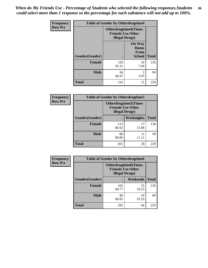*When do My Friends Use - Percentage of Students who selected the following responses.Students could select more than 1 response so the percentage for each substance will not add up to 100%.* **86**

| <b>Frequency</b> | <b>Table of Gender by Otherdrugtime4</b> |                                                       |                                                       |              |
|------------------|------------------------------------------|-------------------------------------------------------|-------------------------------------------------------|--------------|
| <b>Row Pct</b>   |                                          | <b>Otherdrugtime4(Times</b><br><b>Illegal Drugs</b> ) | <b>Friends Use Other</b>                              |              |
|                  | Gender(Gender)                           |                                                       | <b>On Way</b><br>Home<br><b>From</b><br><b>School</b> | <b>Total</b> |
|                  | <b>Female</b>                            | 120<br>92.31                                          | 10<br>7.69                                            | 130          |
|                  | <b>Male</b>                              | 96<br>96.97                                           | 3<br>3.03                                             | 99           |
|                  | <b>Total</b>                             | 216                                                   | 13                                                    | 229          |

| Frequency      | <b>Table of Gender by Otherdrugtime5</b> |                                                                                    |             |              |
|----------------|------------------------------------------|------------------------------------------------------------------------------------|-------------|--------------|
| <b>Row Pct</b> |                                          | <b>Otherdrugtime5</b> (Times<br><b>Friends Use Other</b><br><b>Illegal Drugs</b> ) |             |              |
|                | Gender(Gender)                           |                                                                                    | Weeknights  | <b>Total</b> |
|                | Female                                   | 113<br>86.92                                                                       | 17<br>13.08 | 130          |
|                | <b>Male</b>                              | 88<br>88.89                                                                        | 11<br>11.11 | 99           |
|                | <b>Total</b>                             | 201                                                                                | 28          | 229          |

| <b>Frequency</b> | <b>Table of Gender by Otherdrugtime6</b> |                                                                                   |             |              |
|------------------|------------------------------------------|-----------------------------------------------------------------------------------|-------------|--------------|
| <b>Row Pct</b>   |                                          | <b>Otherdrugtime6(Times</b><br><b>Friends Use Other</b><br><b>Illegal Drugs</b> ) |             |              |
|                  | Gender(Gender)                           |                                                                                   | Weekends    | <b>Total</b> |
|                  | <b>Female</b>                            | 105<br>80.77                                                                      | 25<br>19.23 | 130          |
|                  | <b>Male</b>                              | 80<br>80.81                                                                       | 19<br>19.19 | 99           |
|                  | <b>Total</b>                             | 185                                                                               | 44          | 229          |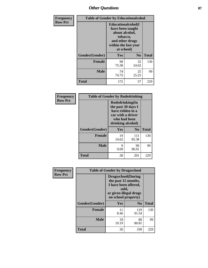# *Other Questions* **87**

| Frequency      | <b>Table of Gender by Educationalcohol</b> |                                                                                                                               |                |              |
|----------------|--------------------------------------------|-------------------------------------------------------------------------------------------------------------------------------|----------------|--------------|
| <b>Row Pct</b> |                                            | Educationalcohol(I<br>have been taught<br>about alcohol,<br>tobacco,<br>and other drugs<br>within the last year<br>at school) |                |              |
|                | Gender(Gender)                             | Yes                                                                                                                           | N <sub>0</sub> | <b>Total</b> |
|                | <b>Female</b>                              | 98<br>75.38                                                                                                                   | 32<br>24.62    | 130          |
|                | <b>Male</b>                                | 74<br>74.75                                                                                                                   | 25<br>25.25    | 99           |
|                | Total                                      | 172                                                                                                                           | 57             | 229          |

| Frequency      | <b>Table of Gender by Rodedrinking</b> |                                                                                                                     |                |              |  |
|----------------|----------------------------------------|---------------------------------------------------------------------------------------------------------------------|----------------|--------------|--|
| <b>Row Pct</b> |                                        | Rodedrinking(In<br>the past 30 days I<br>have ridden in a<br>car with a driver<br>who had been<br>drinking alcohol) |                |              |  |
|                | Gender(Gender)                         | Yes                                                                                                                 | N <sub>0</sub> | <b>Total</b> |  |
|                | <b>Female</b>                          | 19<br>14.62                                                                                                         | 111<br>85.38   | 130          |  |
|                | <b>Male</b>                            | 9<br>9.09                                                                                                           | 90<br>90.91    | 99           |  |
|                | <b>Total</b>                           | 28                                                                                                                  | 201            | 229          |  |

| Frequency      | <b>Table of Gender by Drugsschool</b> |                                                                                                                                     |                |              |  |
|----------------|---------------------------------------|-------------------------------------------------------------------------------------------------------------------------------------|----------------|--------------|--|
| <b>Row Pct</b> |                                       | <b>Drugsschool</b> (During<br>the past 12 months,<br>I have been offered,<br>sold,<br>or given illegal drugs<br>on school property) |                |              |  |
|                | Gender(Gender)                        | Yes                                                                                                                                 | N <sub>0</sub> | <b>Total</b> |  |
|                | <b>Female</b>                         | 11<br>8.46                                                                                                                          | 119<br>91.54   | 130          |  |
|                | <b>Male</b>                           | 19<br>19.19                                                                                                                         | 80<br>80.81    | 99           |  |
|                | <b>Total</b>                          | 30                                                                                                                                  | 199            | 229          |  |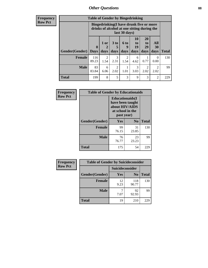# *Other Questions* **88**

**Frequency Row Pct**

| <b>Table of Gender by Bingedrinking</b> |                         |                                                                                                         |                        |                   |                        |                               |                                     |              |
|-----------------------------------------|-------------------------|---------------------------------------------------------------------------------------------------------|------------------------|-------------------|------------------------|-------------------------------|-------------------------------------|--------------|
|                                         |                         | Bingedrinking(I have drunk five or more<br>drinks of alcohol at one sitting during the<br>last 30 days) |                        |                   |                        |                               |                                     |              |
| <b>Gender</b> (Gender)                  | $\bf{0}$<br><b>Days</b> | 1 or<br>days                                                                                            | 3 to<br>5<br>days      | 6 to<br>9<br>days | 10<br>to<br>19<br>days | <b>20</b><br>to<br>29<br>days | All<br>30<br>days                   | <b>Total</b> |
| <b>Female</b>                           | 116<br>89.23            | $\mathfrak{D}$<br>1.54                                                                                  | 3<br>2.31              | 2<br>1.54         | 6<br>4.62              | 0.77                          | $\theta$<br>0.00                    | 130          |
| <b>Male</b>                             | 83<br>83.84             | 6<br>6.06                                                                                               | $\overline{c}$<br>2.02 | 1.01              | 3<br>3.03              | 2<br>2.02                     | $\mathcal{D}_{\mathcal{L}}$<br>2.02 | 99           |
| <b>Total</b>                            | 199                     | 8                                                                                                       | 5                      | 3                 | 9                      | 3                             | $\mathfrak{D}$                      | 229          |

| Frequency      | <b>Table of Gender by Educationaids</b> |                                                                                                 |             |              |  |
|----------------|-----------------------------------------|-------------------------------------------------------------------------------------------------|-------------|--------------|--|
| <b>Row Pct</b> |                                         | <b>Educationaids</b> (I<br>have been taught<br>about HIV/AIDS<br>at school in the<br>past year) |             |              |  |
|                | Gender(Gender)                          | Yes                                                                                             | $\bf N_0$   | <b>Total</b> |  |
|                | <b>Female</b>                           | 99<br>76.15                                                                                     | 31<br>23.85 | 130          |  |
|                | <b>Male</b>                             | 76<br>76.77                                                                                     | 23<br>23.23 | 99           |  |
|                | <b>Total</b>                            | 175                                                                                             | 54          | 229          |  |

| <b>Frequency</b> | <b>Table of Gender by Suicideconsider</b> |                 |                |              |  |
|------------------|-------------------------------------------|-----------------|----------------|--------------|--|
| <b>Row Pct</b>   |                                           | Suicideconsider |                |              |  |
|                  | Gender(Gender)                            | Yes             | N <sub>0</sub> | <b>Total</b> |  |
|                  | <b>Female</b>                             | 12<br>9.23      | 118<br>90.77   | 130          |  |
|                  | <b>Male</b>                               | 7.07            | 92<br>92.93    | 99           |  |
|                  | <b>Total</b>                              | 19              | 210            | 229          |  |